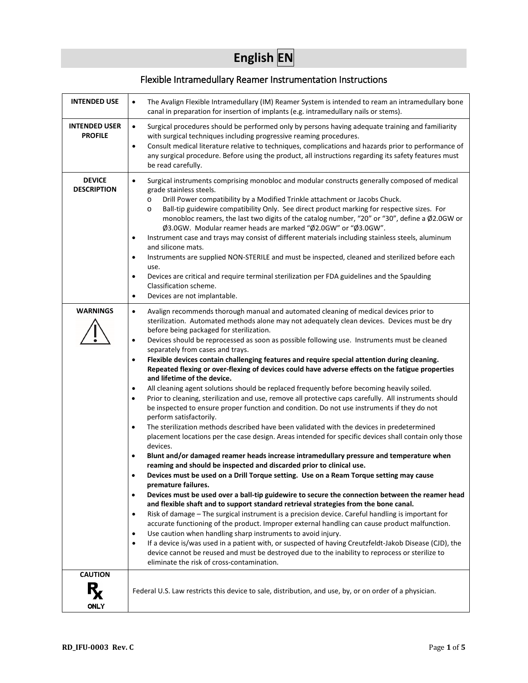# **English EN**

# Flexible Intramedullary Reamer Instrumentation Instructions

| INTENDED USE                           | The Avalign Flexible Intramedullary (IM) Reamer System is intended to ream an intramedullary bone<br>$\bullet$<br>canal in preparation for insertion of implants (e.g. intramedullary nails or stems).                                                                                                                                                                                                                                                                                                                                                                                                                                                                                                                                                                                                                                                                                                                                                                                                                                                                                                                                                                                                                                                                                                                                                                                                                                                                                                                                                                                                                                                                                                                                                                                                                                                                                                                                                                                                                                                                                                                                                                                                                                                                                                                            |
|----------------------------------------|-----------------------------------------------------------------------------------------------------------------------------------------------------------------------------------------------------------------------------------------------------------------------------------------------------------------------------------------------------------------------------------------------------------------------------------------------------------------------------------------------------------------------------------------------------------------------------------------------------------------------------------------------------------------------------------------------------------------------------------------------------------------------------------------------------------------------------------------------------------------------------------------------------------------------------------------------------------------------------------------------------------------------------------------------------------------------------------------------------------------------------------------------------------------------------------------------------------------------------------------------------------------------------------------------------------------------------------------------------------------------------------------------------------------------------------------------------------------------------------------------------------------------------------------------------------------------------------------------------------------------------------------------------------------------------------------------------------------------------------------------------------------------------------------------------------------------------------------------------------------------------------------------------------------------------------------------------------------------------------------------------------------------------------------------------------------------------------------------------------------------------------------------------------------------------------------------------------------------------------------------------------------------------------------------------------------------------------|
| <b>INTENDED USER</b><br><b>PROFILE</b> | Surgical procedures should be performed only by persons having adequate training and familiarity<br>$\bullet$<br>with surgical techniques including progressive reaming procedures.<br>Consult medical literature relative to techniques, complications and hazards prior to performance of<br>$\bullet$<br>any surgical procedure. Before using the product, all instructions regarding its safety features must<br>be read carefully.                                                                                                                                                                                                                                                                                                                                                                                                                                                                                                                                                                                                                                                                                                                                                                                                                                                                                                                                                                                                                                                                                                                                                                                                                                                                                                                                                                                                                                                                                                                                                                                                                                                                                                                                                                                                                                                                                           |
| <b>DEVICE</b><br><b>DESCRIPTION</b>    | Surgical instruments comprising monobloc and modular constructs generally composed of medical<br>$\bullet$<br>grade stainless steels.<br>Drill Power compatibility by a Modified Trinkle attachment or Jacobs Chuck.<br>$\circ$<br>Ball-tip guidewire compatibility Only. See direct product marking for respective sizes. For<br>$\circ$<br>monobloc reamers, the last two digits of the catalog number, "20" or "30", define a Ø2.0GW or<br>Ø3.0GW. Modular reamer heads are marked "Ø2.0GW" or "Ø3.0GW".<br>Instrument case and trays may consist of different materials including stainless steels, aluminum<br>$\bullet$<br>and silicone mats.<br>Instruments are supplied NON-STERILE and must be inspected, cleaned and sterilized before each<br>$\bullet$<br>use.<br>Devices are critical and require terminal sterilization per FDA guidelines and the Spaulding<br>$\bullet$<br>Classification scheme.<br>Devices are not implantable.<br>$\bullet$                                                                                                                                                                                                                                                                                                                                                                                                                                                                                                                                                                                                                                                                                                                                                                                                                                                                                                                                                                                                                                                                                                                                                                                                                                                                                                                                                                    |
| <b>WARNINGS</b>                        | Avalign recommends thorough manual and automated cleaning of medical devices prior to<br>$\bullet$<br>sterilization. Automated methods alone may not adequately clean devices. Devices must be dry<br>before being packaged for sterilization.<br>Devices should be reprocessed as soon as possible following use. Instruments must be cleaned<br>$\bullet$<br>separately from cases and trays.<br>Flexible devices contain challenging features and require special attention during cleaning.<br>$\bullet$<br>Repeated flexing or over-flexing of devices could have adverse effects on the fatigue properties<br>and lifetime of the device.<br>All cleaning agent solutions should be replaced frequently before becoming heavily soiled.<br>$\bullet$<br>Prior to cleaning, sterilization and use, remove all protective caps carefully. All instruments should<br>$\bullet$<br>be inspected to ensure proper function and condition. Do not use instruments if they do not<br>perform satisfactorily.<br>The sterilization methods described have been validated with the devices in predetermined<br>$\bullet$<br>placement locations per the case design. Areas intended for specific devices shall contain only those<br>devices.<br>Blunt and/or damaged reamer heads increase intramedullary pressure and temperature when<br>$\bullet$<br>reaming and should be inspected and discarded prior to clinical use.<br>Devices must be used on a Drill Torque setting. Use on a Ream Torque setting may cause<br>٠<br>premature failures.<br>Devices must be used over a ball-tip guidewire to secure the connection between the reamer head<br>$\bullet$<br>and flexible shaft and to support standard retrieval strategies from the bone canal.<br>Risk of damage - The surgical instrument is a precision device. Careful handling is important for<br>$\bullet$<br>accurate functioning of the product. Improper external handling can cause product malfunction.<br>Use caution when handling sharp instruments to avoid injury.<br>$\bullet$<br>If a device is/was used in a patient with, or suspected of having Creutzfeldt-Jakob Disease (CJD), the<br>$\bullet$<br>device cannot be reused and must be destroyed due to the inability to reprocess or sterilize to<br>eliminate the risk of cross-contamination. |
| <b>CAUTION</b><br><b>ONLY</b>          | Federal U.S. Law restricts this device to sale, distribution, and use, by, or on order of a physician.                                                                                                                                                                                                                                                                                                                                                                                                                                                                                                                                                                                                                                                                                                                                                                                                                                                                                                                                                                                                                                                                                                                                                                                                                                                                                                                                                                                                                                                                                                                                                                                                                                                                                                                                                                                                                                                                                                                                                                                                                                                                                                                                                                                                                            |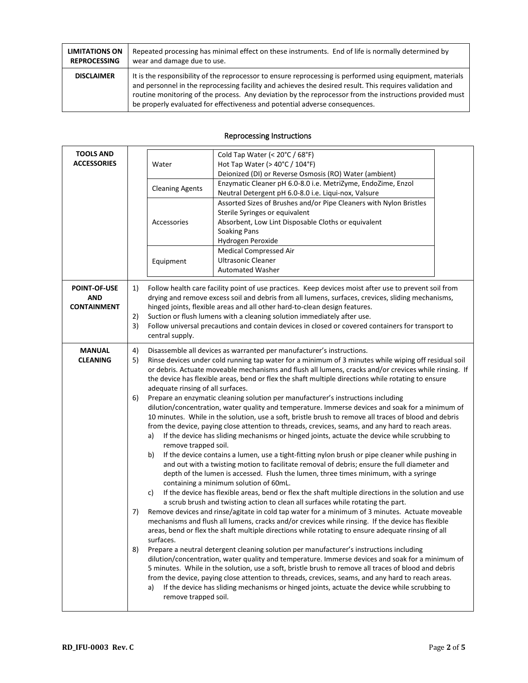| <b>LIMITATIONS ON</b> | Repeated processing has minimal effect on these instruments. End of life is normally determined by                                                                                                                                                                                                                                                                                                               |
|-----------------------|------------------------------------------------------------------------------------------------------------------------------------------------------------------------------------------------------------------------------------------------------------------------------------------------------------------------------------------------------------------------------------------------------------------|
| <b>REPROCESSING</b>   | wear and damage due to use.                                                                                                                                                                                                                                                                                                                                                                                      |
| <b>DISCLAIMER</b>     | It is the responsibility of the reprocessor to ensure reprocessing is performed using equipment, materials<br>and personnel in the reprocessing facility and achieves the desired result. This requires validation and<br>routine monitoring of the process. Any deviation by the reprocessor from the instructions provided must<br>be properly evaluated for effectiveness and potential adverse consequences. |

## Reprocessing Instructions

| <b>TOOLS AND</b><br><b>ACCESSORIES</b>                  |                            | Water<br><b>Cleaning Agents</b><br>Accessories<br>Equipment | Cold Tap Water (< 20°C / 68°F)<br>Hot Tap Water ( $>$ 40 $^{\circ}$ C / 104 $^{\circ}$ F)<br>Deionized (DI) or Reverse Osmosis (RO) Water (ambient)<br>Enzymatic Cleaner pH 6.0-8.0 i.e. MetriZyme, EndoZime, Enzol<br>Neutral Detergent pH 6.0-8.0 i.e. Liqui-nox, Valsure<br>Assorted Sizes of Brushes and/or Pipe Cleaners with Nylon Bristles<br>Sterile Syringes or equivalent<br>Absorbent, Low Lint Disposable Cloths or equivalent<br><b>Soaking Pans</b><br>Hydrogen Peroxide<br><b>Medical Compressed Air</b><br><b>Ultrasonic Cleaner</b><br><b>Automated Washer</b>                                                                                                                                                                                                                                                                                                                                                                                                                                                                                                                                                                                                                                                                                                                                                                                                                                                                                                                                                                                                                                                                                                                                                                                                                                                                                                                                                                                                                                                                                                                                                                                                                                                                                                                                                                                                                                                  |  |  |  |
|---------------------------------------------------------|----------------------------|-------------------------------------------------------------|----------------------------------------------------------------------------------------------------------------------------------------------------------------------------------------------------------------------------------------------------------------------------------------------------------------------------------------------------------------------------------------------------------------------------------------------------------------------------------------------------------------------------------------------------------------------------------------------------------------------------------------------------------------------------------------------------------------------------------------------------------------------------------------------------------------------------------------------------------------------------------------------------------------------------------------------------------------------------------------------------------------------------------------------------------------------------------------------------------------------------------------------------------------------------------------------------------------------------------------------------------------------------------------------------------------------------------------------------------------------------------------------------------------------------------------------------------------------------------------------------------------------------------------------------------------------------------------------------------------------------------------------------------------------------------------------------------------------------------------------------------------------------------------------------------------------------------------------------------------------------------------------------------------------------------------------------------------------------------------------------------------------------------------------------------------------------------------------------------------------------------------------------------------------------------------------------------------------------------------------------------------------------------------------------------------------------------------------------------------------------------------------------------------------------------|--|--|--|
| <b>POINT-OF-USE</b><br><b>AND</b><br><b>CONTAINMENT</b> | 1)<br>2)<br>3)             | central supply.                                             | Follow health care facility point of use practices. Keep devices moist after use to prevent soil from<br>drying and remove excess soil and debris from all lumens, surfaces, crevices, sliding mechanisms,<br>hinged joints, flexible areas and all other hard-to-clean design features.<br>Suction or flush lumens with a cleaning solution immediately after use.                                                                                                                                                                                                                                                                                                                                                                                                                                                                                                                                                                                                                                                                                                                                                                                                                                                                                                                                                                                                                                                                                                                                                                                                                                                                                                                                                                                                                                                                                                                                                                                                                                                                                                                                                                                                                                                                                                                                                                                                                                                              |  |  |  |
| <b>MANUAL</b><br><b>CLEANING</b>                        | 4)<br>5)<br>6)<br>7)<br>8) | a)<br>b)<br>c)<br>surfaces.<br>a)<br>remove trapped soil.   | Follow universal precautions and contain devices in closed or covered containers for transport to<br>Disassemble all devices as warranted per manufacturer's instructions.<br>Rinse devices under cold running tap water for a minimum of 3 minutes while wiping off residual soil<br>or debris. Actuate moveable mechanisms and flush all lumens, cracks and/or crevices while rinsing. If<br>the device has flexible areas, bend or flex the shaft multiple directions while rotating to ensure<br>adequate rinsing of all surfaces.<br>Prepare an enzymatic cleaning solution per manufacturer's instructions including<br>dilution/concentration, water quality and temperature. Immerse devices and soak for a minimum of<br>10 minutes. While in the solution, use a soft, bristle brush to remove all traces of blood and debris<br>from the device, paying close attention to threads, crevices, seams, and any hard to reach areas.<br>If the device has sliding mechanisms or hinged joints, actuate the device while scrubbing to<br>remove trapped soil.<br>If the device contains a lumen, use a tight-fitting nylon brush or pipe cleaner while pushing in<br>and out with a twisting motion to facilitate removal of debris; ensure the full diameter and<br>depth of the lumen is accessed. Flush the lumen, three times minimum, with a syringe<br>containing a minimum solution of 60mL.<br>If the device has flexible areas, bend or flex the shaft multiple directions in the solution and use<br>a scrub brush and twisting action to clean all surfaces while rotating the part.<br>Remove devices and rinse/agitate in cold tap water for a minimum of 3 minutes. Actuate moveable<br>mechanisms and flush all lumens, cracks and/or crevices while rinsing. If the device has flexible<br>areas, bend or flex the shaft multiple directions while rotating to ensure adequate rinsing of all<br>Prepare a neutral detergent cleaning solution per manufacturer's instructions including<br>dilution/concentration, water quality and temperature. Immerse devices and soak for a minimum of<br>5 minutes. While in the solution, use a soft, bristle brush to remove all traces of blood and debris<br>from the device, paying close attention to threads, crevices, seams, and any hard to reach areas.<br>If the device has sliding mechanisms or hinged joints, actuate the device while scrubbing to |  |  |  |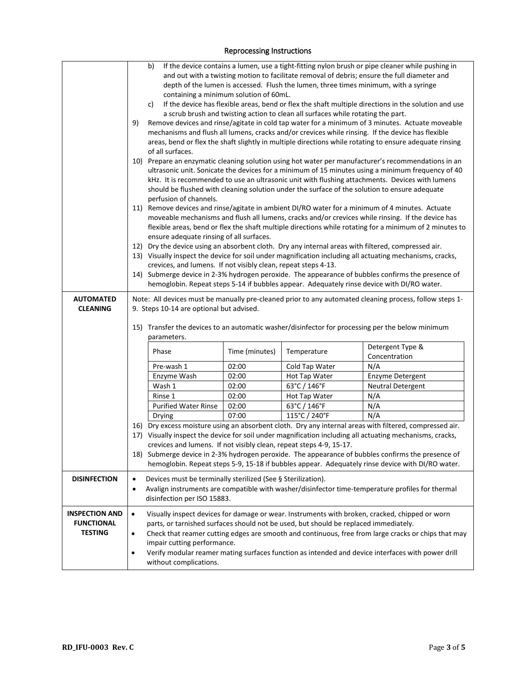#### b) If the device contains a lumen, use a tight-fitting nylon brush or pipe cleaner while pushing in and out with a twisting motion to facilitate removal of debris; ensure the full diameter and depth of the lumen is accessed. Flush the lumen, three times minimum, with a syringe containing a minimum solution of 60mL. c) If the device has flexible areas, bend or flex the shaft multiple directions in the solution and use a scrub brush and twisting action to clean all surfaces while rotating the part. 9) Remove devices and rinse/agitate in cold tap water for a minimum of 3 minutes. Actuate moveable mechanisms and flush all lumens, cracks and/or crevices while rinsing. If the device has flexible areas, bend or flex the shaft slightly in multiple directions while rotating to ensure adequate rinsing of all surfaces. 10) Prepare an enzymatic cleaning solution using hot water per manufacturer's recommendations in an ultrasonic unit. Sonicate the devices for a minimum of 15 minutes using a minimum frequency of 40 kHz. It is recommended to use an ultrasonic unit with flushing attachments. Devices with lumens should be flushed with cleaning solution under the surface of the solution to ensure adequate perfusion of channels. 11) Remove devices and rinse/agitate in ambient DI/RO water for a minimum of 4 minutes. Actuate moveable mechanisms and flush all lumens, cracks and/or crevices while rinsing. If the device has flexible areas, bend or flex the shaft multiple directions while rotating for a minimum of 2 minutes to ensure adequate rinsing of all surfaces. 12) Dry the device using an absorbent cloth. Dry any internal areas with filtered, compressed air. 13) Visually inspect the device for soil under magnification including all actuating mechanisms, cracks, crevices, and lumens. If not visibly clean, repeat steps 4-13. 14) Submerge device in 2-3% hydrogen peroxide. The appearance of bubbles confirms the presence of hemoglobin. Repeat steps 5-14 if bubbles appear. Adequately rinse device with DI/RO water. **AUTOMATED CLEANING** Note: All devices must be manually pre-cleaned prior to any automated cleaning process, follow steps 1- 9. Steps 10-14 are optional but advised. 15) Transfer the devices to an automatic washer/disinfector for processing per the below minimum parameters. Phase Time (minutes) Temperature Detergent Type & Concentration Pre-wash 1 02:00 | Cold Tap Water | N/A Enzyme Wash 02:00 Hot Tap Water Enzyme Detergent Wash 1 02:00 63°C / 146°F Neutral Detergent Rinse 1 | 02:00 | Hot Tap Water | N/A Purified Water Rinse | 02:00 | 63°C / 146°F | N/A Drying | 07:00 | 115°C / 240°F | N/A 16) Dry excess moisture using an absorbent cloth. Dry any internal areas with filtered, compressed air. 17) Visually inspect the device for soil under magnification including all actuating mechanisms, cracks, crevices and lumens. If not visibly clean, repeat steps 4-9, 15-17. 18) Submerge device in 2-3% hydrogen peroxide. The appearance of bubbles confirms the presence of hemoglobin. Repeat steps 5-9, 15-18 if bubbles appear. Adequately rinse device with DI/RO water. **DISINFECTION**  $\bullet$  Devices must be terminally sterilized (See § Sterilization). • Avalign instruments are compatible with washer/disinfector time-temperature profiles for thermal disinfection per ISO 15883. **INSPECTION AND FUNCTIONAL TESTING** • Visually inspect devices for damage or wear. Instruments with broken, cracked, chipped or worn parts, or tarnished surfaces should not be used, but should be replaced immediately. • Check that reamer cutting edges are smooth and continuous, free from large cracks or chips that may impair cutting performance. • Verify modular reamer mating surfaces function as intended and device interfaces with power drill without complications.

#### Reprocessing Instructions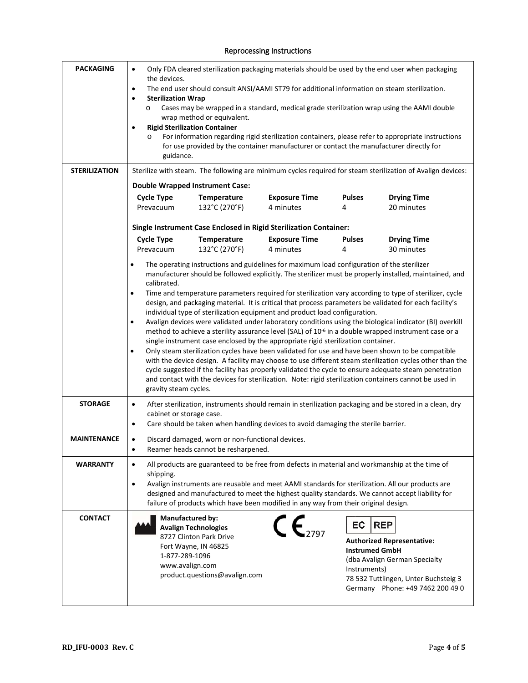#### Reprocessing Instructions

| <b>PACKAGING</b><br><b>STERILIZATION</b> | Only FDA cleared sterilization packaging materials should be used by the end user when packaging<br>$\bullet$<br>the devices.<br>The end user should consult ANSI/AAMI ST79 for additional information on steam sterilization.<br>$\bullet$<br><b>Sterilization Wrap</b><br>$\bullet$<br>Cases may be wrapped in a standard, medical grade sterilization wrap using the AAMI double<br>O<br>wrap method or equivalent.<br><b>Rigid Sterilization Container</b><br>$\bullet$<br>For information regarding rigid sterilization containers, please refer to appropriate instructions<br>$\circ$<br>for use provided by the container manufacturer or contact the manufacturer directly for<br>guidance.<br>Sterilize with steam. The following are minimum cycles required for steam sterilization of Avalign devices:<br><b>Double Wrapped Instrument Case:</b><br><b>Pulses</b><br><b>Cycle Type</b><br>Temperature<br><b>Exposure Time</b><br><b>Drying Time</b>                                                                                                                                                                                                                                                                                                                                                                                   |                                                          |                                                                   |                                             |                                                                                                                                                              |
|------------------------------------------|----------------------------------------------------------------------------------------------------------------------------------------------------------------------------------------------------------------------------------------------------------------------------------------------------------------------------------------------------------------------------------------------------------------------------------------------------------------------------------------------------------------------------------------------------------------------------------------------------------------------------------------------------------------------------------------------------------------------------------------------------------------------------------------------------------------------------------------------------------------------------------------------------------------------------------------------------------------------------------------------------------------------------------------------------------------------------------------------------------------------------------------------------------------------------------------------------------------------------------------------------------------------------------------------------------------------------------------------------|----------------------------------------------------------|-------------------------------------------------------------------|---------------------------------------------|--------------------------------------------------------------------------------------------------------------------------------------------------------------|
|                                          | Prevacuum                                                                                                                                                                                                                                                                                                                                                                                                                                                                                                                                                                                                                                                                                                                                                                                                                                                                                                                                                                                                                                                                                                                                                                                                                                                                                                                                          | 132°C (270°F)                                            | 4 minutes                                                         | 4                                           | 20 minutes                                                                                                                                                   |
|                                          |                                                                                                                                                                                                                                                                                                                                                                                                                                                                                                                                                                                                                                                                                                                                                                                                                                                                                                                                                                                                                                                                                                                                                                                                                                                                                                                                                    |                                                          | Single Instrument Case Enclosed in Rigid Sterilization Container: |                                             |                                                                                                                                                              |
|                                          | <b>Cycle Type</b>                                                                                                                                                                                                                                                                                                                                                                                                                                                                                                                                                                                                                                                                                                                                                                                                                                                                                                                                                                                                                                                                                                                                                                                                                                                                                                                                  | Temperature                                              | <b>Exposure Time</b>                                              | <b>Pulses</b>                               | <b>Drying Time</b>                                                                                                                                           |
|                                          | Prevacuum                                                                                                                                                                                                                                                                                                                                                                                                                                                                                                                                                                                                                                                                                                                                                                                                                                                                                                                                                                                                                                                                                                                                                                                                                                                                                                                                          | 132°C (270°F)                                            | 4 minutes                                                         | 4                                           | 30 minutes                                                                                                                                                   |
|                                          | The operating instructions and guidelines for maximum load configuration of the sterilizer<br>$\bullet$<br>manufacturer should be followed explicitly. The sterilizer must be properly installed, maintained, and<br>calibrated.<br>Time and temperature parameters required for sterilization vary according to type of sterilizer, cycle<br>$\bullet$<br>design, and packaging material. It is critical that process parameters be validated for each facility's<br>individual type of sterilization equipment and product load configuration.<br>Avalign devices were validated under laboratory conditions using the biological indicator (BI) overkill<br>$\bullet$<br>method to achieve a sterility assurance level (SAL) of 10 <sup>-6</sup> in a double wrapped instrument case or a<br>single instrument case enclosed by the appropriate rigid sterilization container.<br>Only steam sterilization cycles have been validated for use and have been shown to be compatible<br>٠<br>with the device design. A facility may choose to use different steam sterilization cycles other than the<br>cycle suggested if the facility has properly validated the cycle to ensure adequate steam penetration<br>and contact with the devices for sterilization. Note: rigid sterilization containers cannot be used in<br>gravity steam cycles. |                                                          |                                                                   |                                             |                                                                                                                                                              |
| <b>STORAGE</b>                           | After sterilization, instruments should remain in sterilization packaging and be stored in a clean, dry<br>$\bullet$<br>cabinet or storage case.<br>Care should be taken when handling devices to avoid damaging the sterile barrier.<br>$\bullet$                                                                                                                                                                                                                                                                                                                                                                                                                                                                                                                                                                                                                                                                                                                                                                                                                                                                                                                                                                                                                                                                                                 |                                                          |                                                                   |                                             |                                                                                                                                                              |
| <b>MAINTENANCE</b>                       | Discard damaged, worn or non-functional devices.<br>$\bullet$<br>Reamer heads cannot be resharpened.                                                                                                                                                                                                                                                                                                                                                                                                                                                                                                                                                                                                                                                                                                                                                                                                                                                                                                                                                                                                                                                                                                                                                                                                                                               |                                                          |                                                                   |                                             |                                                                                                                                                              |
| <b>WARRANTY</b>                          | All products are guaranteed to be free from defects in material and workmanship at the time of<br>$\bullet$<br>shipping.<br>Avalign instruments are reusable and meet AAMI standards for sterilization. All our products are<br>$\bullet$<br>designed and manufactured to meet the highest quality standards. We cannot accept liability for<br>failure of products which have been modified in any way from their original design.                                                                                                                                                                                                                                                                                                                                                                                                                                                                                                                                                                                                                                                                                                                                                                                                                                                                                                                |                                                          |                                                                   |                                             |                                                                                                                                                              |
| <b>CONTACT</b>                           | <b>Manufactured by:</b><br><b>Avalign Technologies</b><br>Fort Wayne, IN 46825<br>1-877-289-1096<br>www.avalign.com                                                                                                                                                                                                                                                                                                                                                                                                                                                                                                                                                                                                                                                                                                                                                                                                                                                                                                                                                                                                                                                                                                                                                                                                                                | 8727 Clinton Park Drive<br>product.questions@avalign.com | $\mathsf{CE}_{2797}$                                              | EC<br><b>Instrumed GmbH</b><br>Instruments) | <b>REP</b><br><b>Authorized Representative:</b><br>(dba Avalign German Specialty<br>78 532 Tuttlingen, Unter Buchsteig 3<br>Germany Phone: +49 7462 200 49 0 |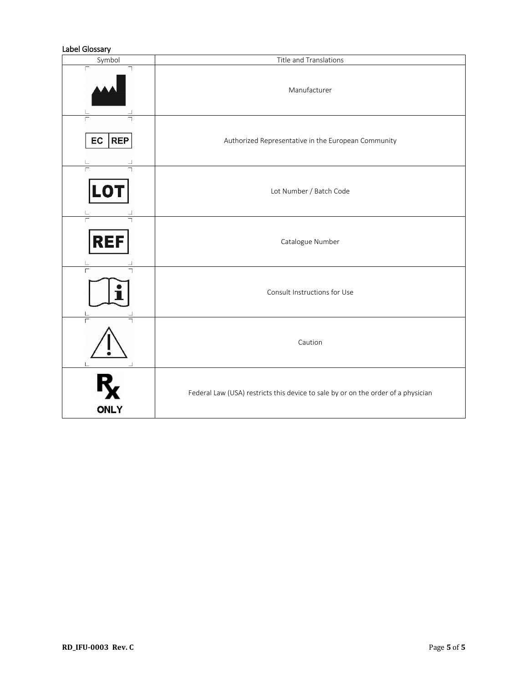### Label Glossary

| Symbol                       | Title and Translations                                                            |  |  |
|------------------------------|-----------------------------------------------------------------------------------|--|--|
| Г                            | Manufacturer                                                                      |  |  |
| $\Gamma$<br>EC<br><b>REP</b> | Authorized Representative in the European Community                               |  |  |
| <b>LOT</b>                   | Lot Number / Batch Code                                                           |  |  |
| <b>REF</b>                   | Catalogue Number                                                                  |  |  |
| Г                            | Consult Instructions for Use                                                      |  |  |
| Г                            | Caution                                                                           |  |  |
| <b>ONLY</b>                  | Federal Law (USA) restricts this device to sale by or on the order of a physician |  |  |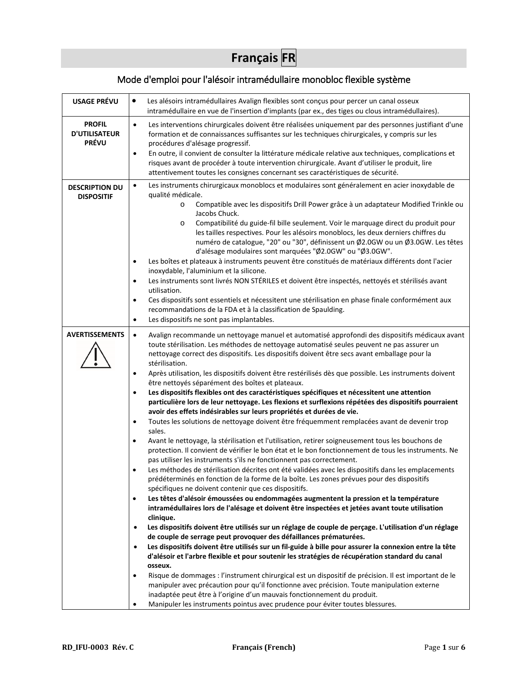# **Français FR**

# Mode d'emploi pour l'alésoir intramédullaire monobloc flexible système

| <b>USAGE PRÉVU</b>    | $\bullet$                                                                                                                                                                                   |
|-----------------------|---------------------------------------------------------------------------------------------------------------------------------------------------------------------------------------------|
|                       | Les alésoirs intramédullaires Avalign flexibles sont conçus pour percer un canal osseux<br>intramédullaire en vue de l'insertion d'implants (par ex., des tiges ou clous intramédullaires). |
|                       |                                                                                                                                                                                             |
| <b>PROFIL</b>         | Les interventions chirurgicales doivent être réalisées uniquement par des personnes justifiant d'une<br>$\bullet$                                                                           |
| <b>D'UTILISATEUR</b>  | formation et de connaissances suffisantes sur les techniques chirurgicales, y compris sur les                                                                                               |
| <b>PRÉVU</b>          | procédures d'alésage progressif.                                                                                                                                                            |
|                       | En outre, il convient de consulter la littérature médicale relative aux techniques, complications et<br>$\bullet$                                                                           |
|                       | risques avant de procéder à toute intervention chirurgicale. Avant d'utiliser le produit, lire                                                                                              |
|                       | attentivement toutes les consignes concernant ses caractéristiques de sécurité.                                                                                                             |
| <b>DESCRIPTION DU</b> | Les instruments chirurgicaux monoblocs et modulaires sont généralement en acier inoxydable de<br>$\bullet$                                                                                  |
| <b>DISPOSITIF</b>     | qualité médicale.                                                                                                                                                                           |
|                       | Compatible avec les dispositifs Drill Power grâce à un adaptateur Modified Trinkle ou<br>$\circ$                                                                                            |
|                       | Jacobs Chuck.                                                                                                                                                                               |
|                       | Compatibilité du guide-fil bille seulement. Voir le marquage direct du produit pour<br>$\circ$                                                                                              |
|                       | les tailles respectives. Pour les alésoirs monoblocs, les deux derniers chiffres du                                                                                                         |
|                       | numéro de catalogue, "20" ou "30", définissent un Ø2.0GW ou un Ø3.0GW. Les têtes                                                                                                            |
|                       | d'alésage modulaires sont marquées "Ø2.0GW" ou "Ø3.0GW".                                                                                                                                    |
|                       | Les boîtes et plateaux à instruments peuvent être constitués de matériaux différents dont l'acier<br>$\bullet$                                                                              |
|                       | inoxydable, l'aluminium et la silicone.                                                                                                                                                     |
|                       | Les instruments sont livrés NON STÉRILES et doivent être inspectés, nettoyés et stérilisés avant<br>$\bullet$                                                                               |
|                       | utilisation.                                                                                                                                                                                |
|                       | Ces dispositifs sont essentiels et nécessitent une stérilisation en phase finale conformément aux<br>$\bullet$                                                                              |
|                       | recommandations de la FDA et à la classification de Spaulding.                                                                                                                              |
|                       | Les dispositifs ne sont pas implantables.<br>$\bullet$                                                                                                                                      |
| <b>AVERTISSEMENTS</b> | Avalign recommande un nettoyage manuel et automatisé approfondi des dispositifs médicaux avant<br>$\bullet$                                                                                 |
|                       | toute stérilisation. Les méthodes de nettoyage automatisé seules peuvent ne pas assurer un                                                                                                  |
|                       | nettoyage correct des dispositifs. Les dispositifs doivent être secs avant emballage pour la                                                                                                |
|                       | stérilisation.                                                                                                                                                                              |
|                       | Après utilisation, les dispositifs doivent être restérilisés dès que possible. Les instruments doivent<br>$\bullet$                                                                         |
|                       | être nettoyés séparément des boîtes et plateaux.                                                                                                                                            |
|                       | Les dispositifs flexibles ont des caractéristiques spécifiques et nécessitent une attention<br>$\bullet$                                                                                    |
|                       | particulière lors de leur nettoyage. Les flexions et surflexions répétées des dispositifs pourraient                                                                                        |
|                       | avoir des effets indésirables sur leurs propriétés et durées de vie.                                                                                                                        |
|                       | Toutes les solutions de nettoyage doivent être fréquemment remplacées avant de devenir trop<br>$\bullet$                                                                                    |
|                       | sales.                                                                                                                                                                                      |
|                       | Avant le nettoyage, la stérilisation et l'utilisation, retirer soigneusement tous les bouchons de<br>$\bullet$                                                                              |
|                       | protection. Il convient de vérifier le bon état et le bon fonctionnement de tous les instruments. Ne                                                                                        |
|                       | pas utiliser les instruments s'ils ne fonctionnent pas correctement.                                                                                                                        |
|                       | Les méthodes de stérilisation décrites ont été validées avec les dispositifs dans les emplacements<br>٠                                                                                     |
|                       | prédéterminés en fonction de la forme de la boîte. Les zones prévues pour des dispositifs                                                                                                   |
|                       | spécifiques ne doivent contenir que ces dispositifs.                                                                                                                                        |
|                       | Les têtes d'alésoir émoussées ou endommagées augmentent la pression et la température<br>$\bullet$                                                                                          |
|                       | intramédullaires lors de l'alésage et doivent être inspectées et jetées avant toute utilisation                                                                                             |
|                       | clinique.                                                                                                                                                                                   |
|                       | Les dispositifs doivent être utilisés sur un réglage de couple de perçage. L'utilisation d'un réglage<br>$\bullet$                                                                          |
|                       | de couple de serrage peut provoquer des défaillances prématurées.                                                                                                                           |
|                       | Les dispositifs doivent être utilisés sur un fil-guide à bille pour assurer la connexion entre la tête<br>$\bullet$                                                                         |
|                       | d'alésoir et l'arbre flexible et pour soutenir les stratégies de récupération standard du canal                                                                                             |
|                       | osseux.                                                                                                                                                                                     |
|                       | Risque de dommages : l'instrument chirurgical est un dispositif de précision. Il est important de le<br>$\bullet$                                                                           |
|                       | manipuler avec précaution pour qu'il fonctionne avec précision. Toute manipulation externe                                                                                                  |
|                       | inadaptée peut être à l'origine d'un mauvais fonctionnement du produit.                                                                                                                     |
|                       | Manipuler les instruments pointus avec prudence pour éviter toutes blessures.<br>٠                                                                                                          |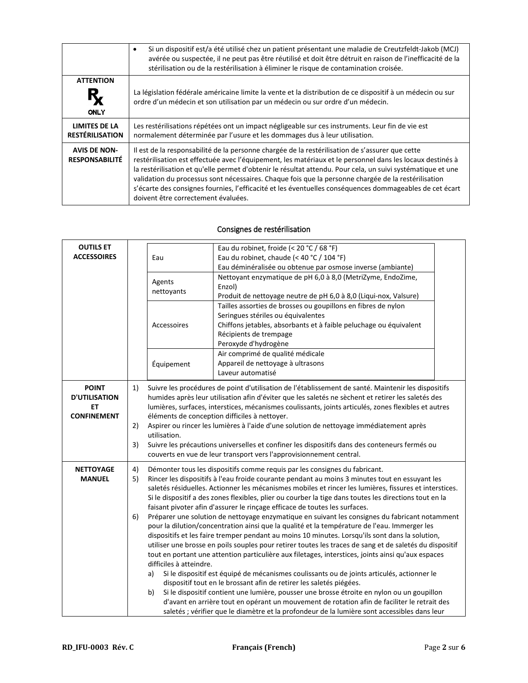|                                              | Si un dispositif est/a été utilisé chez un patient présentant une maladie de Creutzfeldt-Jakob (MCJ)<br>$\bullet$<br>avérée ou suspectée, il ne peut pas être réutilisé et doit être détruit en raison de l'inefficacité de la<br>stérilisation ou de la restérilisation à éliminer le risque de contamination croisée.                                                                                                                                                                                                                                                              |
|----------------------------------------------|--------------------------------------------------------------------------------------------------------------------------------------------------------------------------------------------------------------------------------------------------------------------------------------------------------------------------------------------------------------------------------------------------------------------------------------------------------------------------------------------------------------------------------------------------------------------------------------|
| <b>ATTENTION</b>                             | La législation fédérale américaine limite la vente et la distribution de ce dispositif à un médecin ou sur                                                                                                                                                                                                                                                                                                                                                                                                                                                                           |
| <b>ONLY</b>                                  | ordre d'un médecin et son utilisation par un médecin ou sur ordre d'un médecin.                                                                                                                                                                                                                                                                                                                                                                                                                                                                                                      |
| <b>LIMITES DE LA</b>                         | Les restérilisations répétées ont un impact négligeable sur ces instruments. Leur fin de vie est                                                                                                                                                                                                                                                                                                                                                                                                                                                                                     |
| <b>RESTÉRILISATION</b>                       | normalement déterminée par l'usure et les dommages dus à leur utilisation.                                                                                                                                                                                                                                                                                                                                                                                                                                                                                                           |
| <b>AVIS DE NON-</b><br><b>RESPONSABILITÉ</b> | Il est de la responsabilité de la personne chargée de la restérilisation de s'assurer que cette<br>restérilisation est effectuée avec l'équipement, les matériaux et le personnel dans les locaux destinés à<br>la restérilisation et qu'elle permet d'obtenir le résultat attendu. Pour cela, un suivi systématique et une<br>validation du processus sont nécessaires. Chaque fois que la personne chargée de la restérilisation<br>s'écarte des consignes fournies, l'efficacité et les éventuelles conséquences dommageables de cet écart<br>doivent être correctement évaluées. |

## Consignes de restérilisation

| <b>OUTILS ET</b><br><b>ACCESSOIRES</b>                           |                | Eau                                                                                                                                                                                                                                                                                                                                                                                                                                                                                                                                                                                                                                                                                                                                                                                                                                                                                                                                                                                                                                                                                                                                                                                                                                                                                                                                                                                                                                                                                                            | Eau du robinet, froide (< 20 °C / 68 °F)<br>Eau du robinet, chaude (< 40 °C / 104 °F)<br>Eau déminéralisée ou obtenue par osmose inverse (ambiante)                                                                        |  |  |
|------------------------------------------------------------------|----------------|----------------------------------------------------------------------------------------------------------------------------------------------------------------------------------------------------------------------------------------------------------------------------------------------------------------------------------------------------------------------------------------------------------------------------------------------------------------------------------------------------------------------------------------------------------------------------------------------------------------------------------------------------------------------------------------------------------------------------------------------------------------------------------------------------------------------------------------------------------------------------------------------------------------------------------------------------------------------------------------------------------------------------------------------------------------------------------------------------------------------------------------------------------------------------------------------------------------------------------------------------------------------------------------------------------------------------------------------------------------------------------------------------------------------------------------------------------------------------------------------------------------|----------------------------------------------------------------------------------------------------------------------------------------------------------------------------------------------------------------------------|--|--|
|                                                                  |                | Agents<br>nettoyants                                                                                                                                                                                                                                                                                                                                                                                                                                                                                                                                                                                                                                                                                                                                                                                                                                                                                                                                                                                                                                                                                                                                                                                                                                                                                                                                                                                                                                                                                           | Nettoyant enzymatique de pH 6,0 à 8,0 (MetriZyme, EndoZime,<br>Enzol)<br>Produit de nettoyage neutre de pH 6,0 à 8,0 (Liqui-nox, Valsure)                                                                                  |  |  |
|                                                                  |                | Accessoires                                                                                                                                                                                                                                                                                                                                                                                                                                                                                                                                                                                                                                                                                                                                                                                                                                                                                                                                                                                                                                                                                                                                                                                                                                                                                                                                                                                                                                                                                                    | Tailles assorties de brosses ou goupillons en fibres de nylon<br>Seringues stériles ou équivalentes<br>Chiffons jetables, absorbants et à faible peluchage ou équivalent<br>Récipients de trempage<br>Peroxyde d'hydrogène |  |  |
|                                                                  |                | Équipement                                                                                                                                                                                                                                                                                                                                                                                                                                                                                                                                                                                                                                                                                                                                                                                                                                                                                                                                                                                                                                                                                                                                                                                                                                                                                                                                                                                                                                                                                                     | Air comprimé de qualité médicale<br>Appareil de nettoyage à ultrasons<br>Laveur automatisé                                                                                                                                 |  |  |
| <b>POINT</b><br><b>D'UTILISATION</b><br>ET<br><b>CONFINEMENT</b> | 1)<br>2)<br>3) | Suivre les procédures de point d'utilisation de l'établissement de santé. Maintenir les dispositifs<br>humides après leur utilisation afin d'éviter que les saletés ne sèchent et retirer les saletés des<br>lumières, surfaces, interstices, mécanismes coulissants, joints articulés, zones flexibles et autres<br>éléments de conception difficiles à nettoyer.<br>Aspirer ou rincer les lumières à l'aide d'une solution de nettoyage immédiatement après<br>utilisation.<br>Suivre les précautions universelles et confiner les dispositifs dans des conteneurs fermés ou<br>couverts en vue de leur transport vers l'approvisionnement central.                                                                                                                                                                                                                                                                                                                                                                                                                                                                                                                                                                                                                                                                                                                                                                                                                                                          |                                                                                                                                                                                                                            |  |  |
| <b>NETTOYAGE</b><br><b>MANUEL</b>                                | 4)<br>5)<br>6) | Démonter tous les dispositifs comme requis par les consignes du fabricant.<br>Rincer les dispositifs à l'eau froide courante pendant au moins 3 minutes tout en essuyant les<br>saletés résiduelles. Actionner les mécanismes mobiles et rincer les lumières, fissures et interstices.<br>Si le dispositif a des zones flexibles, plier ou courber la tige dans toutes les directions tout en la<br>faisant pivoter afin d'assurer le rinçage efficace de toutes les surfaces.<br>Préparer une solution de nettoyage enzymatique en suivant les consignes du fabricant notamment<br>pour la dilution/concentration ainsi que la qualité et la température de l'eau. Immerger les<br>dispositifs et les faire tremper pendant au moins 10 minutes. Lorsqu'ils sont dans la solution,<br>utiliser une brosse en poils souples pour retirer toutes les traces de sang et de saletés du dispositif<br>tout en portant une attention particulière aux filetages, interstices, joints ainsi qu'aux espaces<br>difficiles à atteindre.<br>Si le dispositif est équipé de mécanismes coulissants ou de joints articulés, actionner le<br>a)<br>dispositif tout en le brossant afin de retirer les saletés piégées.<br>Si le dispositif contient une lumière, pousser une brosse étroite en nylon ou un goupillon<br>b)<br>d'avant en arrière tout en opérant un mouvement de rotation afin de faciliter le retrait des<br>saletés ; vérifier que le diamètre et la profondeur de la lumière sont accessibles dans leur |                                                                                                                                                                                                                            |  |  |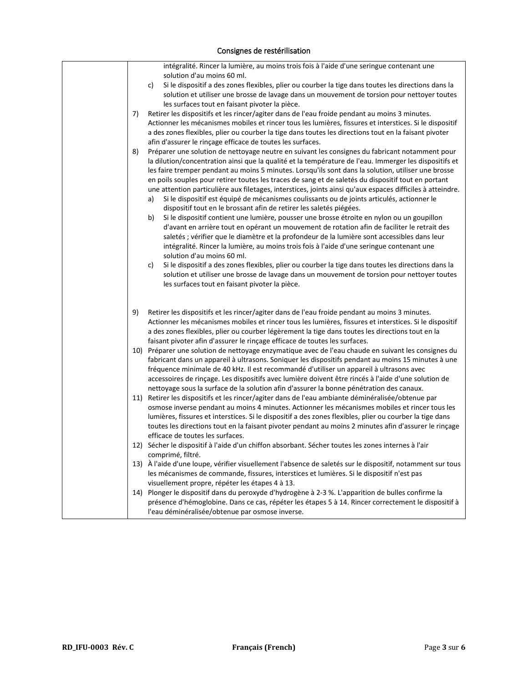| intégralité. Rincer la lumière, au moins trois fois à l'aide d'une seringue contenant une<br>solution d'au moins 60 ml.                                                                                                                                                                                                                                                                                                                                                                                                                                                                                                                                                                                                                                                                                                                                                                                                                                                                                                                                                                                                                              |
|------------------------------------------------------------------------------------------------------------------------------------------------------------------------------------------------------------------------------------------------------------------------------------------------------------------------------------------------------------------------------------------------------------------------------------------------------------------------------------------------------------------------------------------------------------------------------------------------------------------------------------------------------------------------------------------------------------------------------------------------------------------------------------------------------------------------------------------------------------------------------------------------------------------------------------------------------------------------------------------------------------------------------------------------------------------------------------------------------------------------------------------------------|
| Si le dispositif a des zones flexibles, plier ou courber la tige dans toutes les directions dans la<br>C)<br>solution et utiliser une brosse de lavage dans un mouvement de torsion pour nettoyer toutes<br>les surfaces tout en faisant pivoter la pièce.                                                                                                                                                                                                                                                                                                                                                                                                                                                                                                                                                                                                                                                                                                                                                                                                                                                                                           |
| 7)<br>Retirer les dispositifs et les rincer/agiter dans de l'eau froide pendant au moins 3 minutes.<br>Actionner les mécanismes mobiles et rincer tous les lumières, fissures et interstices. Si le dispositif<br>a des zones flexibles, plier ou courber la tige dans toutes les directions tout en la faisant pivoter<br>afin d'assurer le rinçage efficace de toutes les surfaces.                                                                                                                                                                                                                                                                                                                                                                                                                                                                                                                                                                                                                                                                                                                                                                |
| 8)<br>Préparer une solution de nettoyage neutre en suivant les consignes du fabricant notamment pour<br>la dilution/concentration ainsi que la qualité et la température de l'eau. Immerger les dispositifs et<br>les faire tremper pendant au moins 5 minutes. Lorsqu'ils sont dans la solution, utiliser une brosse<br>en poils souples pour retirer toutes les traces de sang et de saletés du dispositif tout en portant<br>une attention particulière aux filetages, interstices, joints ainsi qu'aux espaces difficiles à atteindre.<br>Si le dispositif est équipé de mécanismes coulissants ou de joints articulés, actionner le<br>a)<br>dispositif tout en le brossant afin de retirer les saletés piégées.<br>Si le dispositif contient une lumière, pousser une brosse étroite en nylon ou un goupillon<br>b)<br>d'avant en arrière tout en opérant un mouvement de rotation afin de faciliter le retrait des<br>saletés ; vérifier que le diamètre et la profondeur de la lumière sont accessibles dans leur<br>intégralité. Rincer la lumière, au moins trois fois à l'aide d'une seringue contenant une<br>solution d'au moins 60 ml. |
| Si le dispositif a des zones flexibles, plier ou courber la tige dans toutes les directions dans la<br>c)<br>solution et utiliser une brosse de lavage dans un mouvement de torsion pour nettoyer toutes<br>les surfaces tout en faisant pivoter la pièce.                                                                                                                                                                                                                                                                                                                                                                                                                                                                                                                                                                                                                                                                                                                                                                                                                                                                                           |
| 9)<br>Retirer les dispositifs et les rincer/agiter dans de l'eau froide pendant au moins 3 minutes.<br>Actionner les mécanismes mobiles et rincer tous les lumières, fissures et interstices. Si le dispositif<br>a des zones flexibles, plier ou courber légèrement la tige dans toutes les directions tout en la<br>faisant pivoter afin d'assurer le rinçage efficace de toutes les surfaces.                                                                                                                                                                                                                                                                                                                                                                                                                                                                                                                                                                                                                                                                                                                                                     |
| 10) Préparer une solution de nettoyage enzymatique avec de l'eau chaude en suivant les consignes du<br>fabricant dans un appareil à ultrasons. Soniquer les dispositifs pendant au moins 15 minutes à une<br>fréquence minimale de 40 kHz. Il est recommandé d'utiliser un appareil à ultrasons avec<br>accessoires de rinçage. Les dispositifs avec lumière doivent être rincés à l'aide d'une solution de<br>nettoyage sous la surface de la solution afin d'assurer la bonne pénétration des canaux.                                                                                                                                                                                                                                                                                                                                                                                                                                                                                                                                                                                                                                              |
| 11) Retirer les dispositifs et les rincer/agiter dans de l'eau ambiante déminéralisée/obtenue par<br>osmose inverse pendant au moins 4 minutes. Actionner les mécanismes mobiles et rincer tous les<br>lumières, fissures et interstices. Si le dispositif a des zones flexibles, plier ou courber la tige dans<br>toutes les directions tout en la faisant pivoter pendant au moins 2 minutes afin d'assurer le rinçage<br>efficace de toutes les surfaces.                                                                                                                                                                                                                                                                                                                                                                                                                                                                                                                                                                                                                                                                                         |
| 12) Sécher le dispositif à l'aide d'un chiffon absorbant. Sécher toutes les zones internes à l'air                                                                                                                                                                                                                                                                                                                                                                                                                                                                                                                                                                                                                                                                                                                                                                                                                                                                                                                                                                                                                                                   |
| comprimé, filtré.<br>13) À l'aide d'une loupe, vérifier visuellement l'absence de saletés sur le dispositif, notamment sur tous<br>les mécanismes de commande, fissures, interstices et lumières. Si le dispositif n'est pas<br>visuellement propre, répéter les étapes 4 à 13.                                                                                                                                                                                                                                                                                                                                                                                                                                                                                                                                                                                                                                                                                                                                                                                                                                                                      |
| 14) Plonger le dispositif dans du peroxyde d'hydrogène à 2-3 %. L'apparition de bulles confirme la<br>présence d'hémoglobine. Dans ce cas, répéter les étapes 5 à 14. Rincer correctement le dispositif à<br>l'eau déminéralisée/obtenue par osmose inverse.                                                                                                                                                                                                                                                                                                                                                                                                                                                                                                                                                                                                                                                                                                                                                                                                                                                                                         |

## Consignes de restérilisation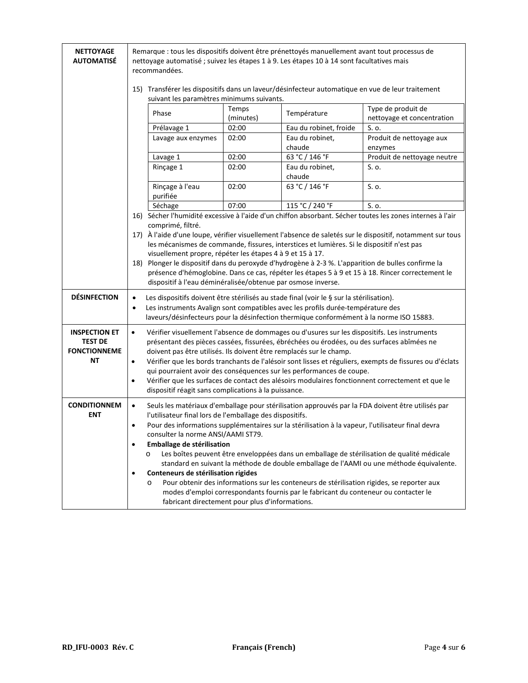| <b>NETTOYAGE</b><br><b>AUTOMATISE</b> | Remarque : tous les dispositifs doivent être prénettoyés manuellement avant tout processus de<br>nettoyage automatisé ; suivez les étapes 1 à 9. Les étapes 10 à 14 sont facultatives mais<br>recommandées. |                    |                                                                                                                                                                                   |                                                                                                            |  |
|---------------------------------------|-------------------------------------------------------------------------------------------------------------------------------------------------------------------------------------------------------------|--------------------|-----------------------------------------------------------------------------------------------------------------------------------------------------------------------------------|------------------------------------------------------------------------------------------------------------|--|
|                                       | 15) Transférer les dispositifs dans un laveur/désinfecteur automatique en vue de leur traitement<br>suivant les paramètres minimums suivants.                                                               |                    |                                                                                                                                                                                   |                                                                                                            |  |
|                                       | Phase                                                                                                                                                                                                       | Temps<br>(minutes) | Température                                                                                                                                                                       | Type de produit de<br>nettoyage et concentration                                                           |  |
|                                       | Prélavage 1                                                                                                                                                                                                 | 02:00              | Eau du robinet, froide                                                                                                                                                            | S. o.                                                                                                      |  |
|                                       | Lavage aux enzymes                                                                                                                                                                                          | 02:00              | Eau du robinet,<br>chaude                                                                                                                                                         | Produit de nettoyage aux<br>enzymes                                                                        |  |
|                                       | Lavage 1                                                                                                                                                                                                    | 02:00              | 63 °C / 146 °F                                                                                                                                                                    | Produit de nettoyage neutre                                                                                |  |
|                                       | Rinçage 1                                                                                                                                                                                                   | 02:00              | Eau du robinet,<br>chaude                                                                                                                                                         | S. o.                                                                                                      |  |
|                                       | Rinçage à l'eau<br>purifiée                                                                                                                                                                                 | 02:00              | 63 °C / 146 °F                                                                                                                                                                    | S. o.                                                                                                      |  |
|                                       | Séchage                                                                                                                                                                                                     | 07:00              | 115 °C / 240 °F                                                                                                                                                                   | S. o.                                                                                                      |  |
|                                       |                                                                                                                                                                                                             |                    |                                                                                                                                                                                   | 16) Sécher l'humidité excessive à l'aide d'un chiffon absorbant. Sécher toutes les zones internes à l'air  |  |
|                                       | comprimé, filtré.                                                                                                                                                                                           |                    |                                                                                                                                                                                   | 17) À l'aide d'une loupe, vérifier visuellement l'absence de saletés sur le dispositif, notamment sur tous |  |
|                                       |                                                                                                                                                                                                             |                    | les mécanismes de commande, fissures, interstices et lumières. Si le dispositif n'est pas                                                                                         |                                                                                                            |  |
|                                       | visuellement propre, répéter les étapes 4 à 9 et 15 à 17.                                                                                                                                                   |                    |                                                                                                                                                                                   |                                                                                                            |  |
|                                       | 18) Plonger le dispositif dans du peroxyde d'hydrogène à 2-3 %. L'apparition de bulles confirme la                                                                                                          |                    |                                                                                                                                                                                   |                                                                                                            |  |
|                                       | dispositif à l'eau déminéralisée/obtenue par osmose inverse.                                                                                                                                                |                    |                                                                                                                                                                                   | présence d'hémoglobine. Dans ce cas, répéter les étapes 5 à 9 et 15 à 18. Rincer correctement le           |  |
| <b>DÉSINFECTION</b>                   | $\bullet$                                                                                                                                                                                                   |                    | Les dispositifs doivent être stérilisés au stade final (voir le § sur la stérilisation).                                                                                          |                                                                                                            |  |
|                                       | $\bullet$                                                                                                                                                                                                   |                    | Les instruments Avalign sont compatibles avec les profils durée-température des                                                                                                   |                                                                                                            |  |
|                                       |                                                                                                                                                                                                             |                    | laveurs/désinfecteurs pour la désinfection thermique conformément à la norme ISO 15883.                                                                                           |                                                                                                            |  |
| <b>INSPECTION ET</b>                  | $\bullet$                                                                                                                                                                                                   |                    | Vérifier visuellement l'absence de dommages ou d'usures sur les dispositifs. Les instruments                                                                                      |                                                                                                            |  |
| <b>TEST DE</b>                        |                                                                                                                                                                                                             |                    | présentant des pièces cassées, fissurées, ébréchées ou érodées, ou des surfaces abîmées ne                                                                                        |                                                                                                            |  |
| <b>FONCTIONNEME</b><br>ΝT             | doivent pas être utilisés. Ils doivent être remplacés sur le champ.<br>$\bullet$                                                                                                                            |                    |                                                                                                                                                                                   |                                                                                                            |  |
|                                       | Vérifier que les bords tranchants de l'alésoir sont lisses et réguliers, exempts de fissures ou d'éclats<br>qui pourraient avoir des conséquences sur les performances de coupe.                            |                    |                                                                                                                                                                                   |                                                                                                            |  |
|                                       | Vérifier que les surfaces de contact des alésoirs modulaires fonctionnent correctement et que le<br>$\bullet$                                                                                               |                    |                                                                                                                                                                                   |                                                                                                            |  |
|                                       | dispositif réagit sans complications à la puissance.                                                                                                                                                        |                    |                                                                                                                                                                                   |                                                                                                            |  |
| <b>CONDITIONNEM</b>                   | $\bullet$                                                                                                                                                                                                   |                    |                                                                                                                                                                                   | Seuls les matériaux d'emballage pour stérilisation approuvés par la FDA doivent être utilisés par          |  |
| <b>ENT</b>                            | l'utilisateur final lors de l'emballage des dispositifs.                                                                                                                                                    |                    |                                                                                                                                                                                   |                                                                                                            |  |
|                                       | $\bullet$                                                                                                                                                                                                   |                    | Pour des informations supplémentaires sur la stérilisation à la vapeur, l'utilisateur final devra                                                                                 |                                                                                                            |  |
|                                       | consulter la norme ANSI/AAMI ST79.<br>Emballage de stérilisation<br>$\bullet$                                                                                                                               |                    |                                                                                                                                                                                   |                                                                                                            |  |
|                                       | $\circ$                                                                                                                                                                                                     |                    |                                                                                                                                                                                   | Les boîtes peuvent être enveloppées dans un emballage de stérilisation de qualité médicale                 |  |
|                                       |                                                                                                                                                                                                             |                    |                                                                                                                                                                                   | standard en suivant la méthode de double emballage de l'AAMI ou une méthode équivalente.                   |  |
|                                       | Conteneurs de stérilisation rigides<br>$\bullet$                                                                                                                                                            |                    |                                                                                                                                                                                   |                                                                                                            |  |
|                                       | $\circ$                                                                                                                                                                                                     |                    | Pour obtenir des informations sur les conteneurs de stérilisation rigides, se reporter aux<br>modes d'emploi correspondants fournis par le fabricant du conteneur ou contacter le |                                                                                                            |  |
|                                       | fabricant directement pour plus d'informations.                                                                                                                                                             |                    |                                                                                                                                                                                   |                                                                                                            |  |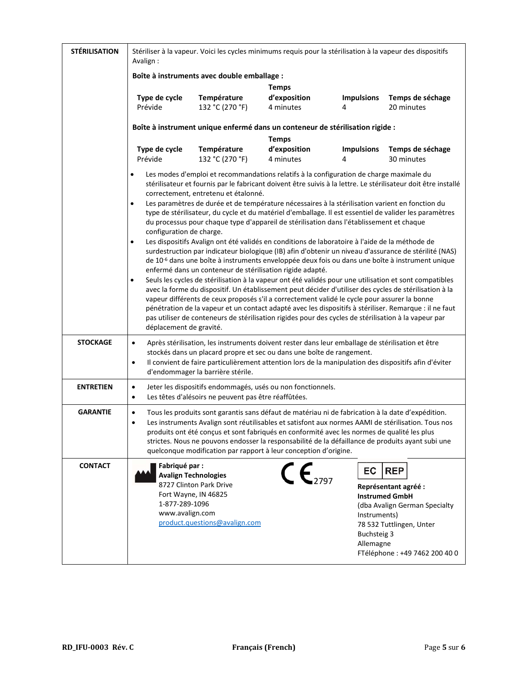| <b>STÉRILISATION</b> | Stériliser à la vapeur. Voici les cycles minimums requis pour la stérilisation à la vapeur des dispositifs<br>Avalign:                                                                                                                                                                                                                                                                                                                                                                                                                                                                                                                                                                                                                                                                                                                                                                                                                                                                                                                                                                                 |                                                                               |                                           |                                                       |                                                                                                                                                            |  |
|----------------------|--------------------------------------------------------------------------------------------------------------------------------------------------------------------------------------------------------------------------------------------------------------------------------------------------------------------------------------------------------------------------------------------------------------------------------------------------------------------------------------------------------------------------------------------------------------------------------------------------------------------------------------------------------------------------------------------------------------------------------------------------------------------------------------------------------------------------------------------------------------------------------------------------------------------------------------------------------------------------------------------------------------------------------------------------------------------------------------------------------|-------------------------------------------------------------------------------|-------------------------------------------|-------------------------------------------------------|------------------------------------------------------------------------------------------------------------------------------------------------------------|--|
|                      | Boîte à instruments avec double emballage :                                                                                                                                                                                                                                                                                                                                                                                                                                                                                                                                                                                                                                                                                                                                                                                                                                                                                                                                                                                                                                                            |                                                                               |                                           |                                                       |                                                                                                                                                            |  |
|                      | <b>Temps</b>                                                                                                                                                                                                                                                                                                                                                                                                                                                                                                                                                                                                                                                                                                                                                                                                                                                                                                                                                                                                                                                                                           |                                                                               |                                           |                                                       |                                                                                                                                                            |  |
|                      | Type de cycle<br>Prévide                                                                                                                                                                                                                                                                                                                                                                                                                                                                                                                                                                                                                                                                                                                                                                                                                                                                                                                                                                                                                                                                               | Température<br>132 °C (270 °F)                                                | d'exposition<br>4 minutes                 | <b>Impulsions</b><br>4                                | Temps de séchage<br>20 minutes                                                                                                                             |  |
|                      |                                                                                                                                                                                                                                                                                                                                                                                                                                                                                                                                                                                                                                                                                                                                                                                                                                                                                                                                                                                                                                                                                                        | Boîte à instrument unique enfermé dans un conteneur de stérilisation rigide : |                                           |                                                       |                                                                                                                                                            |  |
|                      | Type de cycle<br>Prévide                                                                                                                                                                                                                                                                                                                                                                                                                                                                                                                                                                                                                                                                                                                                                                                                                                                                                                                                                                                                                                                                               | Température<br>132 °C (270 °F)                                                | <b>Temps</b><br>d'exposition<br>4 minutes | <b>Impulsions</b><br>4                                | Temps de séchage<br>30 minutes                                                                                                                             |  |
|                      | Les modes d'emploi et recommandations relatifs à la configuration de charge maximale du<br>stérilisateur et fournis par le fabricant doivent être suivis à la lettre. Le stérilisateur doit être installé<br>correctement, entretenu et étalonné.<br>Les paramètres de durée et de température nécessaires à la stérilisation varient en fonction du<br>$\bullet$<br>type de stérilisateur, du cycle et du matériel d'emballage. Il est essentiel de valider les paramètres                                                                                                                                                                                                                                                                                                                                                                                                                                                                                                                                                                                                                            |                                                                               |                                           |                                                       |                                                                                                                                                            |  |
|                      | du processus pour chaque type d'appareil de stérilisation dans l'établissement et chaque<br>configuration de charge.<br>Les dispositifs Avalign ont été validés en conditions de laboratoire à l'aide de la méthode de<br>$\bullet$<br>surdestruction par indicateur biologique (IB) afin d'obtenir un niveau d'assurance de stérilité (NAS)<br>de 10 <sup>-6</sup> dans une boîte à instruments enveloppée deux fois ou dans une boîte à instrument unique<br>enfermé dans un conteneur de stérilisation rigide adapté.<br>Seuls les cycles de stérilisation à la vapeur ont été validés pour une utilisation et sont compatibles<br>$\bullet$<br>avec la forme du dispositif. Un établissement peut décider d'utiliser des cycles de stérilisation à la<br>vapeur différents de ceux proposés s'il a correctement validé le cycle pour assurer la bonne<br>pénétration de la vapeur et un contact adapté avec les dispositifs à stériliser. Remarque : il ne faut<br>pas utiliser de conteneurs de stérilisation rigides pour des cycles de stérilisation à la vapeur par<br>déplacement de gravité. |                                                                               |                                           |                                                       |                                                                                                                                                            |  |
| <b>STOCKAGE</b>      | Après stérilisation, les instruments doivent rester dans leur emballage de stérilisation et être<br>$\bullet$<br>stockés dans un placard propre et sec ou dans une boîte de rangement.<br>Il convient de faire particulièrement attention lors de la manipulation des dispositifs afin d'éviter<br>$\bullet$<br>d'endommager la barrière stérile.                                                                                                                                                                                                                                                                                                                                                                                                                                                                                                                                                                                                                                                                                                                                                      |                                                                               |                                           |                                                       |                                                                                                                                                            |  |
| <b>ENTRETIEN</b>     | Jeter les dispositifs endommagés, usés ou non fonctionnels.<br>$\bullet$<br>Les têtes d'alésoirs ne peuvent pas être réaffûtées.<br>$\bullet$                                                                                                                                                                                                                                                                                                                                                                                                                                                                                                                                                                                                                                                                                                                                                                                                                                                                                                                                                          |                                                                               |                                           |                                                       |                                                                                                                                                            |  |
| <b>GARANTIE</b>      | Tous les produits sont garantis sans défaut de matériau ni de fabrication à la date d'expédition.<br>$\bullet$<br>Les instruments Avalign sont réutilisables et satisfont aux normes AAMI de stérilisation. Tous nos<br>$\bullet$<br>produits ont été conçus et sont fabriqués en conformité avec les normes de qualité les plus<br>strictes. Nous ne pouvons endosser la responsabilité de la défaillance de produits ayant subi une<br>quelconque modification par rapport à leur conception d'origine.                                                                                                                                                                                                                                                                                                                                                                                                                                                                                                                                                                                              |                                                                               |                                           |                                                       |                                                                                                                                                            |  |
| <b>CONTACT</b>       | Fabriqué par :<br><b>Avalign Technologies</b><br>Fort Wayne, IN 46825<br>1-877-289-1096<br>www.avalign.com                                                                                                                                                                                                                                                                                                                                                                                                                                                                                                                                                                                                                                                                                                                                                                                                                                                                                                                                                                                             | 8727 Clinton Park Drive<br>product.questions@avalign.com                      | $\mathsf{CE}_{2797}$                      | EC<br>Instruments)<br><b>Buchsteig 3</b><br>Allemagne | <b>REP</b><br>Représentant agréé :<br><b>Instrumed GmbH</b><br>(dba Avalign German Specialty<br>78 532 Tuttlingen, Unter<br>FTéléphone : +49 7462 200 40 0 |  |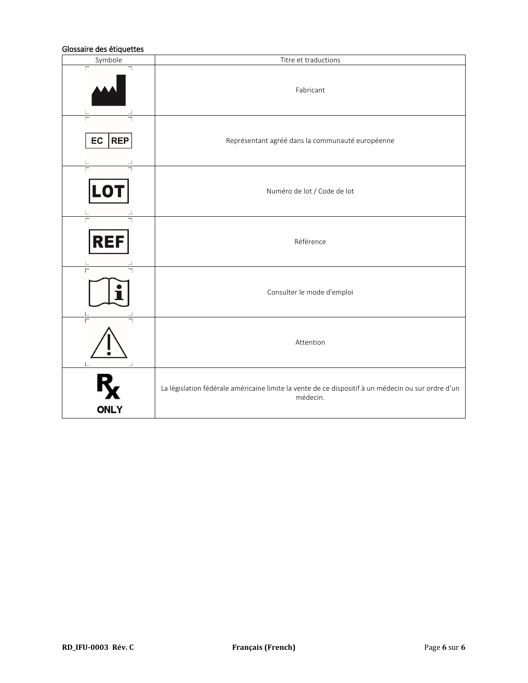### Glossaire des étiquettes

| Symbole          | Titre et traductions                                                                                           |
|------------------|----------------------------------------------------------------------------------------------------------------|
| Г                | Fabricant                                                                                                      |
| EC<br><b>REP</b> | Représentant agréé dans la communauté européenne                                                               |
| LO'              | Numéro de lot / Code de lot                                                                                    |
| REI              | Référence                                                                                                      |
|                  | Consulter le mode d'emploi                                                                                     |
|                  | Attention                                                                                                      |
| <b>ONLY</b>      | La législation fédérale américaine limite la vente de ce dispositif à un médecin ou sur ordre d'un<br>médecin. |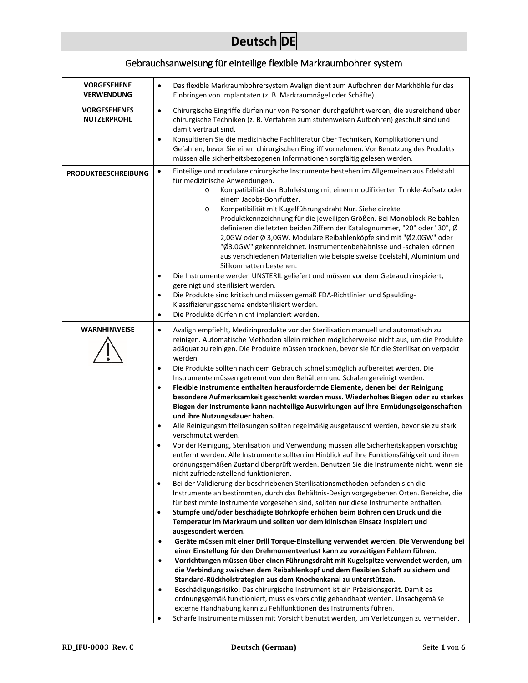# **Deutsch DE**

# Gebrauchsanweisung für einteilige flexible Markraumbohrer system

| <b>VORGESEHENE</b><br><b>VERWENDUNG</b>    | Das flexible Markraumbohrersystem Avalign dient zum Aufbohren der Markhöhle für das<br>$\bullet$<br>Einbringen von Implantaten (z. B. Markraumnägel oder Schäfte).                                                                                                                                                                                                                                                                                                                                                                                                                                                                                                                                                                                                                                                                                                                                                                                                                                                                                                                                                                                                                                                                                                                                                                                                                                                                                                                                                                                                                                                                                                                                                                                                                                                  |
|--------------------------------------------|---------------------------------------------------------------------------------------------------------------------------------------------------------------------------------------------------------------------------------------------------------------------------------------------------------------------------------------------------------------------------------------------------------------------------------------------------------------------------------------------------------------------------------------------------------------------------------------------------------------------------------------------------------------------------------------------------------------------------------------------------------------------------------------------------------------------------------------------------------------------------------------------------------------------------------------------------------------------------------------------------------------------------------------------------------------------------------------------------------------------------------------------------------------------------------------------------------------------------------------------------------------------------------------------------------------------------------------------------------------------------------------------------------------------------------------------------------------------------------------------------------------------------------------------------------------------------------------------------------------------------------------------------------------------------------------------------------------------------------------------------------------------------------------------------------------------|
| <b>VORGESEHENES</b><br><b>NUTZERPROFIL</b> | $\bullet$<br>Chirurgische Eingriffe dürfen nur von Personen durchgeführt werden, die ausreichend über<br>chirurgische Techniken (z. B. Verfahren zum stufenweisen Aufbohren) geschult sind und<br>damit vertraut sind.<br>Konsultieren Sie die medizinische Fachliteratur über Techniken, Komplikationen und<br>$\bullet$<br>Gefahren, bevor Sie einen chirurgischen Eingriff vornehmen. Vor Benutzung des Produkts<br>müssen alle sicherheitsbezogenen Informationen sorgfältig gelesen werden.                                                                                                                                                                                                                                                                                                                                                                                                                                                                                                                                                                                                                                                                                                                                                                                                                                                                                                                                                                                                                                                                                                                                                                                                                                                                                                                    |
| <b>PRODUKTBESCHREIBUNG</b>                 | Einteilige und modulare chirurgische Instrumente bestehen im Allgemeinen aus Edelstahl<br>$\bullet$<br>für medizinische Anwendungen.<br>Kompatibilität der Bohrleistung mit einem modifizierten Trinkle-Aufsatz oder<br>$\circ$<br>einem Jacobs-Bohrfutter.<br>Kompatibilität mit Kugelführungsdraht Nur. Siehe direkte<br>$\circ$<br>Produktkennzeichnung für die jeweiligen Größen. Bei Monoblock-Reibahlen<br>definieren die letzten beiden Ziffern der Katalognummer, "20" oder "30", Ø<br>2,0GW oder Ø 3,0GW. Modulare Reibahlenköpfe sind mit "Ø2.0GW" oder<br>"Ø3.0GW" gekennzeichnet. Instrumentenbehältnisse und -schalen können<br>aus verschiedenen Materialien wie beispielsweise Edelstahl, Aluminium und<br>Silikonmatten bestehen.<br>Die Instrumente werden UNSTERIL geliefert und müssen vor dem Gebrauch inspiziert,<br>$\bullet$<br>gereinigt und sterilisiert werden.<br>Die Produkte sind kritisch und müssen gemäß FDA-Richtlinien und Spaulding-<br>$\bullet$<br>Klassifizierungsschema endsterilisiert werden.                                                                                                                                                                                                                                                                                                                                                                                                                                                                                                                                                                                                                                                                                                                                                                              |
|                                            | Die Produkte dürfen nicht implantiert werden.<br>$\bullet$                                                                                                                                                                                                                                                                                                                                                                                                                                                                                                                                                                                                                                                                                                                                                                                                                                                                                                                                                                                                                                                                                                                                                                                                                                                                                                                                                                                                                                                                                                                                                                                                                                                                                                                                                          |
| <b>WARNHINWEISE</b>                        | Avalign empfiehlt, Medizinprodukte vor der Sterilisation manuell und automatisch zu<br>$\bullet$<br>reinigen. Automatische Methoden allein reichen möglicherweise nicht aus, um die Produkte<br>adäquat zu reinigen. Die Produkte müssen trocknen, bevor sie für die Sterilisation verpackt<br>werden.<br>Die Produkte sollten nach dem Gebrauch schnellstmöglich aufbereitet werden. Die<br>$\bullet$                                                                                                                                                                                                                                                                                                                                                                                                                                                                                                                                                                                                                                                                                                                                                                                                                                                                                                                                                                                                                                                                                                                                                                                                                                                                                                                                                                                                              |
|                                            | Instrumente müssen getrennt von den Behältern und Schalen gereinigt werden.<br>Flexible Instrumente enthalten herausfordernde Elemente, denen bei der Reinigung<br>$\bullet$<br>besondere Aufmerksamkeit geschenkt werden muss. Wiederholtes Biegen oder zu starkes<br>Biegen der Instrumente kann nachteilige Auswirkungen auf ihre Ermüdungseigenschaften<br>und ihre Nutzungsdauer haben.<br>Alle Reinigungsmittellösungen sollten regelmäßig ausgetauscht werden, bevor sie zu stark<br>$\bullet$<br>verschmutzt werden.<br>Vor der Reinigung, Sterilisation und Verwendung müssen alle Sicherheitskappen vorsichtig<br>$\bullet$<br>entfernt werden. Alle Instrumente sollten im Hinblick auf ihre Funktionsfähigkeit und ihren<br>ordnungsgemäßen Zustand überprüft werden. Benutzen Sie die Instrumente nicht, wenn sie<br>nicht zufriedenstellend funktionieren.<br>Bei der Validierung der beschriebenen Sterilisationsmethoden befanden sich die<br>$\bullet$<br>Instrumente an bestimmten, durch das Behältnis-Design vorgegebenen Orten. Bereiche, die<br>für bestimmte Instrumente vorgesehen sind, sollten nur diese Instrumente enthalten.<br>Stumpfe und/oder beschädigte Bohrköpfe erhöhen beim Bohren den Druck und die<br>$\bullet$<br>Temperatur im Markraum und sollten vor dem klinischen Einsatz inspiziert und<br>ausgesondert werden.<br>Geräte müssen mit einer Drill Torque-Einstellung verwendet werden. Die Verwendung bei<br>$\bullet$<br>einer Einstellung für den Drehmomentverlust kann zu vorzeitigen Fehlern führen.<br>Vorrichtungen müssen über einen Führungsdraht mit Kugelspitze verwendet werden, um<br>$\bullet$<br>die Verbindung zwischen dem Reibahlenkopf und dem flexiblen Schaft zu sichern und<br>Standard-Rückholstrategien aus dem Knochenkanal zu unterstützen. |
|                                            | Beschädigungsrisiko: Das chirurgische Instrument ist ein Präzisionsgerät. Damit es<br>$\bullet$<br>ordnungsgemäß funktioniert, muss es vorsichtig gehandhabt werden. Unsachgemäße<br>externe Handhabung kann zu Fehlfunktionen des Instruments führen.<br>Scharfe Instrumente müssen mit Vorsicht benutzt werden, um Verletzungen zu vermeiden.                                                                                                                                                                                                                                                                                                                                                                                                                                                                                                                                                                                                                                                                                                                                                                                                                                                                                                                                                                                                                                                                                                                                                                                                                                                                                                                                                                                                                                                                     |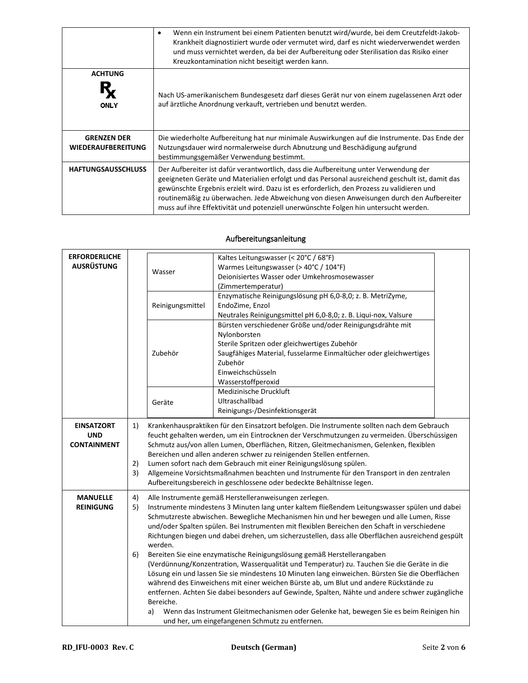|                                                 | Wenn ein Instrument bei einem Patienten benutzt wird/wurde, bei dem Creutzfeldt-Jakob-<br>٠<br>Krankheit diagnostiziert wurde oder vermutet wird, darf es nicht wiederverwendet werden<br>und muss vernichtet werden, da bei der Aufbereitung oder Sterilisation das Risiko einer<br>Kreuzkontamination nicht beseitigt werden kann.                                                                                                                                    |
|-------------------------------------------------|-------------------------------------------------------------------------------------------------------------------------------------------------------------------------------------------------------------------------------------------------------------------------------------------------------------------------------------------------------------------------------------------------------------------------------------------------------------------------|
| <b>ACHTUNG</b><br><b>ONLY</b>                   | Nach US-amerikanischem Bundesgesetz darf dieses Gerät nur von einem zugelassenen Arzt oder<br>auf ärztliche Anordnung verkauft, vertrieben und benutzt werden.                                                                                                                                                                                                                                                                                                          |
| <b>GRENZEN DER</b><br><b>WIEDERAUFBEREITUNG</b> | Die wiederholte Aufbereitung hat nur minimale Auswirkungen auf die Instrumente. Das Ende der<br>Nutzungsdauer wird normalerweise durch Abnutzung und Beschädigung aufgrund<br>bestimmungsgemäßer Verwendung bestimmt.                                                                                                                                                                                                                                                   |
| <b>HAFTUNGSAUSSCHLUSS</b>                       | Der Aufbereiter ist dafür verantwortlich, dass die Aufbereitung unter Verwendung der<br>geeigneten Geräte und Materialien erfolgt und das Personal ausreichend geschult ist, damit das<br>gewünschte Ergebnis erzielt wird. Dazu ist es erforderlich, den Prozess zu validieren und<br>routinemäßig zu überwachen. Jede Abweichung von diesen Anweisungen durch den Aufbereiter<br>muss auf ihre Effektivität und potenziell unerwünschte Folgen hin untersucht werden. |

## Aufbereitungsanleitung

| <b>ERFORDERLICHE</b><br><b>AUSRÜSTUNG</b>             |                | Kaltes Leitungswasser (< 20°C / 68°F)<br>Warmes Leitungswasser (> 40°C / 104°F)<br>Wasser<br>Deionisiertes Wasser oder Umkehrosmosewasser<br>(Zimmertemperatur)                                                                                                                                                                                                                                                                                                                                                                                                                                                                                                                                                                                                                                                                                                                                                                                                                                                                                             |                                                                                                                                                                                                                                                                                                                                                                                                                                                                                                                                                                                                          |  |
|-------------------------------------------------------|----------------|-------------------------------------------------------------------------------------------------------------------------------------------------------------------------------------------------------------------------------------------------------------------------------------------------------------------------------------------------------------------------------------------------------------------------------------------------------------------------------------------------------------------------------------------------------------------------------------------------------------------------------------------------------------------------------------------------------------------------------------------------------------------------------------------------------------------------------------------------------------------------------------------------------------------------------------------------------------------------------------------------------------------------------------------------------------|----------------------------------------------------------------------------------------------------------------------------------------------------------------------------------------------------------------------------------------------------------------------------------------------------------------------------------------------------------------------------------------------------------------------------------------------------------------------------------------------------------------------------------------------------------------------------------------------------------|--|
|                                                       |                | Reinigungsmittel                                                                                                                                                                                                                                                                                                                                                                                                                                                                                                                                                                                                                                                                                                                                                                                                                                                                                                                                                                                                                                            | Enzymatische Reinigungslösung pH 6,0-8,0; z. B. MetriZyme,<br>EndoZime, Enzol<br>Neutrales Reinigungsmittel pH 6,0-8,0; z. B. Liqui-nox, Valsure                                                                                                                                                                                                                                                                                                                                                                                                                                                         |  |
|                                                       |                | Zubehör                                                                                                                                                                                                                                                                                                                                                                                                                                                                                                                                                                                                                                                                                                                                                                                                                                                                                                                                                                                                                                                     | Bürsten verschiedener Größe und/oder Reinigungsdrähte mit<br>Nylonborsten<br>Sterile Spritzen oder gleichwertiges Zubehör<br>Saugfähiges Material, fusselarme Einmaltücher oder gleichwertiges<br>Zubehör<br>Einweichschüsseln<br>Wasserstoffperoxid                                                                                                                                                                                                                                                                                                                                                     |  |
|                                                       |                | Geräte                                                                                                                                                                                                                                                                                                                                                                                                                                                                                                                                                                                                                                                                                                                                                                                                                                                                                                                                                                                                                                                      | Medizinische Druckluft<br>Ultraschallbad<br>Reinigungs-/Desinfektionsgerät                                                                                                                                                                                                                                                                                                                                                                                                                                                                                                                               |  |
| <b>EINSATZORT</b><br><b>UND</b><br><b>CONTAINMENT</b> | 1)<br>2)<br>3) |                                                                                                                                                                                                                                                                                                                                                                                                                                                                                                                                                                                                                                                                                                                                                                                                                                                                                                                                                                                                                                                             | Krankenhauspraktiken für den Einsatzort befolgen. Die Instrumente sollten nach dem Gebrauch<br>feucht gehalten werden, um ein Eintrocknen der Verschmutzungen zu vermeiden. Überschüssigen<br>Schmutz aus/von allen Lumen, Oberflächen, Ritzen, Gleitmechanismen, Gelenken, flexiblen<br>Bereichen und allen anderen schwer zu reinigenden Stellen entfernen.<br>Lumen sofort nach dem Gebrauch mit einer Reinigungslösung spülen.<br>Allgemeine Vorsichtsmaßnahmen beachten und Instrumente für den Transport in den zentralen<br>Aufbereitungsbereich in geschlossene oder bedeckte Behältnisse legen. |  |
| <b>MANUELLE</b><br><b>REINIGUNG</b>                   | 4)<br>5)<br>6) | Alle Instrumente gemäß Herstelleranweisungen zerlegen.<br>Instrumente mindestens 3 Minuten lang unter kaltem fließendem Leitungswasser spülen und dabei<br>Schmutzreste abwischen. Bewegliche Mechanismen hin und her bewegen und alle Lumen, Risse<br>und/oder Spalten spülen. Bei Instrumenten mit flexiblen Bereichen den Schaft in verschiedene<br>Richtungen biegen und dabei drehen, um sicherzustellen, dass alle Oberflächen ausreichend gespült<br>werden.<br>Bereiten Sie eine enzymatische Reinigungslösung gemäß Herstellerangaben<br>(Verdünnung/Konzentration, Wasserqualität und Temperatur) zu. Tauchen Sie die Geräte in die<br>Lösung ein und lassen Sie sie mindestens 10 Minuten lang einweichen. Bürsten Sie die Oberflächen<br>während des Einweichens mit einer weichen Bürste ab, um Blut und andere Rückstände zu<br>entfernen. Achten Sie dabei besonders auf Gewinde, Spalten, Nähte und andere schwer zugängliche<br>Bereiche.<br>Wenn das Instrument Gleitmechanismen oder Gelenke hat, bewegen Sie es beim Reinigen hin<br>a) |                                                                                                                                                                                                                                                                                                                                                                                                                                                                                                                                                                                                          |  |
|                                                       |                |                                                                                                                                                                                                                                                                                                                                                                                                                                                                                                                                                                                                                                                                                                                                                                                                                                                                                                                                                                                                                                                             | und her, um eingefangenen Schmutz zu entfernen.                                                                                                                                                                                                                                                                                                                                                                                                                                                                                                                                                          |  |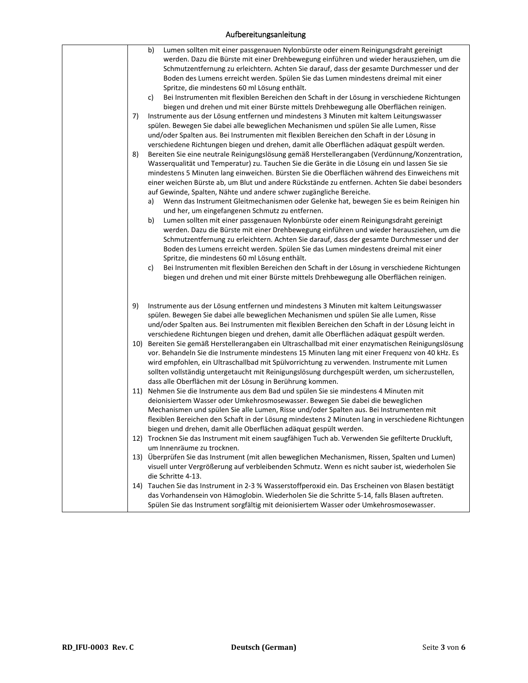## Aufbereitungsanleitung

| 7)<br>8) | Lumen sollten mit einer passgenauen Nylonbürste oder einem Reinigungsdraht gereinigt<br>b)<br>werden. Dazu die Bürste mit einer Drehbewegung einführen und wieder herausziehen, um die<br>Schmutzentfernung zu erleichtern. Achten Sie darauf, dass der gesamte Durchmesser und der<br>Boden des Lumens erreicht werden. Spülen Sie das Lumen mindestens dreimal mit einer<br>Spritze, die mindestens 60 ml Lösung enthält.<br>Bei Instrumenten mit flexiblen Bereichen den Schaft in der Lösung in verschiedene Richtungen<br>c)<br>biegen und drehen und mit einer Bürste mittels Drehbewegung alle Oberflächen reinigen.<br>Instrumente aus der Lösung entfernen und mindestens 3 Minuten mit kaltem Leitungswasser<br>spülen. Bewegen Sie dabei alle beweglichen Mechanismen und spülen Sie alle Lumen, Risse<br>und/oder Spalten aus. Bei Instrumenten mit flexiblen Bereichen den Schaft in der Lösung in<br>verschiedene Richtungen biegen und drehen, damit alle Oberflächen adäquat gespült werden.<br>Bereiten Sie eine neutrale Reinigungslösung gemäß Herstellerangaben (Verdünnung/Konzentration,<br>Wasserqualität und Temperatur) zu. Tauchen Sie die Geräte in die Lösung ein und lassen Sie sie<br>mindestens 5 Minuten lang einweichen. Bürsten Sie die Oberflächen während des Einweichens mit<br>einer weichen Bürste ab, um Blut und andere Rückstände zu entfernen. Achten Sie dabei besonders<br>auf Gewinde, Spalten, Nähte und andere schwer zugängliche Bereiche.<br>Wenn das Instrument Gleitmechanismen oder Gelenke hat, bewegen Sie es beim Reinigen hin<br>a)<br>und her, um eingefangenen Schmutz zu entfernen.<br>Lumen sollten mit einer passgenauen Nylonbürste oder einem Reinigungsdraht gereinigt<br>b)<br>werden. Dazu die Bürste mit einer Drehbewegung einführen und wieder herausziehen, um die<br>Schmutzentfernung zu erleichtern. Achten Sie darauf, dass der gesamte Durchmesser und der<br>Boden des Lumens erreicht werden. Spülen Sie das Lumen mindestens dreimal mit einer<br>Spritze, die mindestens 60 ml Lösung enthält.<br>Bei Instrumenten mit flexiblen Bereichen den Schaft in der Lösung in verschiedene Richtungen<br>c)<br>biegen und drehen und mit einer Bürste mittels Drehbewegung alle Oberflächen reinigen. |
|----------|--------------------------------------------------------------------------------------------------------------------------------------------------------------------------------------------------------------------------------------------------------------------------------------------------------------------------------------------------------------------------------------------------------------------------------------------------------------------------------------------------------------------------------------------------------------------------------------------------------------------------------------------------------------------------------------------------------------------------------------------------------------------------------------------------------------------------------------------------------------------------------------------------------------------------------------------------------------------------------------------------------------------------------------------------------------------------------------------------------------------------------------------------------------------------------------------------------------------------------------------------------------------------------------------------------------------------------------------------------------------------------------------------------------------------------------------------------------------------------------------------------------------------------------------------------------------------------------------------------------------------------------------------------------------------------------------------------------------------------------------------------------------------------------------------------------------------------------------------------------------------------------------------------------------------------------------------------------------------------------------------------------------------------------------------------------------------------------------------------------------------------------------------------------------------------------------------------------------------------------------------------------------------------|
| 9)       | Instrumente aus der Lösung entfernen und mindestens 3 Minuten mit kaltem Leitungswasser<br>spülen. Bewegen Sie dabei alle beweglichen Mechanismen und spülen Sie alle Lumen, Risse<br>und/oder Spalten aus. Bei Instrumenten mit flexiblen Bereichen den Schaft in der Lösung leicht in                                                                                                                                                                                                                                                                                                                                                                                                                                                                                                                                                                                                                                                                                                                                                                                                                                                                                                                                                                                                                                                                                                                                                                                                                                                                                                                                                                                                                                                                                                                                                                                                                                                                                                                                                                                                                                                                                                                                                                                        |
|          | verschiedene Richtungen biegen und drehen, damit alle Oberflächen adäquat gespült werden.<br>10) Bereiten Sie gemäß Herstellerangaben ein Ultraschallbad mit einer enzymatischen Reinigungslösung<br>vor. Behandeln Sie die Instrumente mindestens 15 Minuten lang mit einer Frequenz von 40 kHz. Es<br>wird empfohlen, ein Ultraschallbad mit Spülvorrichtung zu verwenden. Instrumente mit Lumen                                                                                                                                                                                                                                                                                                                                                                                                                                                                                                                                                                                                                                                                                                                                                                                                                                                                                                                                                                                                                                                                                                                                                                                                                                                                                                                                                                                                                                                                                                                                                                                                                                                                                                                                                                                                                                                                             |
|          | sollten vollständig untergetaucht mit Reinigungslösung durchgespült werden, um sicherzustellen,<br>dass alle Oberflächen mit der Lösung in Berührung kommen.<br>11) Nehmen Sie die Instrumente aus dem Bad und spülen Sie sie mindestens 4 Minuten mit<br>deionisiertem Wasser oder Umkehrosmosewasser. Bewegen Sie dabei die beweglichen<br>Mechanismen und spülen Sie alle Lumen, Risse und/oder Spalten aus. Bei Instrumenten mit<br>flexiblen Bereichen den Schaft in der Lösung mindestens 2 Minuten lang in verschiedene Richtungen                                                                                                                                                                                                                                                                                                                                                                                                                                                                                                                                                                                                                                                                                                                                                                                                                                                                                                                                                                                                                                                                                                                                                                                                                                                                                                                                                                                                                                                                                                                                                                                                                                                                                                                                      |
|          | biegen und drehen, damit alle Oberflächen adäquat gespült werden.<br>12) Trocknen Sie das Instrument mit einem saugfähigen Tuch ab. Verwenden Sie gefilterte Druckluft,                                                                                                                                                                                                                                                                                                                                                                                                                                                                                                                                                                                                                                                                                                                                                                                                                                                                                                                                                                                                                                                                                                                                                                                                                                                                                                                                                                                                                                                                                                                                                                                                                                                                                                                                                                                                                                                                                                                                                                                                                                                                                                        |
|          | um Innenräume zu trocknen.<br>13) Überprüfen Sie das Instrument (mit allen beweglichen Mechanismen, Rissen, Spalten und Lumen)                                                                                                                                                                                                                                                                                                                                                                                                                                                                                                                                                                                                                                                                                                                                                                                                                                                                                                                                                                                                                                                                                                                                                                                                                                                                                                                                                                                                                                                                                                                                                                                                                                                                                                                                                                                                                                                                                                                                                                                                                                                                                                                                                 |
|          | visuell unter Vergrößerung auf verbleibenden Schmutz. Wenn es nicht sauber ist, wiederholen Sie<br>die Schritte 4-13.                                                                                                                                                                                                                                                                                                                                                                                                                                                                                                                                                                                                                                                                                                                                                                                                                                                                                                                                                                                                                                                                                                                                                                                                                                                                                                                                                                                                                                                                                                                                                                                                                                                                                                                                                                                                                                                                                                                                                                                                                                                                                                                                                          |
|          | 14) Tauchen Sie das Instrument in 2-3 % Wasserstoffperoxid ein. Das Erscheinen von Blasen bestätigt<br>das Vorhandensein von Hämoglobin. Wiederholen Sie die Schritte 5-14, falls Blasen auftreten.<br>Spülen Sie das Instrument sorgfältig mit deionisiertem Wasser oder Umkehrosmosewasser.                                                                                                                                                                                                                                                                                                                                                                                                                                                                                                                                                                                                                                                                                                                                                                                                                                                                                                                                                                                                                                                                                                                                                                                                                                                                                                                                                                                                                                                                                                                                                                                                                                                                                                                                                                                                                                                                                                                                                                                  |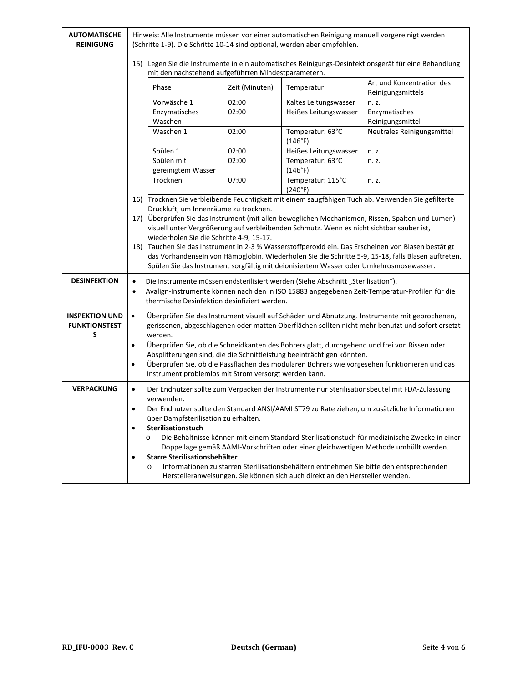| <b>AUTOMATISCHE</b><br><b>REINIGUNG</b>            | Hinweis: Alle Instrumente müssen vor einer automatischen Reinigung manuell vorgereinigt werden<br>(Schritte 1-9). Die Schritte 10-14 sind optional, werden aber empfohlen.                                                                                                                                                                                                                                                                                                                                                                                                      |                                                                                                                                                                                                                                                                                                                                                                                                                                                                                                                                                                                                                                                                                                |                                                                                                                                                                                                                                                                 |                                                                                                                                                                                                                                                                                                 |  |
|----------------------------------------------------|---------------------------------------------------------------------------------------------------------------------------------------------------------------------------------------------------------------------------------------------------------------------------------------------------------------------------------------------------------------------------------------------------------------------------------------------------------------------------------------------------------------------------------------------------------------------------------|------------------------------------------------------------------------------------------------------------------------------------------------------------------------------------------------------------------------------------------------------------------------------------------------------------------------------------------------------------------------------------------------------------------------------------------------------------------------------------------------------------------------------------------------------------------------------------------------------------------------------------------------------------------------------------------------|-----------------------------------------------------------------------------------------------------------------------------------------------------------------------------------------------------------------------------------------------------------------|-------------------------------------------------------------------------------------------------------------------------------------------------------------------------------------------------------------------------------------------------------------------------------------------------|--|
|                                                    | 15) Legen Sie die Instrumente in ein automatisches Reinigungs-Desinfektionsgerät für eine Behandlung<br>mit den nachstehend aufgeführten Mindestparametern.                                                                                                                                                                                                                                                                                                                                                                                                                     |                                                                                                                                                                                                                                                                                                                                                                                                                                                                                                                                                                                                                                                                                                |                                                                                                                                                                                                                                                                 |                                                                                                                                                                                                                                                                                                 |  |
|                                                    | Phase                                                                                                                                                                                                                                                                                                                                                                                                                                                                                                                                                                           | Zeit (Minuten)                                                                                                                                                                                                                                                                                                                                                                                                                                                                                                                                                                                                                                                                                 | Temperatur                                                                                                                                                                                                                                                      | Art und Konzentration des<br>Reinigungsmittels                                                                                                                                                                                                                                                  |  |
|                                                    | Vorwäsche 1                                                                                                                                                                                                                                                                                                                                                                                                                                                                                                                                                                     | 02:00                                                                                                                                                                                                                                                                                                                                                                                                                                                                                                                                                                                                                                                                                          | Kaltes Leitungswasser                                                                                                                                                                                                                                           | n. z.                                                                                                                                                                                                                                                                                           |  |
|                                                    | Enzymatisches<br>Waschen                                                                                                                                                                                                                                                                                                                                                                                                                                                                                                                                                        | 02:00                                                                                                                                                                                                                                                                                                                                                                                                                                                                                                                                                                                                                                                                                          | Heißes Leitungswasser                                                                                                                                                                                                                                           | Enzymatisches<br>Reinigungsmittel                                                                                                                                                                                                                                                               |  |
|                                                    | Waschen 1                                                                                                                                                                                                                                                                                                                                                                                                                                                                                                                                                                       | 02:00                                                                                                                                                                                                                                                                                                                                                                                                                                                                                                                                                                                                                                                                                          | Temperatur: 63°C<br>(146°F)                                                                                                                                                                                                                                     | Neutrales Reinigungsmittel                                                                                                                                                                                                                                                                      |  |
|                                                    | Spülen 1                                                                                                                                                                                                                                                                                                                                                                                                                                                                                                                                                                        | 02:00                                                                                                                                                                                                                                                                                                                                                                                                                                                                                                                                                                                                                                                                                          | Heißes Leitungswasser                                                                                                                                                                                                                                           | n. z.                                                                                                                                                                                                                                                                                           |  |
|                                                    | Spülen mit<br>gereinigtem Wasser                                                                                                                                                                                                                                                                                                                                                                                                                                                                                                                                                | 02:00                                                                                                                                                                                                                                                                                                                                                                                                                                                                                                                                                                                                                                                                                          | Temperatur: 63°C<br>(146°F)                                                                                                                                                                                                                                     | n. z.                                                                                                                                                                                                                                                                                           |  |
|                                                    | Trocknen                                                                                                                                                                                                                                                                                                                                                                                                                                                                                                                                                                        | 07:00                                                                                                                                                                                                                                                                                                                                                                                                                                                                                                                                                                                                                                                                                          | Temperatur: 115°C<br>(240°F)                                                                                                                                                                                                                                    | n. z.                                                                                                                                                                                                                                                                                           |  |
| <b>DESINFEKTION</b>                                | $\bullet$                                                                                                                                                                                                                                                                                                                                                                                                                                                                                                                                                                       | 16) Trocknen Sie verbleibende Feuchtigkeit mit einem saugfähigen Tuch ab. Verwenden Sie gefilterte<br>Druckluft, um Innenräume zu trocknen.<br>17) Überprüfen Sie das Instrument (mit allen beweglichen Mechanismen, Rissen, Spalten und Lumen)<br>visuell unter Vergrößerung auf verbleibenden Schmutz. Wenn es nicht sichtbar sauber ist,<br>wiederholen Sie die Schritte 4-9, 15-17.<br>18) Tauchen Sie das Instrument in 2-3 % Wasserstoffperoxid ein. Das Erscheinen von Blasen bestätigt<br>das Vorhandensein von Hämoglobin. Wiederholen Sie die Schritte 5-9, 15-18, falls Blasen auftreten.<br>Spülen Sie das Instrument sorgfältig mit deionisiertem Wasser oder Umkehrosmosewasser. |                                                                                                                                                                                                                                                                 |                                                                                                                                                                                                                                                                                                 |  |
|                                                    | Die Instrumente müssen endsterilisiert werden (Siehe Abschnitt "Sterilisation").<br>Avalign-Instrumente können nach den in ISO 15883 angegebenen Zeit-Temperatur-Profilen für die<br>$\bullet$<br>thermische Desinfektion desinfiziert werden.                                                                                                                                                                                                                                                                                                                                  |                                                                                                                                                                                                                                                                                                                                                                                                                                                                                                                                                                                                                                                                                                |                                                                                                                                                                                                                                                                 |                                                                                                                                                                                                                                                                                                 |  |
| <b>INSPEKTION UND</b><br><b>FUNKTIONSTEST</b><br>S | Überprüfen Sie das Instrument visuell auf Schäden und Abnutzung. Instrumente mit gebrochenen,<br>$\bullet$<br>gerissenen, abgeschlagenen oder matten Oberflächen sollten nicht mehr benutzt und sofort ersetzt<br>werden.<br>Überprüfen Sie, ob die Schneidkanten des Bohrers glatt, durchgehend und frei von Rissen oder<br>٠<br>Absplitterungen sind, die die Schnittleistung beeinträchtigen könnten.<br>Überprüfen Sie, ob die Passflächen des modularen Bohrers wie vorgesehen funktionieren und das<br>$\bullet$<br>Instrument problemlos mit Strom versorgt werden kann. |                                                                                                                                                                                                                                                                                                                                                                                                                                                                                                                                                                                                                                                                                                |                                                                                                                                                                                                                                                                 |                                                                                                                                                                                                                                                                                                 |  |
| <b>VERPACKUNG</b>                                  | $\bullet$<br>verwenden.<br>$\bullet$<br>Sterilisationstuch<br>٠<br>$\circ$<br>$\bullet$<br>$\circ$                                                                                                                                                                                                                                                                                                                                                                                                                                                                              | über Dampfsterilisation zu erhalten.<br>Starre Sterilisationsbehälter                                                                                                                                                                                                                                                                                                                                                                                                                                                                                                                                                                                                                          | Doppellage gemäß AAMI-Vorschriften oder einer gleichwertigen Methode umhüllt werden.<br>Informationen zu starren Sterilisationsbehältern entnehmen Sie bitte den entsprechenden<br>Herstelleranweisungen. Sie können sich auch direkt an den Hersteller wenden. | Der Endnutzer sollte zum Verpacken der Instrumente nur Sterilisationsbeutel mit FDA-Zulassung<br>Der Endnutzer sollte den Standard ANSI/AAMI ST79 zu Rate ziehen, um zusätzliche Informationen<br>Die Behältnisse können mit einem Standard-Sterilisationstuch für medizinische Zwecke in einer |  |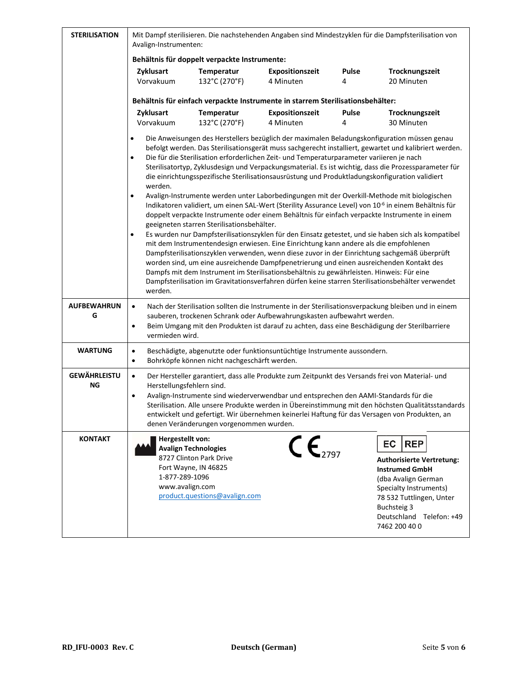| <b>STERILISATION</b>      | Mit Dampf sterilisieren. Die nachstehenden Angaben sind Mindestzyklen für die Dampfsterilisation von<br>Avalign-Instrumenten:                                                                                                                                                                                                                                                                                                                                                                                                                                                                                                                                                                                                                                                                                                                                                                                                                                                                                                                                                                                                                                                                                                                                                                                                                                                                                                                                                                                                           |                             |                                     |                   |                              |  |
|---------------------------|-----------------------------------------------------------------------------------------------------------------------------------------------------------------------------------------------------------------------------------------------------------------------------------------------------------------------------------------------------------------------------------------------------------------------------------------------------------------------------------------------------------------------------------------------------------------------------------------------------------------------------------------------------------------------------------------------------------------------------------------------------------------------------------------------------------------------------------------------------------------------------------------------------------------------------------------------------------------------------------------------------------------------------------------------------------------------------------------------------------------------------------------------------------------------------------------------------------------------------------------------------------------------------------------------------------------------------------------------------------------------------------------------------------------------------------------------------------------------------------------------------------------------------------------|-----------------------------|-------------------------------------|-------------------|------------------------------|--|
|                           | Behältnis für doppelt verpackte Instrumente:                                                                                                                                                                                                                                                                                                                                                                                                                                                                                                                                                                                                                                                                                                                                                                                                                                                                                                                                                                                                                                                                                                                                                                                                                                                                                                                                                                                                                                                                                            |                             |                                     |                   |                              |  |
|                           | Zyklusart<br>Vorvakuum                                                                                                                                                                                                                                                                                                                                                                                                                                                                                                                                                                                                                                                                                                                                                                                                                                                                                                                                                                                                                                                                                                                                                                                                                                                                                                                                                                                                                                                                                                                  | Temperatur<br>132°C (270°F) | <b>Expositionszeit</b><br>4 Minuten | <b>Pulse</b><br>4 | Trocknungszeit<br>20 Minuten |  |
|                           |                                                                                                                                                                                                                                                                                                                                                                                                                                                                                                                                                                                                                                                                                                                                                                                                                                                                                                                                                                                                                                                                                                                                                                                                                                                                                                                                                                                                                                                                                                                                         |                             |                                     |                   |                              |  |
|                           | Behältnis für einfach verpackte Instrumente in starrem Sterilisationsbehälter:<br>Zyklusart<br>Temperatur<br>Expositionszeit<br><b>Pulse</b><br>Trocknungszeit<br>Vorvakuum<br>132°C (270°F)<br>4 Minuten<br>4<br>30 Minuten                                                                                                                                                                                                                                                                                                                                                                                                                                                                                                                                                                                                                                                                                                                                                                                                                                                                                                                                                                                                                                                                                                                                                                                                                                                                                                            |                             |                                     |                   |                              |  |
|                           | Die Anweisungen des Herstellers bezüglich der maximalen Beladungskonfiguration müssen genau<br>$\bullet$<br>befolgt werden. Das Sterilisationsgerät muss sachgerecht installiert, gewartet und kalibriert werden.<br>Die für die Sterilisation erforderlichen Zeit- und Temperaturparameter variieren je nach<br>$\bullet$<br>Sterilisatortyp, Zyklusdesign und Verpackungsmaterial. Es ist wichtig, dass die Prozessparameter für<br>die einrichtungsspezifische Sterilisationsausrüstung und Produktladungskonfiguration validiert<br>werden.<br>Avalign-Instrumente werden unter Laborbedingungen mit der Overkill-Methode mit biologischen<br>$\bullet$<br>Indikatoren validiert, um einen SAL-Wert (Sterility Assurance Level) von 10 <sup>-6</sup> in einem Behältnis für<br>doppelt verpackte Instrumente oder einem Behältnis für einfach verpackte Instrumente in einem<br>geeigneten starren Sterilisationsbehälter.<br>Es wurden nur Dampfsterilisationszyklen für den Einsatz getestet, und sie haben sich als kompatibel<br>$\bullet$<br>mit dem Instrumentendesign erwiesen. Eine Einrichtung kann andere als die empfohlenen<br>Dampfsterilisationszyklen verwenden, wenn diese zuvor in der Einrichtung sachgemäß überprüft<br>worden sind, um eine ausreichende Dampfpenetrierung und einen ausreichenden Kontakt des<br>Dampfs mit dem Instrument im Sterilisationsbehältnis zu gewährleisten. Hinweis: Für eine<br>Dampfsterilisation im Gravitationsverfahren dürfen keine starren Sterilisationsbehälter verwendet |                             |                                     |                   |                              |  |
| <b>AUFBEWAHRUN</b><br>G   | Nach der Sterilisation sollten die Instrumente in der Sterilisationsverpackung bleiben und in einem<br>$\bullet$<br>sauberen, trockenen Schrank oder Aufbewahrungskasten aufbewahrt werden.<br>Beim Umgang mit den Produkten ist darauf zu achten, dass eine Beschädigung der Sterilbarriere<br>$\bullet$<br>vermieden wird.                                                                                                                                                                                                                                                                                                                                                                                                                                                                                                                                                                                                                                                                                                                                                                                                                                                                                                                                                                                                                                                                                                                                                                                                            |                             |                                     |                   |                              |  |
| <b>WARTUNG</b>            | Beschädigte, abgenutzte oder funktionsuntüchtige Instrumente aussondern.<br>$\bullet$<br>Bohrköpfe können nicht nachgeschärft werden.<br>$\bullet$                                                                                                                                                                                                                                                                                                                                                                                                                                                                                                                                                                                                                                                                                                                                                                                                                                                                                                                                                                                                                                                                                                                                                                                                                                                                                                                                                                                      |                             |                                     |                   |                              |  |
| <b>GEWÄHRLEISTU</b><br>ΝG | Der Hersteller garantiert, dass alle Produkte zum Zeitpunkt des Versands frei von Material- und<br>$\bullet$<br>Herstellungsfehlern sind.<br>Avalign-Instrumente sind wiederverwendbar und entsprechen den AAMI-Standards für die<br>$\bullet$<br>Sterilisation. Alle unsere Produkte werden in Übereinstimmung mit den höchsten Qualitätsstandards<br>entwickelt und gefertigt. Wir übernehmen keinerlei Haftung für das Versagen von Produkten, an<br>denen Veränderungen vorgenommen wurden.                                                                                                                                                                                                                                                                                                                                                                                                                                                                                                                                                                                                                                                                                                                                                                                                                                                                                                                                                                                                                                         |                             |                                     |                   |                              |  |
| <b>KONTAKT</b>            | Hergestellt von:<br>$\mathsf{CE}_{2797}$<br><b>REP</b><br>EC<br><b>Avalign Technologies</b><br>8727 Clinton Park Drive<br><b>Authorisierte Vertretung:</b><br>Fort Wayne, IN 46825<br><b>Instrumed GmbH</b><br>1-877-289-1096<br>(dba Avalign German<br>www.avalign.com<br>Specialty Instruments)<br>product.questions@avalign.com<br>78 532 Tuttlingen, Unter<br><b>Buchsteig 3</b><br>Deutschland Telefon: +49<br>7462 200 40 0                                                                                                                                                                                                                                                                                                                                                                                                                                                                                                                                                                                                                                                                                                                                                                                                                                                                                                                                                                                                                                                                                                       |                             |                                     |                   |                              |  |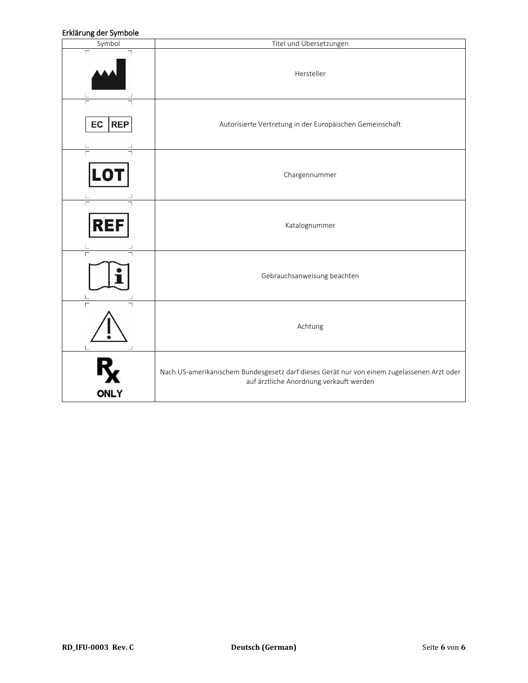#### Erklärung der Symbole

| בו מסו סווך סיכו לאוווגיטוכ<br>Symbol | Titel und Übersetzungen                                                                                                               |
|---------------------------------------|---------------------------------------------------------------------------------------------------------------------------------------|
| $\Gamma$                              | Hersteller                                                                                                                            |
| EC<br><b>REP</b>                      | Autorisierte Vertretung in der Europäischen Gemeinschaft                                                                              |
| LO1                                   | Chargennummer                                                                                                                         |
| $\overline{\Gamma}$<br><b>REF</b>     | Katalognummer                                                                                                                         |
|                                       | Gebrauchsanweisung beachten                                                                                                           |
|                                       | Achtung                                                                                                                               |
| <b>ONLY</b>                           | Nach US-amerikanischem Bundesgesetz darf dieses Gerät nur von einem zugelassenen Arzt oder<br>auf ärztliche Anordnung verkauft werden |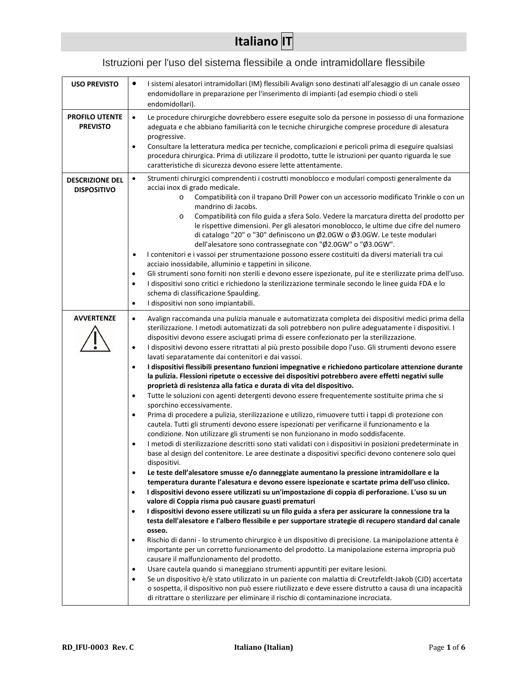# **Italiano IT**

# Istruzioni per l'uso del sistema flessibile a onde intramidollare flessibile

| <b>USO PREVISTO</b>                          | I sistemi alesatori intramidollari (IM) flessibili Avalign sono destinati all'alesaggio di un canale osseo<br>٠                                                                                                                                                                                                                                                                                                                                                                                                                                                                                                                                                                                                                                                                                                                                                                                                                                                                                                                                                                                                                                                                                                                                                                                                                                                                                                                                                                                                                                                                                                                                                                                                                                                                                                                                                                                                                                                                                                                                                                                                                                                                                                                                                                                                                                                                                                                                                                                                                                                                                                                                                                                                                                                                                                    |
|----------------------------------------------|--------------------------------------------------------------------------------------------------------------------------------------------------------------------------------------------------------------------------------------------------------------------------------------------------------------------------------------------------------------------------------------------------------------------------------------------------------------------------------------------------------------------------------------------------------------------------------------------------------------------------------------------------------------------------------------------------------------------------------------------------------------------------------------------------------------------------------------------------------------------------------------------------------------------------------------------------------------------------------------------------------------------------------------------------------------------------------------------------------------------------------------------------------------------------------------------------------------------------------------------------------------------------------------------------------------------------------------------------------------------------------------------------------------------------------------------------------------------------------------------------------------------------------------------------------------------------------------------------------------------------------------------------------------------------------------------------------------------------------------------------------------------------------------------------------------------------------------------------------------------------------------------------------------------------------------------------------------------------------------------------------------------------------------------------------------------------------------------------------------------------------------------------------------------------------------------------------------------------------------------------------------------------------------------------------------------------------------------------------------------------------------------------------------------------------------------------------------------------------------------------------------------------------------------------------------------------------------------------------------------------------------------------------------------------------------------------------------------------------------------------------------------------------------------------------------------|
|                                              | endomidollare in preparazione per l'inserimento di impianti (ad esempio chiodi o steli<br>endomidollari).                                                                                                                                                                                                                                                                                                                                                                                                                                                                                                                                                                                                                                                                                                                                                                                                                                                                                                                                                                                                                                                                                                                                                                                                                                                                                                                                                                                                                                                                                                                                                                                                                                                                                                                                                                                                                                                                                                                                                                                                                                                                                                                                                                                                                                                                                                                                                                                                                                                                                                                                                                                                                                                                                                          |
| <b>PROFILO UTENTE</b><br><b>PREVISTO</b>     | Le procedure chirurgiche dovrebbero essere eseguite solo da persone in possesso di una formazione<br>$\bullet$<br>adeguata e che abbiano familiarità con le tecniche chirurgiche comprese procedure di alesatura<br>progressive.<br>Consultare la letteratura medica per tecniche, complicazioni e pericoli prima di eseguire qualsiasi<br>٠<br>procedura chirurgica. Prima di utilizzare il prodotto, tutte le istruzioni per quanto riguarda le sue<br>caratteristiche di sicurezza devono essere lette attentamente.                                                                                                                                                                                                                                                                                                                                                                                                                                                                                                                                                                                                                                                                                                                                                                                                                                                                                                                                                                                                                                                                                                                                                                                                                                                                                                                                                                                                                                                                                                                                                                                                                                                                                                                                                                                                                                                                                                                                                                                                                                                                                                                                                                                                                                                                                            |
| <b>DESCRIZIONE DEL</b><br><b>DISPOSITIVO</b> | Strumenti chirurgici comprendenti i costrutti monoblocco e modulari composti generalmente da<br>$\bullet$<br>acciai inox di grado medicale.<br>Compatibilità con il trapano Drill Power con un accessorio modificato Trinkle o con un<br>$\circ$<br>mandrino di Jacobs.<br>Compatibilità con filo guida a sfera Solo. Vedere la marcatura diretta del prodotto per<br>$\circ$<br>le rispettive dimensioni. Per gli alesatori monoblocco, le ultime due cifre del numero<br>di catalogo "20" o "30" definiscono un Ø2.0GW o Ø3.0GW. Le teste modulari<br>dell'alesatore sono contrassegnate con "Ø2.0GW" o "Ø3.0GW".<br>I contenitori e i vassoi per strumentazione possono essere costituiti da diversi materiali tra cui<br>$\bullet$<br>acciaio inossidabile, alluminio e tappetini in silicone.<br>Gli strumenti sono forniti non sterili e devono essere ispezionate, pul ite e sterilizzate prima dell'uso.<br>$\bullet$<br>I dispositivi sono critici e richiedono la sterilizzazione terminale secondo le linee guida FDA e lo<br>$\bullet$<br>schema di classificazione Spaulding.<br>I dispositivi non sono impiantabili.<br>$\bullet$                                                                                                                                                                                                                                                                                                                                                                                                                                                                                                                                                                                                                                                                                                                                                                                                                                                                                                                                                                                                                                                                                                                                                                                                                                                                                                                                                                                                                                                                                                                                                                                                                                                                    |
| <b>AVVERTENZE</b>                            | Avalign raccomanda una pulizia manuale e automatizzata completa dei dispositivi medici prima della<br>$\bullet$<br>sterilizzazione. I metodi automatizzati da soli potrebbero non pulire adeguatamente i dispositivi. I<br>dispositivi devono essere asciugati prima di essere confezionato per la sterilizzazione.<br>I dispositivi devono essere ritrattati al più presto possibile dopo l'uso. Gli strumenti devono essere<br>٠<br>lavati separatamente dai contenitori e dai vassoi.<br>I dispositivi flessibili presentano funzioni impegnative e richiedono particolare attenzione durante<br>$\bullet$<br>la pulizia. Flessioni ripetute o eccessive dei dispositivi potrebbero avere effetti negativi sulle<br>proprietà di resistenza alla fatica e durata di vita del dispositivo.<br>Tutte le soluzioni con agenti detergenti devono essere frequentemente sostituite prima che si<br>$\bullet$<br>sporchino eccessivamente.<br>Prima di procedere a pulizia, sterilizzazione e utilizzo, rimuovere tutti i tappi di protezione con<br>٠<br>cautela. Tutti gli strumenti devono essere ispezionati per verificarne il funzionamento e la<br>condizione. Non utilizzare gli strumenti se non funzionano in modo soddisfacente.<br>I metodi di sterilizzazione descritti sono stati validati con i dispositivi in posizioni predeterminate in<br>$\bullet$<br>base al design del contenitore. Le aree destinate a dispositivi specifici devono contenere solo quei<br>dispositivi.<br>Le teste dell'alesatore smusse e/o danneggiate aumentano la pressione intramidollare e la<br>$\bullet$<br>temperatura durante l'alesatura e devono essere ispezionate e scartate prima dell'uso clinico.<br>I dispositivi devono essere utilizzati su un'impostazione di coppia di perforazione. L'uso su un<br>$\bullet$<br>valore di Coppia risma può causare guasti prematuri<br>I dispositivi devono essere utilizzati su un filo guida a sfera per assicurare la connessione tra la<br>$\bullet$<br>testa dell'alesatore e l'albero flessibile e per supportare strategie di recupero standard dal canale<br>osseo.<br>Rischio di danni - lo strumento chirurgico è un dispositivo di precisione. La manipolazione attenta è<br>$\bullet$<br>importante per un corretto funzionamento del prodotto. La manipolazione esterna impropria può<br>causare il malfunzionamento del prodotto.<br>Usare cautela quando si maneggiano strumenti appuntiti per evitare lesioni.<br>$\bullet$<br>Se un dispositivo è/è stato utilizzato in un paziente con malattia di Creutzfeldt-Jakob (CJD) accertata<br>$\bullet$<br>o sospetta, il dispositivo non può essere riutilizzato e deve essere distrutto a causa di una incapacità<br>di ritrattare o sterilizzare per eliminare il rischio di contaminazione incrociata. |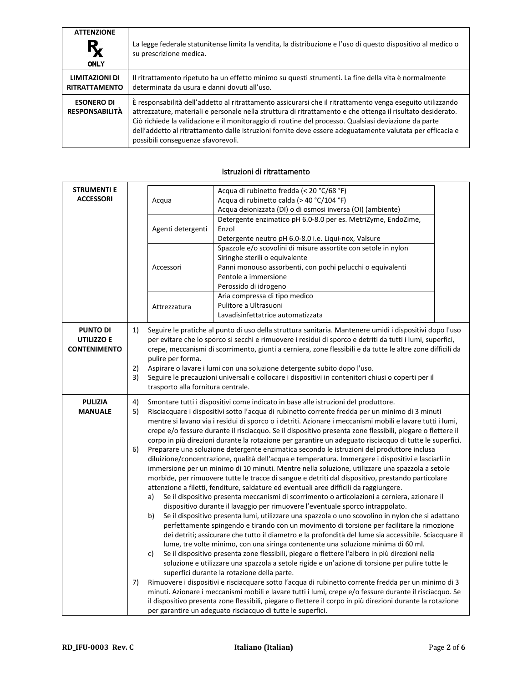| <b>ATTENZIONE</b><br>$R_{\rm X}$<br><b>ONLY</b> | La legge federale statunitense limita la vendita, la distribuzione e l'uso di questo dispositivo al medico o<br>su prescrizione medica.                                                                                                                                                                                                                                                                                                                                              |
|-------------------------------------------------|--------------------------------------------------------------------------------------------------------------------------------------------------------------------------------------------------------------------------------------------------------------------------------------------------------------------------------------------------------------------------------------------------------------------------------------------------------------------------------------|
| LIMITAZIONI DI<br><b>RITRATTAMENTO</b>          | Il ritrattamento ripetuto ha un effetto minimo su questi strumenti. La fine della vita è normalmente<br>determinata da usura e danni dovuti all'uso.                                                                                                                                                                                                                                                                                                                                 |
| <b>ESONERO DI</b><br><b>RESPONSABILITÀ</b>      | È responsabilità dell'addetto al ritrattamento assicurarsi che il ritrattamento venga eseguito utilizzando<br>attrezzature, materiali e personale nella struttura di ritrattamento e che ottenga il risultato desiderato.<br>Ciò richiede la validazione e il monitoraggio di routine del processo. Qualsiasi deviazione da parte<br>dell'addetto al ritrattamento dalle istruzioni fornite deve essere adeguatamente valutata per efficacia e<br>possibili conseguenze sfavorevoli. |

| <b>STRUMENTI E</b><br><b>ACCESSORI</b>               |          | Acqua di rubinetto fredda (< 20 °C/68 °F)<br>Acqua<br>Acqua di rubinetto calda (> 40 °C/104 °F)<br>Acqua deionizzata (DI) o di osmosi inversa (OI) (ambiente)                                                                                                                                                                                                                                                    |                                                                                                                                                                                                                                                                                                                                                                                                                                                                                                                                                                                                                                                                                                                                                                                                                                                                                                                                                                                                                                                                                                                                                                                                                                                                                                                                                                                                                                                                                                                                                               |  |  |
|------------------------------------------------------|----------|------------------------------------------------------------------------------------------------------------------------------------------------------------------------------------------------------------------------------------------------------------------------------------------------------------------------------------------------------------------------------------------------------------------|---------------------------------------------------------------------------------------------------------------------------------------------------------------------------------------------------------------------------------------------------------------------------------------------------------------------------------------------------------------------------------------------------------------------------------------------------------------------------------------------------------------------------------------------------------------------------------------------------------------------------------------------------------------------------------------------------------------------------------------------------------------------------------------------------------------------------------------------------------------------------------------------------------------------------------------------------------------------------------------------------------------------------------------------------------------------------------------------------------------------------------------------------------------------------------------------------------------------------------------------------------------------------------------------------------------------------------------------------------------------------------------------------------------------------------------------------------------------------------------------------------------------------------------------------------------|--|--|
|                                                      |          | Agenti detergenti                                                                                                                                                                                                                                                                                                                                                                                                | Detergente enzimatico pH 6.0-8.0 per es. MetriZyme, EndoZime,<br>Enzol<br>Detergente neutro pH 6.0-8.0 i.e. Liqui-nox, Valsure                                                                                                                                                                                                                                                                                                                                                                                                                                                                                                                                                                                                                                                                                                                                                                                                                                                                                                                                                                                                                                                                                                                                                                                                                                                                                                                                                                                                                                |  |  |
|                                                      |          | Accessori                                                                                                                                                                                                                                                                                                                                                                                                        | Spazzole e/o scovolini di misure assortite con setole in nylon<br>Siringhe sterili o equivalente<br>Panni monouso assorbenti, con pochi pelucchi o equivalenti<br>Pentole a immersione<br>Perossido di idrogeno                                                                                                                                                                                                                                                                                                                                                                                                                                                                                                                                                                                                                                                                                                                                                                                                                                                                                                                                                                                                                                                                                                                                                                                                                                                                                                                                               |  |  |
|                                                      |          | Attrezzatura                                                                                                                                                                                                                                                                                                                                                                                                     | Aria compressa di tipo medico<br>Pulitore a Ultrasuoni<br>Lavadisinfettatrice automatizzata                                                                                                                                                                                                                                                                                                                                                                                                                                                                                                                                                                                                                                                                                                                                                                                                                                                                                                                                                                                                                                                                                                                                                                                                                                                                                                                                                                                                                                                                   |  |  |
| <b>PUNTO DI</b><br>UTILIZZO E<br><b>CONTENIMENTO</b> | 1)       |                                                                                                                                                                                                                                                                                                                                                                                                                  | Seguire le pratiche al punto di uso della struttura sanitaria. Mantenere umidi i dispositivi dopo l'uso<br>per evitare che lo sporco si secchi e rimuovere i residui di sporco e detriti da tutti i lumi, superfici,<br>crepe, meccanismi di scorrimento, giunti a cerniera, zone flessibili e da tutte le altre zone difficili da                                                                                                                                                                                                                                                                                                                                                                                                                                                                                                                                                                                                                                                                                                                                                                                                                                                                                                                                                                                                                                                                                                                                                                                                                            |  |  |
|                                                      | 2)<br>3) | pulire per forma.<br>Aspirare o lavare i lumi con una soluzione detergente subito dopo l'uso.<br>Seguire le precauzioni universali e collocare i dispositivi in contenitori chiusi o coperti per il<br>trasporto alla fornitura centrale.                                                                                                                                                                        |                                                                                                                                                                                                                                                                                                                                                                                                                                                                                                                                                                                                                                                                                                                                                                                                                                                                                                                                                                                                                                                                                                                                                                                                                                                                                                                                                                                                                                                                                                                                                               |  |  |
| <b>PULIZIA</b><br><b>MANUALE</b>                     | 4)<br>5) | Smontare tutti i dispositivi come indicato in base alle istruzioni del produttore.<br>Risciacquare i dispositivi sotto l'acqua di rubinetto corrente fredda per un minimo di 3 minuti<br>mentre si lavano via i residui di sporco o i detriti. Azionare i meccanismi mobili e lavare tutti i lumi,<br>crepe e/o fessure durante il risciacquo. Se il dispositivo presenta zone flessibili, piegare o flettere il |                                                                                                                                                                                                                                                                                                                                                                                                                                                                                                                                                                                                                                                                                                                                                                                                                                                                                                                                                                                                                                                                                                                                                                                                                                                                                                                                                                                                                                                                                                                                                               |  |  |
|                                                      | 6)<br>7) | a)<br>b)<br>c)                                                                                                                                                                                                                                                                                                                                                                                                   | corpo in più direzioni durante la rotazione per garantire un adeguato risciacquo di tutte le superfici.<br>Preparare una soluzione detergente enzimatica secondo le istruzioni del produttore inclusa<br>diluizione/concentrazione, qualità dell'acqua e temperatura. Immergere i dispositivi e lasciarli in<br>immersione per un minimo di 10 minuti. Mentre nella soluzione, utilizzare una spazzola a setole<br>morbide, per rimuovere tutte le tracce di sangue e detriti dal dispositivo, prestando particolare<br>attenzione a filetti, fenditure, saldature ed eventuali aree difficili da raggiungere.<br>Se il dispositivo presenta meccanismi di scorrimento o articolazioni a cerniera, azionare il<br>dispositivo durante il lavaggio per rimuovere l'eventuale sporco intrappolato.<br>Se il dispositivo presenta lumi, utilizzare una spazzola o uno scovolino in nylon che si adattano<br>perfettamente spingendo e tirando con un movimento di torsione per facilitare la rimozione<br>dei detriti; assicurare che tutto il diametro e la profondità del lume sia accessibile. Sciacquare il<br>lume, tre volte minimo, con una siringa contenente una soluzione minima di 60 ml.<br>Se il dispositivo presenta zone flessibili, piegare o flettere l'albero in più direzioni nella<br>soluzione e utilizzare una spazzola a setole rigide e un'azione di torsione per pulire tutte le<br>superfici durante la rotazione della parte.<br>Rimuovere i dispositivi e risciacquare sotto l'acqua di rubinetto corrente fredda per un minimo di 3 |  |  |
|                                                      |          |                                                                                                                                                                                                                                                                                                                                                                                                                  | minuti. Azionare i meccanismi mobili e lavare tutti i lumi, crepe e/o fessure durante il risciacquo. Se<br>il dispositivo presenta zone flessibili, piegare o flettere il corpo in più direzioni durante la rotazione<br>per garantire un adeguato risciacquo di tutte le superfici.                                                                                                                                                                                                                                                                                                                                                                                                                                                                                                                                                                                                                                                                                                                                                                                                                                                                                                                                                                                                                                                                                                                                                                                                                                                                          |  |  |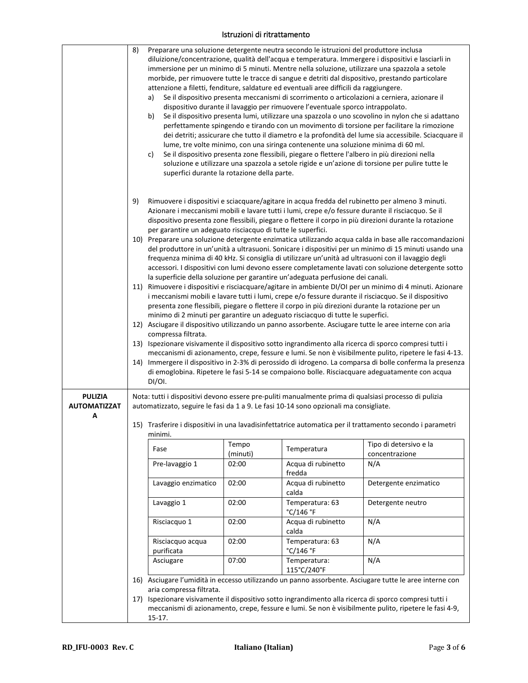|                                            | 8)<br>9) | a)<br>b)<br>c)<br>superfici durante la rotazione della parte.<br>per garantire un adeguato risciacquo di tutte le superfici.                                                                                                            |                   | Preparare una soluzione detergente neutra secondo le istruzioni del produttore inclusa<br>attenzione a filetti, fenditure, saldature ed eventuali aree difficili da raggiungere.<br>dispositivo durante il lavaggio per rimuovere l'eventuale sporco intrappolato.<br>lume, tre volte minimo, con una siringa contenente una soluzione minima di 60 ml. | diluizione/concentrazione, qualità dell'acqua e temperatura. Immergere i dispositivi e lasciarli in<br>immersione per un minimo di 5 minuti. Mentre nella soluzione, utilizzare una spazzola a setole<br>morbide, per rimuovere tutte le tracce di sangue e detriti dal dispositivo, prestando particolare<br>Se il dispositivo presenta meccanismi di scorrimento o articolazioni a cerniera, azionare il<br>Se il dispositivo presenta lumi, utilizzare una spazzola o uno scovolino in nylon che si adattano<br>perfettamente spingendo e tirando con un movimento di torsione per facilitare la rimozione<br>dei detriti; assicurare che tutto il diametro e la profondità del lume sia accessibile. Sciacquare il<br>Se il dispositivo presenta zone flessibili, piegare o flettere l'albero in più direzioni nella<br>soluzione e utilizzare una spazzola a setole rigide e un'azione di torsione per pulire tutte le<br>Rimuovere i dispositivi e sciacquare/agitare in acqua fredda del rubinetto per almeno 3 minuti.<br>Azionare i meccanismi mobili e lavare tutti i lumi, crepe e/o fessure durante il risciacquo. Se il<br>dispositivo presenta zone flessibili, piegare o flettere il corpo in più direzioni durante la rotazione |  |
|--------------------------------------------|----------|-----------------------------------------------------------------------------------------------------------------------------------------------------------------------------------------------------------------------------------------|-------------------|---------------------------------------------------------------------------------------------------------------------------------------------------------------------------------------------------------------------------------------------------------------------------------------------------------------------------------------------------------|-------------------------------------------------------------------------------------------------------------------------------------------------------------------------------------------------------------------------------------------------------------------------------------------------------------------------------------------------------------------------------------------------------------------------------------------------------------------------------------------------------------------------------------------------------------------------------------------------------------------------------------------------------------------------------------------------------------------------------------------------------------------------------------------------------------------------------------------------------------------------------------------------------------------------------------------------------------------------------------------------------------------------------------------------------------------------------------------------------------------------------------------------------------------------------------------------------------------------------------------------|--|
|                                            |          |                                                                                                                                                                                                                                         |                   | la superficie della soluzione per garantire un'adeguata perfusione dei canali.                                                                                                                                                                                                                                                                          | 10) Preparare una soluzione detergente enzimatica utilizzando acqua calda in base alle raccomandazioni<br>del produttore in un'unità a ultrasuoni. Sonicare i dispositivi per un minimo di 15 minuti usando una<br>frequenza minima di 40 kHz. Si consiglia di utilizzare un'unità ad ultrasuoni con il lavaggio degli<br>accessori. I dispositivi con lumi devono essere completamente lavati con soluzione detergente sotto                                                                                                                                                                                                                                                                                                                                                                                                                                                                                                                                                                                                                                                                                                                                                                                                                   |  |
|                                            |          |                                                                                                                                                                                                                                         |                   |                                                                                                                                                                                                                                                                                                                                                         | 11) Rimuovere i dispositivi e risciacquare/agitare in ambiente DI/OI per un minimo di 4 minuti. Azionare<br>i meccanismi mobili e lavare tutti i lumi, crepe e/o fessure durante il risciacquo. Se il dispositivo<br>presenta zone flessibili, piegare o flettere il corpo in più direzioni durante la rotazione per un                                                                                                                                                                                                                                                                                                                                                                                                                                                                                                                                                                                                                                                                                                                                                                                                                                                                                                                         |  |
|                                            |          |                                                                                                                                                                                                                                         |                   | minimo di 2 minuti per garantire un adeguato risciacquo di tutte le superfici.                                                                                                                                                                                                                                                                          |                                                                                                                                                                                                                                                                                                                                                                                                                                                                                                                                                                                                                                                                                                                                                                                                                                                                                                                                                                                                                                                                                                                                                                                                                                                 |  |
|                                            |          | 12) Asciugare il dispositivo utilizzando un panno assorbente. Asciugare tutte le aree interne con aria<br>compressa filtrata.<br>13) Ispezionare visivamente il dispositivo sotto ingrandimento alla ricerca di sporco compresi tutti i |                   |                                                                                                                                                                                                                                                                                                                                                         |                                                                                                                                                                                                                                                                                                                                                                                                                                                                                                                                                                                                                                                                                                                                                                                                                                                                                                                                                                                                                                                                                                                                                                                                                                                 |  |
|                                            |          | DI/OI.                                                                                                                                                                                                                                  |                   |                                                                                                                                                                                                                                                                                                                                                         | meccanismi di azionamento, crepe, fessure e lumi. Se non è visibilmente pulito, ripetere le fasi 4-13.<br>14) Immergere il dispositivo in 2-3% di perossido di idrogeno. La comparsa di bolle conferma la presenza<br>di emoglobina. Ripetere le fasi 5-14 se compaiono bolle. Risciacquare adeguatamente con acqua                                                                                                                                                                                                                                                                                                                                                                                                                                                                                                                                                                                                                                                                                                                                                                                                                                                                                                                             |  |
| <b>PULIZIA</b><br><b>AUTOMATIZZAT</b><br>А |          |                                                                                                                                                                                                                                         |                   | automatizzato, seguire le fasi da 1 a 9. Le fasi 10-14 sono opzionali ma consigliate.                                                                                                                                                                                                                                                                   | Nota: tutti i dispositivi devono essere pre-puliti manualmente prima di qualsiasi processo di pulizia<br>15) Trasferire i dispositivi in una lavadisinfettatrice automatica per il trattamento secondo i parametri                                                                                                                                                                                                                                                                                                                                                                                                                                                                                                                                                                                                                                                                                                                                                                                                                                                                                                                                                                                                                              |  |
|                                            |          | minimi.                                                                                                                                                                                                                                 |                   |                                                                                                                                                                                                                                                                                                                                                         |                                                                                                                                                                                                                                                                                                                                                                                                                                                                                                                                                                                                                                                                                                                                                                                                                                                                                                                                                                                                                                                                                                                                                                                                                                                 |  |
|                                            |          | Fase                                                                                                                                                                                                                                    | Tempo<br>(minuti) | Temperatura                                                                                                                                                                                                                                                                                                                                             | Tipo di detersivo e la<br>concentrazione                                                                                                                                                                                                                                                                                                                                                                                                                                                                                                                                                                                                                                                                                                                                                                                                                                                                                                                                                                                                                                                                                                                                                                                                        |  |
|                                            |          | Pre-lavaggio 1                                                                                                                                                                                                                          | 02:00             | Acqua di rubinetto<br>fredda                                                                                                                                                                                                                                                                                                                            | N/A                                                                                                                                                                                                                                                                                                                                                                                                                                                                                                                                                                                                                                                                                                                                                                                                                                                                                                                                                                                                                                                                                                                                                                                                                                             |  |
|                                            |          | Lavaggio enzimatico                                                                                                                                                                                                                     | 02:00             | Acqua di rubinetto<br>calda                                                                                                                                                                                                                                                                                                                             | Detergente enzimatico                                                                                                                                                                                                                                                                                                                                                                                                                                                                                                                                                                                                                                                                                                                                                                                                                                                                                                                                                                                                                                                                                                                                                                                                                           |  |
|                                            |          | Lavaggio 1                                                                                                                                                                                                                              | 02:00             | Temperatura: 63<br>°C/146 °F                                                                                                                                                                                                                                                                                                                            | Detergente neutro                                                                                                                                                                                                                                                                                                                                                                                                                                                                                                                                                                                                                                                                                                                                                                                                                                                                                                                                                                                                                                                                                                                                                                                                                               |  |
|                                            |          | Risciacquo 1                                                                                                                                                                                                                            | 02:00             | Acqua di rubinetto<br>calda                                                                                                                                                                                                                                                                                                                             | N/A                                                                                                                                                                                                                                                                                                                                                                                                                                                                                                                                                                                                                                                                                                                                                                                                                                                                                                                                                                                                                                                                                                                                                                                                                                             |  |
|                                            |          | Risciacquo acqua<br>purificata                                                                                                                                                                                                          | 02:00             | Temperatura: 63<br>°C/146 °F                                                                                                                                                                                                                                                                                                                            | N/A                                                                                                                                                                                                                                                                                                                                                                                                                                                                                                                                                                                                                                                                                                                                                                                                                                                                                                                                                                                                                                                                                                                                                                                                                                             |  |
|                                            |          | Asciugare                                                                                                                                                                                                                               | 07:00             | Temperatura:<br>115°C/240°F                                                                                                                                                                                                                                                                                                                             | N/A                                                                                                                                                                                                                                                                                                                                                                                                                                                                                                                                                                                                                                                                                                                                                                                                                                                                                                                                                                                                                                                                                                                                                                                                                                             |  |
|                                            |          | aria compressa filtrata.                                                                                                                                                                                                                |                   |                                                                                                                                                                                                                                                                                                                                                         | 16) Asciugare l'umidità in eccesso utilizzando un panno assorbente. Asciugare tutte le aree interne con                                                                                                                                                                                                                                                                                                                                                                                                                                                                                                                                                                                                                                                                                                                                                                                                                                                                                                                                                                                                                                                                                                                                         |  |
|                                            |          |                                                                                                                                                                                                                                         |                   |                                                                                                                                                                                                                                                                                                                                                         | 17) Ispezionare visivamente il dispositivo sotto ingrandimento alla ricerca di sporco compresi tutti i                                                                                                                                                                                                                                                                                                                                                                                                                                                                                                                                                                                                                                                                                                                                                                                                                                                                                                                                                                                                                                                                                                                                          |  |
|                                            |          | meccanismi di azionamento, crepe, fessure e lumi. Se non è visibilmente pulito, ripetere le fasi 4-9,<br>$15-17.$                                                                                                                       |                   |                                                                                                                                                                                                                                                                                                                                                         |                                                                                                                                                                                                                                                                                                                                                                                                                                                                                                                                                                                                                                                                                                                                                                                                                                                                                                                                                                                                                                                                                                                                                                                                                                                 |  |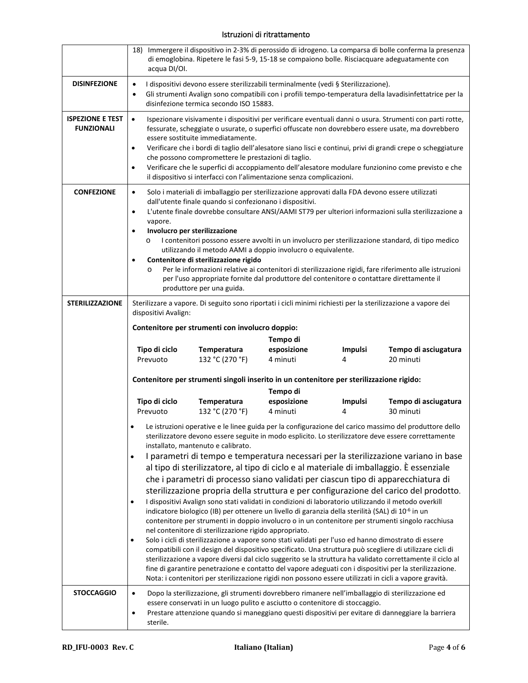|                                              | 18) Immergere il dispositivo in 2-3% di perossido di idrogeno. La comparsa di bolle conferma la presenza<br>di emoglobina. Ripetere le fasi 5-9, 15-18 se compaiono bolle. Risciacquare adeguatamente con<br>acqua DI/OI.                                                                                                                                                                                                                                                                                                                                                                                                                                                                                                                                                                                                                                                                                                                                                                                                                                                                                                                                                                                                                                                                                                                     |  |  |  |
|----------------------------------------------|-----------------------------------------------------------------------------------------------------------------------------------------------------------------------------------------------------------------------------------------------------------------------------------------------------------------------------------------------------------------------------------------------------------------------------------------------------------------------------------------------------------------------------------------------------------------------------------------------------------------------------------------------------------------------------------------------------------------------------------------------------------------------------------------------------------------------------------------------------------------------------------------------------------------------------------------------------------------------------------------------------------------------------------------------------------------------------------------------------------------------------------------------------------------------------------------------------------------------------------------------------------------------------------------------------------------------------------------------|--|--|--|
| <b>DISINFEZIONE</b>                          | I dispositivi devono essere sterilizzabili terminalmente (vedi § Sterilizzazione).<br>$\bullet$<br>Gli strumenti Avalign sono compatibili con i profili tempo-temperatura della lavadisinfettatrice per la<br>$\bullet$<br>disinfezione termica secondo ISO 15883.                                                                                                                                                                                                                                                                                                                                                                                                                                                                                                                                                                                                                                                                                                                                                                                                                                                                                                                                                                                                                                                                            |  |  |  |
| <b>ISPEZIONE E TEST</b><br><b>FUNZIONALI</b> | Ispezionare visivamente i dispositivi per verificare eventuali danni o usura. Strumenti con parti rotte,<br>$\bullet$<br>fessurate, scheggiate o usurate, o superfici offuscate non dovrebbero essere usate, ma dovrebbero<br>essere sostituite immediatamente.<br>Verificare che i bordi di taglio dell'alesatore siano lisci e continui, privi di grandi crepe o scheggiature<br>$\bullet$<br>che possono compromettere le prestazioni di taglio.<br>Verificare che le superfici di accoppiamento dell'alesatore modulare funzionino come previsto e che<br>$\bullet$<br>il dispositivo si interfacci con l'alimentazione senza complicazioni.                                                                                                                                                                                                                                                                                                                                                                                                                                                                                                                                                                                                                                                                                              |  |  |  |
| <b>CONFEZIONE</b>                            | Solo i materiali di imballaggio per sterilizzazione approvati dalla FDA devono essere utilizzati<br>$\bullet$<br>dall'utente finale quando si confezionano i dispositivi.<br>L'utente finale dovrebbe consultare ANSI/AAMI ST79 per ulteriori informazioni sulla sterilizzazione a<br>$\bullet$<br>vapore.<br>Involucro per sterilizzazione<br>٠<br>I contenitori possono essere avvolti in un involucro per sterilizzazione standard, di tipo medico<br>$\circ$<br>utilizzando il metodo AAMI a doppio involucro o equivalente.<br>Contenitore di sterilizzazione rigido<br>$\bullet$<br>Per le informazioni relative ai contenitori di sterilizzazione rigidi, fare riferimento alle istruzioni<br>$\circ$<br>per l'uso appropriate fornite dal produttore del contenitore o contattare direttamente il<br>produttore per una guida.                                                                                                                                                                                                                                                                                                                                                                                                                                                                                                        |  |  |  |
| <b>STERILIZZAZIONE</b>                       | Sterilizzare a vapore. Di seguito sono riportati i cicli minimi richiesti per la sterilizzazione a vapore dei<br>dispositivi Avalign:<br>Contenitore per strumenti con involucro doppio:                                                                                                                                                                                                                                                                                                                                                                                                                                                                                                                                                                                                                                                                                                                                                                                                                                                                                                                                                                                                                                                                                                                                                      |  |  |  |
|                                              | Tempo di<br>Tipo di ciclo<br>esposizione<br>Temperatura<br>Tempo di asciugatura<br><b>Impulsi</b><br>132 °C (270 °F)<br>20 minuti<br>Prevuoto<br>4 minuti<br>4                                                                                                                                                                                                                                                                                                                                                                                                                                                                                                                                                                                                                                                                                                                                                                                                                                                                                                                                                                                                                                                                                                                                                                                |  |  |  |
|                                              | Contenitore per strumenti singoli inserito in un contenitore per sterilizzazione rigido:<br>Tempo di                                                                                                                                                                                                                                                                                                                                                                                                                                                                                                                                                                                                                                                                                                                                                                                                                                                                                                                                                                                                                                                                                                                                                                                                                                          |  |  |  |
|                                              | Tipo di ciclo<br>esposizione<br>Temperatura<br><b>Impulsi</b><br>Tempo di asciugatura<br>Prevuoto<br>132 °C (270 °F)<br>4 minuti<br>30 minuti<br>4                                                                                                                                                                                                                                                                                                                                                                                                                                                                                                                                                                                                                                                                                                                                                                                                                                                                                                                                                                                                                                                                                                                                                                                            |  |  |  |
|                                              | Le istruzioni operative e le linee guida per la configurazione del carico massimo del produttore dello<br>sterilizzatore devono essere seguite in modo esplicito. Lo sterilizzatore deve essere correttamente<br>installato, mantenuto e calibrato.                                                                                                                                                                                                                                                                                                                                                                                                                                                                                                                                                                                                                                                                                                                                                                                                                                                                                                                                                                                                                                                                                           |  |  |  |
|                                              | I parametri di tempo e temperatura necessari per la sterilizzazione variano in base<br>$\bullet$<br>al tipo di sterilizzatore, al tipo di ciclo e al materiale di imballaggio. È essenziale<br>che i parametri di processo siano validati per ciascun tipo di apparecchiatura di<br>sterilizzazione propria della struttura e per configurazione del carico del prodotto.<br>I dispositivi Avalign sono stati validati in condizioni di laboratorio utilizzando il metodo overkill<br>$\bullet$<br>indicatore biologico (IB) per ottenere un livello di garanzia della sterilità (SAL) di 10 <sup>-6</sup> in un<br>contenitore per strumenti in doppio involucro o in un contenitore per strumenti singolo racchiusa<br>nel contenitore di sterilizzazione rigido appropriato.<br>Solo i cicli di sterilizzazione a vapore sono stati validati per l'uso ed hanno dimostrato di essere<br>٠<br>compatibili con il design del dispositivo specificato. Una struttura può scegliere di utilizzare cicli di<br>sterilizzazione a vapore diversi dal ciclo suggerito se la struttura ha validato correttamente il ciclo al<br>fine di garantire penetrazione e contatto del vapore adeguati con i dispositivi per la sterilizzazione.<br>Nota: i contenitori per sterilizzazione rigidi non possono essere utilizzati in cicli a vapore gravità. |  |  |  |
| <b>STOCCAGGIO</b>                            | Dopo la sterilizzazione, gli strumenti dovrebbero rimanere nell'imballaggio di sterilizzazione ed<br>$\bullet$<br>essere conservati in un luogo pulito e asciutto o contenitore di stoccaggio.<br>Prestare attenzione quando si maneggiano questi dispositivi per evitare di danneggiare la barriera<br>٠<br>sterile.                                                                                                                                                                                                                                                                                                                                                                                                                                                                                                                                                                                                                                                                                                                                                                                                                                                                                                                                                                                                                         |  |  |  |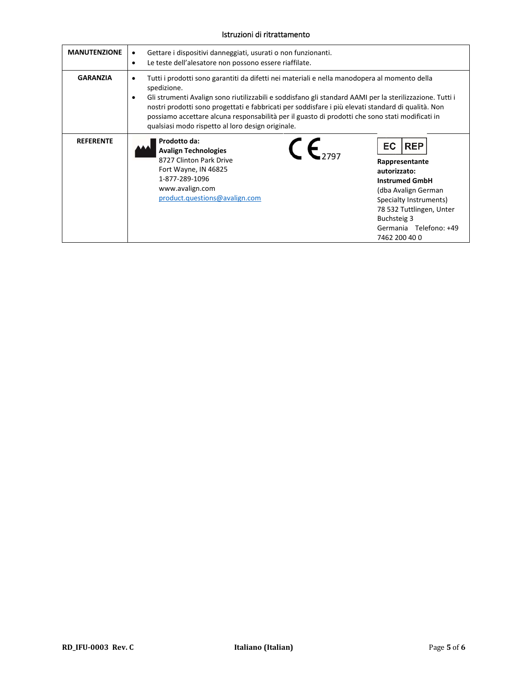| <b>MANUTENZIONE</b> | Gettare i dispositivi danneggiati, usurati o non funzionanti.<br>٠<br>Le teste dell'alesatore non possono essere riaffilate.<br>$\bullet$                                                                                                                                                                                                                                                                                                                                                       |                                                                                                                                                                                                                                  |
|---------------------|-------------------------------------------------------------------------------------------------------------------------------------------------------------------------------------------------------------------------------------------------------------------------------------------------------------------------------------------------------------------------------------------------------------------------------------------------------------------------------------------------|----------------------------------------------------------------------------------------------------------------------------------------------------------------------------------------------------------------------------------|
| <b>GARANZIA</b>     | Tutti i prodotti sono garantiti da difetti nei materiali e nella manodopera al momento della<br>٠<br>spedizione.<br>Gli strumenti Avalign sono riutilizzabili e soddisfano gli standard AAMI per la sterilizzazione. Tutti i<br>٠<br>nostri prodotti sono progettati e fabbricati per soddisfare i più elevati standard di qualità. Non<br>possiamo accettare alcuna responsabilità per il guasto di prodotti che sono stati modificati in<br>qualsiasi modo rispetto al loro design originale. |                                                                                                                                                                                                                                  |
| <b>REFERENTE</b>    | Prodotto da:<br><b>Avalign Technologies</b><br>8727 Clinton Park Drive<br>Fort Wayne, IN 46825<br>1-877-289-1096<br>www.avalign.com<br>product.questions@avalign.com                                                                                                                                                                                                                                                                                                                            | <b>EC</b><br><b>REP</b><br>Rappresentante<br>autorizzato:<br><b>Instrumed GmbH</b><br>(dba Avalign German<br>Specialty Instruments)<br>78 532 Tuttlingen, Unter<br><b>Buchsteig 3</b><br>Germania Telefono: +49<br>7462 200 40 0 |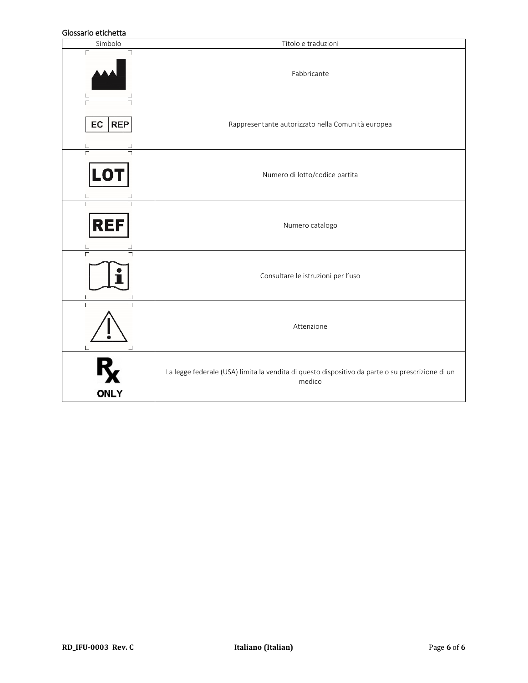#### Glossario etichetta

| טוטטטעווט כנוטווכננע<br>Simbolo | Titolo e traduzioni                                                                                        |
|---------------------------------|------------------------------------------------------------------------------------------------------------|
|                                 | Fabbricante                                                                                                |
| <b>REP</b><br>EC                | Rappresentante autorizzato nella Comunità europea                                                          |
| LO                              | Numero di lotto/codice partita                                                                             |
| REF                             | Numero catalogo                                                                                            |
| $\Gamma$                        | Consultare le istruzioni per l'uso                                                                         |
|                                 | Attenzione                                                                                                 |
| <b>ONLY</b>                     | La legge federale (USA) limita la vendita di questo dispositivo da parte o su prescrizione di un<br>medico |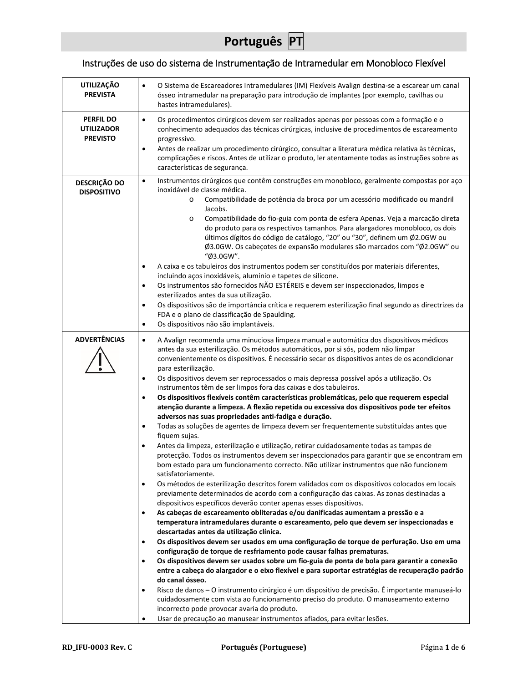# **Português PT**

# Instruções de uso do sistema de Instrumentação de Intramedular em Monobloco Flexível

| O Sistema de Escareadores Intramedulares (IM) Flexíveis Avalign destina-se a escarear um canal<br>ósseo intramedular na preparação para introdução de implantes (por exemplo, cavilhas ou<br>hastes intramedulares).                                                                                                                                                                                                                                                                                                                                                                                                                                                                                                                                                                                                                                                                                                                                                                                                                                                                                                                                                                                                                                                                                                                                                                                                                                                                                                                                                                                                                                                                                                                                                                                                                                                                                                                                                                                                                                                                                                                                                                                                                                                                                                                                           |
|----------------------------------------------------------------------------------------------------------------------------------------------------------------------------------------------------------------------------------------------------------------------------------------------------------------------------------------------------------------------------------------------------------------------------------------------------------------------------------------------------------------------------------------------------------------------------------------------------------------------------------------------------------------------------------------------------------------------------------------------------------------------------------------------------------------------------------------------------------------------------------------------------------------------------------------------------------------------------------------------------------------------------------------------------------------------------------------------------------------------------------------------------------------------------------------------------------------------------------------------------------------------------------------------------------------------------------------------------------------------------------------------------------------------------------------------------------------------------------------------------------------------------------------------------------------------------------------------------------------------------------------------------------------------------------------------------------------------------------------------------------------------------------------------------------------------------------------------------------------------------------------------------------------------------------------------------------------------------------------------------------------------------------------------------------------------------------------------------------------------------------------------------------------------------------------------------------------------------------------------------------------------------------------------------------------------------------------------------------------|
| Os procedimentos cirúrgicos devem ser realizados apenas por pessoas com a formação e o<br>$\bullet$<br>conhecimento adequados das técnicas cirúrgicas, inclusive de procedimentos de escareamento<br>progressivo.<br>Antes de realizar um procedimento cirúrgico, consultar a literatura médica relativa às técnicas,<br>$\bullet$<br>complicações e riscos. Antes de utilizar o produto, ler atentamente todas as instruções sobre as<br>características de segurança.                                                                                                                                                                                                                                                                                                                                                                                                                                                                                                                                                                                                                                                                                                                                                                                                                                                                                                                                                                                                                                                                                                                                                                                                                                                                                                                                                                                                                                                                                                                                                                                                                                                                                                                                                                                                                                                                                        |
| Instrumentos cirúrgicos que contêm construções em monobloco, geralmente compostas por aço<br>$\bullet$<br>inoxidável de classe médica.<br>Compatibilidade de potência da broca por um acessório modificado ou mandril<br>$\circ$<br>Jacobs.<br>Compatibilidade do fio-guia com ponta de esfera Apenas. Veja a marcação direta<br>$\circ$<br>do produto para os respectivos tamanhos. Para alargadores monobloco, os dois<br>últimos dígitos do código de catálogo, "20" ou "30", definem um Ø2.0GW ou<br>Ø3.0GW. Os cabeçotes de expansão modulares são marcados com "Ø2.0GW" ou<br>"Ø3.0GW".<br>A caixa e os tabuleiros dos instrumentos podem ser constituídos por materiais diferentes,<br>٠<br>incluindo aços inoxidáveis, alumínio e tapetes de silicone.<br>Os instrumentos são fornecidos NÃO ESTÉREIS e devem ser inspeccionados, limpos e<br>٠<br>esterilizados antes da sua utilização.<br>Os dispositivos são de importância crítica e requerem esterilização final segundo as directrizes da<br>$\bullet$<br>FDA e o plano de classificação de Spaulding.<br>Os dispositivos não são implantáveis.<br>$\bullet$                                                                                                                                                                                                                                                                                                                                                                                                                                                                                                                                                                                                                                                                                                                                                                                                                                                                                                                                                                                                                                                                                                                                                                                                                                    |
| A Avalign recomenda uma minuciosa limpeza manual e automática dos dispositivos médicos<br>$\bullet$<br>antes da sua esterilização. Os métodos automáticos, por si sós, podem não limpar<br>convenientemente os dispositivos. É necessário secar os dispositivos antes de os acondicionar<br>para esterilização.<br>Os dispositivos devem ser reprocessados o mais depressa possível após a utilização. Os<br>٠<br>instrumentos têm de ser limpos fora das caixas e dos tabuleiros.<br>Os dispositivos flexíveis contêm características problemáticas, pelo que requerem especial<br>$\bullet$<br>atenção durante a limpeza. A flexão repetida ou excessiva dos dispositivos pode ter efeitos<br>adversos nas suas propriedades anti-fadiga e duração.<br>Todas as soluções de agentes de limpeza devem ser frequentemente substituídas antes que<br>٠<br>fiquem sujas.<br>Antes da limpeza, esterilização e utilização, retirar cuidadosamente todas as tampas de<br>$\bullet$<br>protecção. Todos os instrumentos devem ser inspeccionados para garantir que se encontram em<br>bom estado para um funcionamento correcto. Não utilizar instrumentos que não funcionem<br>satisfatoriamente.<br>Os métodos de esterilização descritos forem validados com os dispositivos colocados em locais<br>$\bullet$<br>previamente determinados de acordo com a configuração das caixas. As zonas destinadas a<br>dispositivos específicos deverão conter apenas esses dispositivos.<br>As cabeças de escareamento obliteradas e/ou danificadas aumentam a pressão e a<br>$\bullet$<br>temperatura intramedulares durante o escareamento, pelo que devem ser inspeccionadas e<br>descartadas antes da utilização clínica.<br>Os dispositivos devem ser usados em uma configuração de torque de perfuração. Uso em uma<br>٠<br>configuração de torque de resfriamento pode causar falhas prematuras.<br>Os dispositivos devem ser usados sobre um fio-guia de ponta de bola para garantir a conexão<br>entre a cabeça do alargador e o eixo flexível e para suportar estratégias de recuperação padrão<br>do canal ósseo.<br>Risco de danos - O instrumento cirúrgico é um dispositivo de precisão. É importante manuseá-lo<br>٠<br>cuidadosamente com vista ao funcionamento preciso do produto. O manuseamento externo<br>incorrecto pode provocar avaria do produto. |
|                                                                                                                                                                                                                                                                                                                                                                                                                                                                                                                                                                                                                                                                                                                                                                                                                                                                                                                                                                                                                                                                                                                                                                                                                                                                                                                                                                                                                                                                                                                                                                                                                                                                                                                                                                                                                                                                                                                                                                                                                                                                                                                                                                                                                                                                                                                                                                |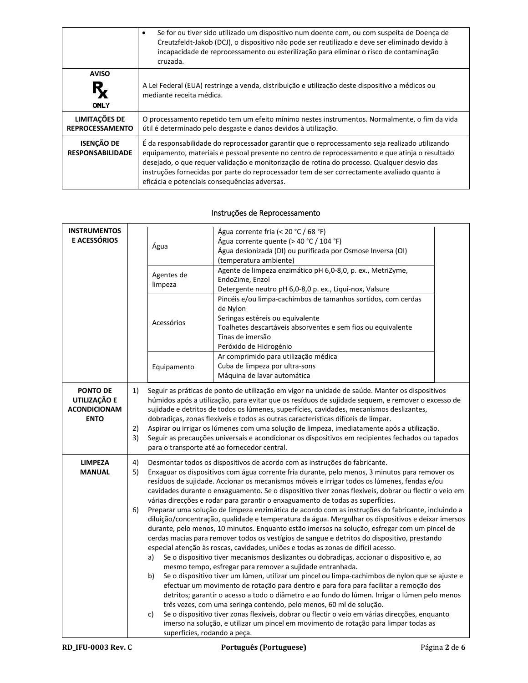|                                              | Se for ou tiver sido utilizado um dispositivo num doente com, ou com suspeita de Doença de<br>Creutzfeldt-Jakob (DCJ), o dispositivo não pode ser reutilizado e deve ser eliminado devido à<br>incapacidade de reprocessamento ou esterilização para eliminar o risco de contaminação<br>cruzada.                                                                                                                                                 |
|----------------------------------------------|---------------------------------------------------------------------------------------------------------------------------------------------------------------------------------------------------------------------------------------------------------------------------------------------------------------------------------------------------------------------------------------------------------------------------------------------------|
| <b>AVISO</b>                                 | A Lei Federal (EUA) restringe a venda, distribuição e utilização deste dispositivo a médicos ou                                                                                                                                                                                                                                                                                                                                                   |
| <b>ONLY</b>                                  | mediante receita médica.                                                                                                                                                                                                                                                                                                                                                                                                                          |
| LIMITAÇÕES DE                                | O processamento repetido tem um efeito mínimo nestes instrumentos. Normalmente, o fim da vida                                                                                                                                                                                                                                                                                                                                                     |
| <b>REPROCESSAMENTO</b>                       | útil é determinado pelo desgaste e danos devidos à utilização.                                                                                                                                                                                                                                                                                                                                                                                    |
| <b>ISENÇÃO DE</b><br><b>RESPONSABILIDADE</b> | É da responsabilidade do reprocessador garantir que o reprocessamento seja realizado utilizando<br>equipamento, materiais e pessoal presente no centro de reprocessamento e que atinja o resultado<br>desejado, o que requer validação e monitorização de rotina do processo. Qualquer desvio das<br>instruções fornecidas por parte do reprocessador tem de ser correctamente avaliado quanto à<br>eficácia e potenciais consequências adversas. |

#### Instruções de Reprocessamento

| <b>INSTRUMENTOS</b><br><b>E ACESSÓRIOS</b>                            |                | Água                                                                                                                                                                                                                                                                                                                                                                                                                                                                                                                                                                                                                                                                                                                                                                                                                                                                                                                                                                                                                                                                                                                                                                                                                                                                                                                                                                                                                                                                                                                                                                                                                                                                                                                                              | Água corrente fria (< 20 °C / 68 °F)<br>Água corrente quente (> 40 °C / 104 °F)<br>Água desionizada (DI) ou purificada por Osmose Inversa (OI)<br>(temperatura ambiente)                                                    |  |
|-----------------------------------------------------------------------|----------------|---------------------------------------------------------------------------------------------------------------------------------------------------------------------------------------------------------------------------------------------------------------------------------------------------------------------------------------------------------------------------------------------------------------------------------------------------------------------------------------------------------------------------------------------------------------------------------------------------------------------------------------------------------------------------------------------------------------------------------------------------------------------------------------------------------------------------------------------------------------------------------------------------------------------------------------------------------------------------------------------------------------------------------------------------------------------------------------------------------------------------------------------------------------------------------------------------------------------------------------------------------------------------------------------------------------------------------------------------------------------------------------------------------------------------------------------------------------------------------------------------------------------------------------------------------------------------------------------------------------------------------------------------------------------------------------------------------------------------------------------------|-----------------------------------------------------------------------------------------------------------------------------------------------------------------------------------------------------------------------------|--|
|                                                                       |                | Agentes de<br>limpeza                                                                                                                                                                                                                                                                                                                                                                                                                                                                                                                                                                                                                                                                                                                                                                                                                                                                                                                                                                                                                                                                                                                                                                                                                                                                                                                                                                                                                                                                                                                                                                                                                                                                                                                             | Agente de limpeza enzimático pH 6,0-8,0, p. ex., MetriZyme,<br>EndoZime, Enzol<br>Detergente neutro pH 6,0-8,0 p. ex., Liqui-nox, Valsure                                                                                   |  |
|                                                                       |                | Acessórios                                                                                                                                                                                                                                                                                                                                                                                                                                                                                                                                                                                                                                                                                                                                                                                                                                                                                                                                                                                                                                                                                                                                                                                                                                                                                                                                                                                                                                                                                                                                                                                                                                                                                                                                        | Pincéis e/ou limpa-cachimbos de tamanhos sortidos, com cerdas<br>de Nylon<br>Seringas estéreis ou equivalente<br>Toalhetes descartáveis absorventes e sem fios ou equivalente<br>Tinas de imersão<br>Peróxido de Hidrogénio |  |
|                                                                       |                | Equipamento                                                                                                                                                                                                                                                                                                                                                                                                                                                                                                                                                                                                                                                                                                                                                                                                                                                                                                                                                                                                                                                                                                                                                                                                                                                                                                                                                                                                                                                                                                                                                                                                                                                                                                                                       | Ar comprimido para utilização médica<br>Cuba de limpeza por ultra-sons<br>Máquina de lavar automática                                                                                                                       |  |
| <b>PONTO DE</b><br>UTILIZAÇÃO E<br><b>ACONDICIONAM</b><br><b>ENTO</b> | 1)<br>2)<br>3) | Seguir as práticas de ponto de utilização em vigor na unidade de saúde. Manter os dispositivos<br>húmidos após a utilização, para evitar que os resíduos de sujidade sequem, e remover o excesso de<br>sujidade e detritos de todos os lúmenes, superfícies, cavidades, mecanismos deslizantes,<br>dobradiças, zonas flexíveis e todos as outras características difíceis de limpar.<br>Aspirar ou irrigar os lúmenes com uma solução de limpeza, imediatamente após a utilização.<br>Seguir as precauções universais e acondicionar os dispositivos em recipientes fechados ou tapados<br>para o transporte até ao fornecedor central.                                                                                                                                                                                                                                                                                                                                                                                                                                                                                                                                                                                                                                                                                                                                                                                                                                                                                                                                                                                                                                                                                                           |                                                                                                                                                                                                                             |  |
| <b>LIMPEZA</b><br><b>MANUAL</b>                                       | 4)<br>5)<br>6) | Desmontar todos os dispositivos de acordo com as instruções do fabricante.<br>Enxaguar os dispositivos com água corrente fria durante, pelo menos, 3 minutos para remover os<br>resíduos de sujidade. Accionar os mecanismos móveis e irrigar todos os lúmenes, fendas e/ou<br>cavidades durante o enxaguamento. Se o dispositivo tiver zonas flexíveis, dobrar ou flectir o veio em<br>várias direcções e rodar para garantir o enxaguamento de todas as superfícies.<br>Preparar uma solução de limpeza enzimática de acordo com as instruções do fabricante, incluindo a<br>diluição/concentração, qualidade e temperatura da água. Mergulhar os dispositivos e deixar imersos<br>durante, pelo menos, 10 minutos. Enquanto estão imersos na solução, esfregar com um pincel de<br>cerdas macias para remover todos os vestígios de sangue e detritos do dispositivo, prestando<br>especial atenção às roscas, cavidades, uniões e todas as zonas de difícil acesso.<br>Se o dispositivo tiver mecanismos deslizantes ou dobradiças, accionar o dispositivo e, ao<br>a)<br>mesmo tempo, esfregar para remover a sujidade entranhada.<br>Se o dispositivo tiver um lúmen, utilizar um pincel ou limpa-cachimbos de nylon que se ajuste e<br>b)<br>efectuar um movimento de rotação para dentro e para fora para facilitar a remoção dos<br>detritos; garantir o acesso a todo o diâmetro e ao fundo do lúmen. Irrigar o lúmen pelo menos<br>três vezes, com uma seringa contendo, pelo menos, 60 ml de solução.<br>Se o dispositivo tiver zonas flexíveis, dobrar ou flectir o veio em várias direcções, enquanto<br>c)<br>imerso na solução, e utilizar um pincel em movimento de rotação para limpar todas as<br>superfícies, rodando a peça. |                                                                                                                                                                                                                             |  |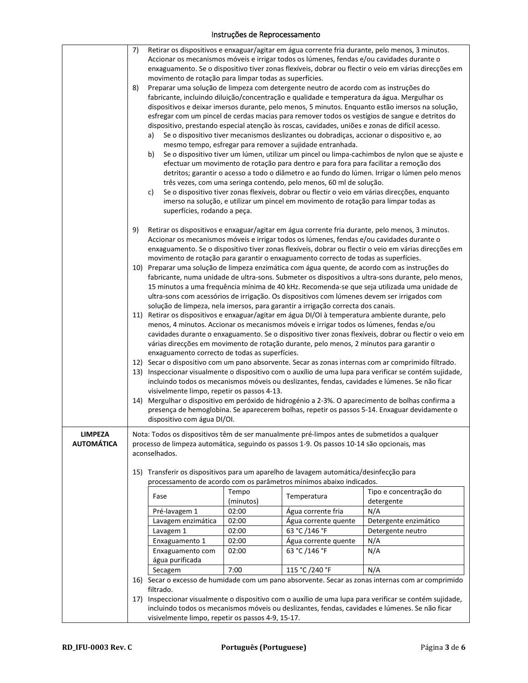## Instruções de Reprocessamento

|                                     | 7)<br>8)<br>a)<br>b)<br>c)                        | movimento de rotação para limpar todas as superfícies.<br>superfícies, rodando a peça.                                                                                                                                                                                                                                                                                                                                                                                              | Accionar os mecanismos móveis e irrigar todos os lúmenes, fendas e/ou cavidades durante o<br>Preparar uma solução de limpeza com detergente neutro de acordo com as instruções do<br>fabricante, incluindo diluição/concentração e qualidade e temperatura da água. Mergulhar os<br>dispositivo, prestando especial atenção às roscas, cavidades, uniões e zonas de difícil acesso.<br>Se o dispositivo tiver mecanismos deslizantes ou dobradiças, accionar o dispositivo e, ao<br>mesmo tempo, esfregar para remover a sujidade entranhada.<br>efectuar um movimento de rotação para dentro e para fora para facilitar a remoção dos<br>três vezes, com uma seringa contendo, pelo menos, 60 ml de solução.<br>imerso na solução, e utilizar um pincel em movimento de rotação para limpar todas as | Retirar os dispositivos e enxaguar/agitar em água corrente fria durante, pelo menos, 3 minutos.<br>enxaguamento. Se o dispositivo tiver zonas flexíveis, dobrar ou flectir o veio em várias direcções em<br>dispositivos e deixar imersos durante, pelo menos, 5 minutos. Enquanto estão imersos na solução,<br>esfregar com um pincel de cerdas macias para remover todos os vestígios de sangue e detritos do<br>Se o dispositivo tiver um lúmen, utilizar um pincel ou limpa-cachimbos de nylon que se ajuste e<br>detritos; garantir o acesso a todo o diâmetro e ao fundo do lúmen. Irrigar o lúmen pelo menos<br>Se o dispositivo tiver zonas flexíveis, dobrar ou flectir o veio em várias direcções, enquanto |
|-------------------------------------|---------------------------------------------------|-------------------------------------------------------------------------------------------------------------------------------------------------------------------------------------------------------------------------------------------------------------------------------------------------------------------------------------------------------------------------------------------------------------------------------------------------------------------------------------|-------------------------------------------------------------------------------------------------------------------------------------------------------------------------------------------------------------------------------------------------------------------------------------------------------------------------------------------------------------------------------------------------------------------------------------------------------------------------------------------------------------------------------------------------------------------------------------------------------------------------------------------------------------------------------------------------------------------------------------------------------------------------------------------------------|-----------------------------------------------------------------------------------------------------------------------------------------------------------------------------------------------------------------------------------------------------------------------------------------------------------------------------------------------------------------------------------------------------------------------------------------------------------------------------------------------------------------------------------------------------------------------------------------------------------------------------------------------------------------------------------------------------------------------|
|                                     | 9)                                                |                                                                                                                                                                                                                                                                                                                                                                                                                                                                                     | Accionar os mecanismos móveis e irrigar todos os lúmenes, fendas e/ou cavidades durante o<br>movimento de rotação para garantir o enxaguamento correcto de todas as superfícies.                                                                                                                                                                                                                                                                                                                                                                                                                                                                                                                                                                                                                      | Retirar os dispositivos e enxaguar/agitar em água corrente fria durante, pelo menos, 3 minutos.<br>enxaguamento. Se o dispositivo tiver zonas flexíveis, dobrar ou flectir o veio em várias direcções em                                                                                                                                                                                                                                                                                                                                                                                                                                                                                                              |
|                                     |                                                   |                                                                                                                                                                                                                                                                                                                                                                                                                                                                                     | ultra-sons com acessórios de irrigação. Os dispositivos com lúmenes devem ser irrigados com                                                                                                                                                                                                                                                                                                                                                                                                                                                                                                                                                                                                                                                                                                           | 10) Preparar uma solução de limpeza enzimática com água quente, de acordo com as instruções do<br>fabricante, numa unidade de ultra-sons. Submeter os dispositivos a ultra-sons durante, pelo menos,<br>15 minutos a uma frequência mínima de 40 kHz. Recomenda-se que seja utilizada uma unidade de                                                                                                                                                                                                                                                                                                                                                                                                                  |
|                                     |                                                   | solução de limpeza, nela imersos, para garantir a irrigação correcta dos canais.<br>11) Retirar os dispositivos e enxaguar/agitar em água DI/OI à temperatura ambiente durante, pelo<br>menos, 4 minutos. Accionar os mecanismos móveis e irrigar todos os lúmenes, fendas e/ou<br>cavidades durante o enxaguamento. Se o dispositivo tiver zonas flexíveis, dobrar ou flectir o veio em<br>várias direcções em movimento de rotação durante, pelo menos, 2 minutos para garantir o |                                                                                                                                                                                                                                                                                                                                                                                                                                                                                                                                                                                                                                                                                                                                                                                                       |                                                                                                                                                                                                                                                                                                                                                                                                                                                                                                                                                                                                                                                                                                                       |
|                                     |                                                   | enxaguamento correcto de todas as superfícies.<br>12) Secar o dispositivo com um pano absorvente. Secar as zonas internas com ar comprimido filtrado.<br>13) Inspeccionar visualmente o dispositivo com o auxílio de uma lupa para verificar se contém sujidade,<br>incluindo todos os mecanismos móveis ou deslizantes, fendas, cavidades e lúmenes. Se não ficar<br>visivelmente limpo, repetir os passos 4-13.                                                                   |                                                                                                                                                                                                                                                                                                                                                                                                                                                                                                                                                                                                                                                                                                                                                                                                       |                                                                                                                                                                                                                                                                                                                                                                                                                                                                                                                                                                                                                                                                                                                       |
|                                     |                                                   | 14) Mergulhar o dispositivo em peróxido de hidrogénio a 2-3%. O aparecimento de bolhas confirma a<br>presença de hemoglobina. Se aparecerem bolhas, repetir os passos 5-14. Enxaguar devidamente o<br>dispositivo com água DI/OI.                                                                                                                                                                                                                                                   |                                                                                                                                                                                                                                                                                                                                                                                                                                                                                                                                                                                                                                                                                                                                                                                                       |                                                                                                                                                                                                                                                                                                                                                                                                                                                                                                                                                                                                                                                                                                                       |
| <b>LIMPEZA</b><br><b>AUTOMÁTICA</b> | aconselhados.                                     | Nota: Todos os dispositivos têm de ser manualmente pré-limpos antes de submetidos a qualquer<br>processo de limpeza automática, seguindo os passos 1-9. Os passos 10-14 são opcionais, mas                                                                                                                                                                                                                                                                                          |                                                                                                                                                                                                                                                                                                                                                                                                                                                                                                                                                                                                                                                                                                                                                                                                       |                                                                                                                                                                                                                                                                                                                                                                                                                                                                                                                                                                                                                                                                                                                       |
|                                     |                                                   |                                                                                                                                                                                                                                                                                                                                                                                                                                                                                     | 15) Transferir os dispositivos para um aparelho de lavagem automática/desinfecção para<br>processamento de acordo com os parâmetros mínimos abaixo indicados.                                                                                                                                                                                                                                                                                                                                                                                                                                                                                                                                                                                                                                         |                                                                                                                                                                                                                                                                                                                                                                                                                                                                                                                                                                                                                                                                                                                       |
|                                     |                                                   | Tempo                                                                                                                                                                                                                                                                                                                                                                                                                                                                               |                                                                                                                                                                                                                                                                                                                                                                                                                                                                                                                                                                                                                                                                                                                                                                                                       | Tipo e concentração do                                                                                                                                                                                                                                                                                                                                                                                                                                                                                                                                                                                                                                                                                                |
|                                     | Fase                                              | (minutos)                                                                                                                                                                                                                                                                                                                                                                                                                                                                           | Temperatura                                                                                                                                                                                                                                                                                                                                                                                                                                                                                                                                                                                                                                                                                                                                                                                           | detergente                                                                                                                                                                                                                                                                                                                                                                                                                                                                                                                                                                                                                                                                                                            |
|                                     | Pré-lavagem 1                                     | 02:00                                                                                                                                                                                                                                                                                                                                                                                                                                                                               | Água corrente fria                                                                                                                                                                                                                                                                                                                                                                                                                                                                                                                                                                                                                                                                                                                                                                                    | N/A                                                                                                                                                                                                                                                                                                                                                                                                                                                                                                                                                                                                                                                                                                                   |
|                                     | Lavagem enzimática<br>Lavagem 1                   | 02:00<br>02:00                                                                                                                                                                                                                                                                                                                                                                                                                                                                      | Água corrente quente<br>63 °C /146 °F                                                                                                                                                                                                                                                                                                                                                                                                                                                                                                                                                                                                                                                                                                                                                                 | Detergente enzimático<br>Detergente neutro                                                                                                                                                                                                                                                                                                                                                                                                                                                                                                                                                                                                                                                                            |
|                                     | Enxaguamento 1                                    | 02:00                                                                                                                                                                                                                                                                                                                                                                                                                                                                               | Água corrente quente                                                                                                                                                                                                                                                                                                                                                                                                                                                                                                                                                                                                                                                                                                                                                                                  | N/A                                                                                                                                                                                                                                                                                                                                                                                                                                                                                                                                                                                                                                                                                                                   |
|                                     | Enxaguamento com<br>água purificada               | 02:00                                                                                                                                                                                                                                                                                                                                                                                                                                                                               | 63 °C /146 °F                                                                                                                                                                                                                                                                                                                                                                                                                                                                                                                                                                                                                                                                                                                                                                                         | N/A                                                                                                                                                                                                                                                                                                                                                                                                                                                                                                                                                                                                                                                                                                                   |
|                                     | Secagem                                           | 7:00                                                                                                                                                                                                                                                                                                                                                                                                                                                                                | 115 °C /240 °F                                                                                                                                                                                                                                                                                                                                                                                                                                                                                                                                                                                                                                                                                                                                                                                        | N/A                                                                                                                                                                                                                                                                                                                                                                                                                                                                                                                                                                                                                                                                                                                   |
|                                     | filtrado.                                         |                                                                                                                                                                                                                                                                                                                                                                                                                                                                                     |                                                                                                                                                                                                                                                                                                                                                                                                                                                                                                                                                                                                                                                                                                                                                                                                       | 16) Secar o excesso de humidade com um pano absorvente. Secar as zonas internas com ar comprimido                                                                                                                                                                                                                                                                                                                                                                                                                                                                                                                                                                                                                     |
|                                     |                                                   |                                                                                                                                                                                                                                                                                                                                                                                                                                                                                     |                                                                                                                                                                                                                                                                                                                                                                                                                                                                                                                                                                                                                                                                                                                                                                                                       | 17) Inspeccionar visualmente o dispositivo com o auxílio de uma lupa para verificar se contém sujidade,                                                                                                                                                                                                                                                                                                                                                                                                                                                                                                                                                                                                               |
|                                     |                                                   |                                                                                                                                                                                                                                                                                                                                                                                                                                                                                     |                                                                                                                                                                                                                                                                                                                                                                                                                                                                                                                                                                                                                                                                                                                                                                                                       | incluindo todos os mecanismos móveis ou deslizantes, fendas, cavidades e lúmenes. Se não ficar                                                                                                                                                                                                                                                                                                                                                                                                                                                                                                                                                                                                                        |
|                                     | visivelmente limpo, repetir os passos 4-9, 15-17. |                                                                                                                                                                                                                                                                                                                                                                                                                                                                                     |                                                                                                                                                                                                                                                                                                                                                                                                                                                                                                                                                                                                                                                                                                                                                                                                       |                                                                                                                                                                                                                                                                                                                                                                                                                                                                                                                                                                                                                                                                                                                       |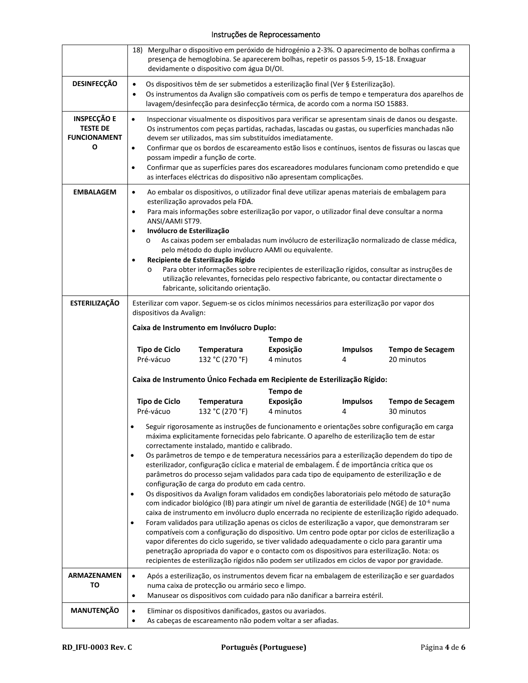## Instruções de Reprocessamento

|                                                                   | 18) Mergulhar o dispositivo em peróxido de hidrogénio a 2-3%. O aparecimento de bolhas confirma a<br>presença de hemoglobina. Se aparecerem bolhas, repetir os passos 5-9, 15-18. Enxaguar<br>devidamente o dispositivo com água DI/OI.                                                                                                                                                                                                                                                                                                                                                                                                                                                                                                                                                                                                                                                                                                                                                                                                                                                                                                                                                                                                                                                                                                                                                                                                                                   |  |  |
|-------------------------------------------------------------------|---------------------------------------------------------------------------------------------------------------------------------------------------------------------------------------------------------------------------------------------------------------------------------------------------------------------------------------------------------------------------------------------------------------------------------------------------------------------------------------------------------------------------------------------------------------------------------------------------------------------------------------------------------------------------------------------------------------------------------------------------------------------------------------------------------------------------------------------------------------------------------------------------------------------------------------------------------------------------------------------------------------------------------------------------------------------------------------------------------------------------------------------------------------------------------------------------------------------------------------------------------------------------------------------------------------------------------------------------------------------------------------------------------------------------------------------------------------------------|--|--|
| <b>DESINFECÇÃO</b>                                                | Os dispositivos têm de ser submetidos a esterilização final (Ver § Esterilização).<br>$\bullet$<br>Os instrumentos da Avalign são compatíveis com os perfis de tempo e temperatura dos aparelhos de<br>$\bullet$<br>lavagem/desinfecção para desinfecção térmica, de acordo com a norma ISO 15883.                                                                                                                                                                                                                                                                                                                                                                                                                                                                                                                                                                                                                                                                                                                                                                                                                                                                                                                                                                                                                                                                                                                                                                        |  |  |
| <b>INSPECÇÃO E</b><br><b>TESTE DE</b><br><b>FUNCIONAMENT</b><br>O | Inspeccionar visualmente os dispositivos para verificar se apresentam sinais de danos ou desgaste.<br>$\bullet$<br>Os instrumentos com peças partidas, rachadas, lascadas ou gastas, ou superfícies manchadas não<br>devem ser utilizados, mas sim substituídos imediatamente.<br>Confirmar que os bordos de escareamento estão lisos e contínuos, isentos de fissuras ou lascas que<br>$\bullet$<br>possam impedir a função de corte.<br>Confirmar que as superfícies pares dos escareadores modulares funcionam como pretendido e que<br>$\bullet$<br>as interfaces eléctricas do dispositivo não apresentam complicações.                                                                                                                                                                                                                                                                                                                                                                                                                                                                                                                                                                                                                                                                                                                                                                                                                                              |  |  |
| <b>EMBALAGEM</b>                                                  | Ao embalar os dispositivos, o utilizador final deve utilizar apenas materiais de embalagem para<br>$\bullet$<br>esterilização aprovados pela FDA.<br>Para mais informações sobre esterilização por vapor, o utilizador final deve consultar a norma<br>$\bullet$<br>ANSI/AAMI ST79.<br>Invólucro de Esterilização<br>$\bullet$<br>As caixas podem ser embaladas num invólucro de esterilização normalizado de classe médica,<br>$\circ$<br>pelo método do duplo invólucro AAMI ou equivalente.<br>Recipiente de Esterilização Rígido<br>Para obter informações sobre recipientes de esterilização rígidos, consultar as instruções de<br>O<br>utilização relevantes, fornecidas pelo respectivo fabricante, ou contactar directamente o<br>fabricante, solicitando orientação.                                                                                                                                                                                                                                                                                                                                                                                                                                                                                                                                                                                                                                                                                            |  |  |
| <b>ESTERILIZAÇÃO</b>                                              | Esterilizar com vapor. Seguem-se os ciclos mínimos necessários para esterilização por vapor dos<br>dispositivos da Avalign:<br>Caixa de Instrumento em Invólucro Duplo:<br>Tempo de<br><b>Tipo de Ciclo</b><br>Exposição<br>Temperatura<br><b>Impulsos</b><br><b>Tempo de Secagem</b>                                                                                                                                                                                                                                                                                                                                                                                                                                                                                                                                                                                                                                                                                                                                                                                                                                                                                                                                                                                                                                                                                                                                                                                     |  |  |
|                                                                   | Pré-vácuo<br>132 °C (270 °F)<br>4 minutos<br>20 minutos<br>4<br>Caixa de Instrumento Único Fechada em Recipiente de Esterilização Rígido:<br>Tempo de                                                                                                                                                                                                                                                                                                                                                                                                                                                                                                                                                                                                                                                                                                                                                                                                                                                                                                                                                                                                                                                                                                                                                                                                                                                                                                                     |  |  |
|                                                                   | <b>Tipo de Ciclo</b><br>Exposição<br><b>Temperatura</b><br><b>Impulsos</b><br><b>Tempo de Secagem</b><br>Pré-vácuo<br>132 °C (270 °F)<br>4 minutos<br>30 minutos                                                                                                                                                                                                                                                                                                                                                                                                                                                                                                                                                                                                                                                                                                                                                                                                                                                                                                                                                                                                                                                                                                                                                                                                                                                                                                          |  |  |
|                                                                   | Seguir rigorosamente as instruções de funcionamento e orientações sobre configuração em carga<br>máxima explicitamente fornecidas pelo fabricante. O aparelho de esterilização tem de estar<br>correctamente instalado, mantido e calibrado.<br>Os parâmetros de tempo e de temperatura necessários para a esterilização dependem do tipo de<br>$\bullet$<br>esterilizador, configuração cíclica e material de embalagem. É de importância crítica que os<br>parâmetros do processo sejam validados para cada tipo de equipamento de esterilização e de<br>configuração de carga do produto em cada centro.<br>Os dispositivos da Avalign foram validados em condições laboratoriais pelo método de saturação<br>$\bullet$<br>com indicador biológico (IB) para atingir um nível de garantia de esterilidade (NGE) de 10 <sup>-6</sup> numa<br>caixa de instrumento em invólucro duplo encerrada no recipiente de esterilização rígido adequado.<br>Foram validados para utilização apenas os ciclos de esterilização a vapor, que demonstraram ser<br>$\bullet$<br>compatíveis com a configuração do dispositivo. Um centro pode optar por ciclos de esterilização a<br>vapor diferentes do ciclo sugerido, se tiver validado adequadamente o ciclo para garantir uma<br>penetração apropriada do vapor e o contacto com os dispositivos para esterilização. Nota: os<br>recipientes de esterilização rígidos não podem ser utilizados em ciclos de vapor por gravidade. |  |  |
| <b>ARMAZENAMEN</b><br>то                                          | Após a esterilização, os instrumentos devem ficar na embalagem de esterilização e ser guardados<br>$\bullet$<br>numa caixa de protecção ou armário seco e limpo.<br>Manusear os dispositivos com cuidado para não danificar a barreira estéril.<br>$\bullet$                                                                                                                                                                                                                                                                                                                                                                                                                                                                                                                                                                                                                                                                                                                                                                                                                                                                                                                                                                                                                                                                                                                                                                                                              |  |  |
| MANUTENÇÃO                                                        | Eliminar os dispositivos danificados, gastos ou avariados.<br>$\bullet$<br>As cabeças de escareamento não podem voltar a ser afiadas.<br>$\bullet$                                                                                                                                                                                                                                                                                                                                                                                                                                                                                                                                                                                                                                                                                                                                                                                                                                                                                                                                                                                                                                                                                                                                                                                                                                                                                                                        |  |  |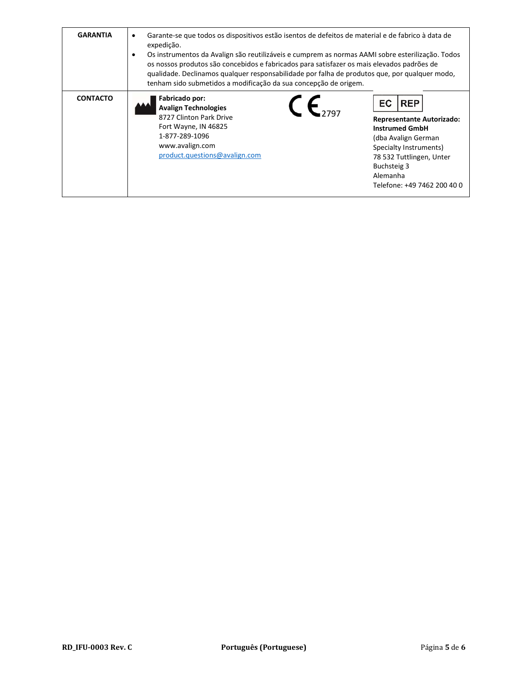| <b>GARANTIA</b> | Garante-se que todos os dispositivos estão isentos de defeitos de material e de fabrico à data de<br>expedição.<br>Os instrumentos da Avalign são reutilizáveis e cumprem as normas AAMI sobre esterilização. Todos<br>٠<br>os nossos produtos são concebidos e fabricados para satisfazer os mais elevados padrões de<br>gualidade. Declinamos qualquer responsabilidade por falha de produtos que, por qualquer modo,<br>tenham sido submetidos a modificação da sua concepção de origem. |                                                                                                                                                                                                                      |
|-----------------|---------------------------------------------------------------------------------------------------------------------------------------------------------------------------------------------------------------------------------------------------------------------------------------------------------------------------------------------------------------------------------------------------------------------------------------------------------------------------------------------|----------------------------------------------------------------------------------------------------------------------------------------------------------------------------------------------------------------------|
| <b>CONTACTO</b> | Fabricado por:<br><b>Avalign Technologies</b><br>8727 Clinton Park Drive<br>Fort Wayne, IN 46825<br>1-877-289-1096<br>www.avalign.com<br>product.questions@avalign.com                                                                                                                                                                                                                                                                                                                      | <b>REP</b><br>EC<br><b>Representante Autorizado:</b><br><b>Instrumed GmbH</b><br>(dba Avalign German<br>Specialty Instruments)<br>78 532 Tuttlingen, Unter<br>Buchsteig 3<br>Alemanha<br>Telefone: +49 7462 200 40 0 |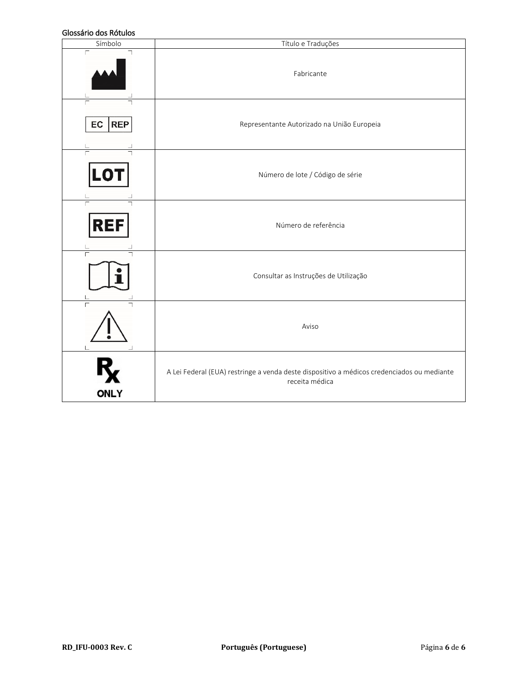#### Glossário dos Rótulos

| טושטטו נטט טווסנכטוט<br>Símbolo | Título e Traduções                                                                                           |
|---------------------------------|--------------------------------------------------------------------------------------------------------------|
| $\Box$<br>┑                     | Fabricante                                                                                                   |
| <b>REP</b><br>EC                | Representante Autorizado na União Europeia                                                                   |
| LO                              | Número de lote / Código de série                                                                             |
| $\Gamma$<br>REF                 | Número de referência                                                                                         |
|                                 | Consultar as Instruções de Utilização                                                                        |
|                                 | Aviso                                                                                                        |
| <b>ONLY</b>                     | A Lei Federal (EUA) restringe a venda deste dispositivo a médicos credenciados ou mediante<br>receita médica |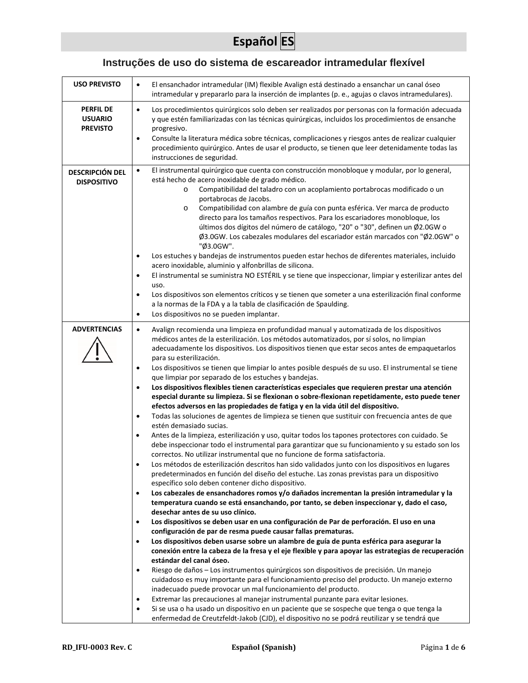# **Español ES**

# **Instruções de uso do sistema de escareador intramedular flexível**

| <b>USO PREVISTO</b>                                   | El ensanchador intramedular (IM) flexible Avalign está destinado a ensanchar un canal óseo<br>$\bullet$<br>intramedular y prepararlo para la inserción de implantes (p. e., agujas o clavos intramedulares).                                                                                                                                                                                                                                                                                                                                                                                                                                                                                                                                                                                                                                                                                                                                                                                                                                                                                                                                                                                                                                                                                                                                                                                                                                                                                                                                                                                                                                                                                                                                                                                                                                                                                                                                                                                                                                                                                                                                                                                                                                                                                                                                                                                                                                                                                                                                                                                                                                                                                |
|-------------------------------------------------------|---------------------------------------------------------------------------------------------------------------------------------------------------------------------------------------------------------------------------------------------------------------------------------------------------------------------------------------------------------------------------------------------------------------------------------------------------------------------------------------------------------------------------------------------------------------------------------------------------------------------------------------------------------------------------------------------------------------------------------------------------------------------------------------------------------------------------------------------------------------------------------------------------------------------------------------------------------------------------------------------------------------------------------------------------------------------------------------------------------------------------------------------------------------------------------------------------------------------------------------------------------------------------------------------------------------------------------------------------------------------------------------------------------------------------------------------------------------------------------------------------------------------------------------------------------------------------------------------------------------------------------------------------------------------------------------------------------------------------------------------------------------------------------------------------------------------------------------------------------------------------------------------------------------------------------------------------------------------------------------------------------------------------------------------------------------------------------------------------------------------------------------------------------------------------------------------------------------------------------------------------------------------------------------------------------------------------------------------------------------------------------------------------------------------------------------------------------------------------------------------------------------------------------------------------------------------------------------------------------------------------------------------------------------------------------------------|
| <b>PERFIL DE</b><br><b>USUARIO</b><br><b>PREVISTO</b> | Los procedimientos quirúrgicos solo deben ser realizados por personas con la formación adecuada<br>$\bullet$<br>y que estén familiarizadas con las técnicas quirúrgicas, incluidos los procedimientos de ensanche<br>progresivo.<br>Consulte la literatura médica sobre técnicas, complicaciones y riesgos antes de realizar cualquier<br>$\bullet$<br>procedimiento quirúrgico. Antes de usar el producto, se tienen que leer detenidamente todas las<br>instrucciones de seguridad.                                                                                                                                                                                                                                                                                                                                                                                                                                                                                                                                                                                                                                                                                                                                                                                                                                                                                                                                                                                                                                                                                                                                                                                                                                                                                                                                                                                                                                                                                                                                                                                                                                                                                                                                                                                                                                                                                                                                                                                                                                                                                                                                                                                                       |
| <b>DESCRIPCIÓN DEL</b><br><b>DISPOSITIVO</b>          | El instrumental quirúrgico que cuenta con construcción monobloque y modular, por lo general,<br>$\bullet$<br>está hecho de acero inoxidable de grado médico.<br>Compatibilidad del taladro con un acoplamiento portabrocas modificado o un<br>$\circ$<br>portabrocas de Jacobs.<br>Compatibilidad con alambre de guía con punta esférica. Ver marca de producto<br>$\circ$<br>directo para los tamaños respectivos. Para los escariadores monobloque, los<br>últimos dos dígitos del número de catálogo, "20" o "30", definen un Ø2.0GW o<br>Ø3.0GW. Los cabezales modulares del escariador están marcados con "Ø2.0GW" o<br>"Ø3.0GW".<br>Los estuches y bandejas de instrumentos pueden estar hechos de diferentes materiales, incluido<br>$\bullet$<br>acero inoxidable, aluminio y alfonbrillas de silicona.<br>El instrumental se suministra NO ESTÉRIL y se tiene que inspeccionar, limpiar y esterilizar antes del<br>$\bullet$<br>uso.<br>Los dispositivos son elementos críticos y se tienen que someter a una esterilización final conforme<br>$\bullet$<br>a la normas de la FDA y a la tabla de clasificación de Spaulding.<br>Los dispositivos no se pueden implantar.<br>$\bullet$                                                                                                                                                                                                                                                                                                                                                                                                                                                                                                                                                                                                                                                                                                                                                                                                                                                                                                                                                                                                                                                                                                                                                                                                                                                                                                                                                                                                                                                                                             |
| <b>ADVERTENCIAS</b>                                   | Avalign recomienda una limpieza en profundidad manual y automatizada de los dispositivos<br>$\bullet$<br>médicos antes de la esterilización. Los métodos automatizados, por sí solos, no limpian<br>adecuadamente los dispositivos. Los dispositivos tienen que estar secos antes de empaquetarlos<br>para su esterilización.<br>Los dispositivos se tienen que limpiar lo antes posible después de su uso. El instrumental se tiene<br>$\bullet$<br>que limpiar por separado de los estuches y bandejas.<br>Los dispositivos flexibles tienen características especiales que requieren prestar una atención<br>$\bullet$<br>especial durante su limpieza. Si se flexionan o sobre-flexionan repetidamente, esto puede tener<br>efectos adversos en las propiedades de fatiga y en la vida útil del dispositivo.<br>Todas las soluciones de agentes de limpieza se tienen que sustituir con frecuencia antes de que<br>$\bullet$<br>estén demasiado sucias.<br>Antes de la limpieza, esterilización y uso, quitar todos los tapones protectores con cuidado. Se<br>$\bullet$<br>debe inspeccionar todo el instrumental para garantizar que su funcionamiento y su estado son los<br>correctos. No utilizar instrumental que no funcione de forma satisfactoria.<br>Los métodos de esterilización descritos han sido validados junto con los dispositivos en lugares<br>$\bullet$<br>predeterminados en función del diseño del estuche. Las zonas previstas para un dispositivo<br>específico solo deben contener dicho dispositivo.<br>Los cabezales de ensanchadores romos y/o dañados incrementan la presión intramedular y la<br>$\bullet$<br>temperatura cuando se está ensanchando, por tanto, se deben inspeccionar y, dado el caso,<br>desechar antes de su uso clínico.<br>Los dispositivos se deben usar en una configuración de Par de perforación. El uso en una<br>$\bullet$<br>configuración de par de resma puede causar fallas prematuras.<br>Los dispositivos deben usarse sobre un alambre de guía de punta esférica para asegurar la<br>$\bullet$<br>conexión entre la cabeza de la fresa y el eje flexible y para apoyar las estrategias de recuperación<br>estándar del canal óseo.<br>Riesgo de daños - Los instrumentos quirúrgicos son dispositivos de precisión. Un manejo<br>$\bullet$<br>cuidadoso es muy importante para el funcionamiento preciso del producto. Un manejo externo<br>inadecuado puede provocar un mal funcionamiento del producto.<br>Extremar las precauciones al manejar instrumental punzante para evitar lesiones.<br>$\bullet$<br>Si se usa o ha usado un dispositivo en un paciente que se sospeche que tenga o que tenga la<br>$\bullet$ |
|                                                       | enfermedad de Creutzfeldt-Jakob (CJD), el dispositivo no se podrá reutilizar y se tendrá que                                                                                                                                                                                                                                                                                                                                                                                                                                                                                                                                                                                                                                                                                                                                                                                                                                                                                                                                                                                                                                                                                                                                                                                                                                                                                                                                                                                                                                                                                                                                                                                                                                                                                                                                                                                                                                                                                                                                                                                                                                                                                                                                                                                                                                                                                                                                                                                                                                                                                                                                                                                                |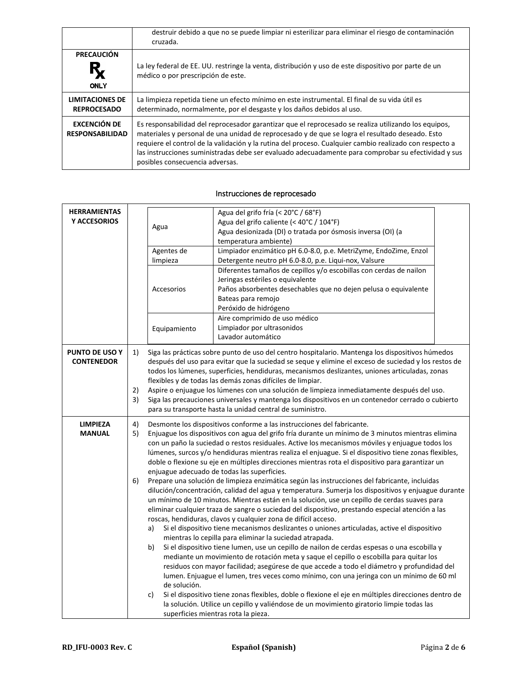|                                              | destruir debido a que no se puede limpiar ni esterilizar para eliminar el riesgo de contaminación<br>cruzada.                                                                                                                                                                                                                                                                                                                                                |
|----------------------------------------------|--------------------------------------------------------------------------------------------------------------------------------------------------------------------------------------------------------------------------------------------------------------------------------------------------------------------------------------------------------------------------------------------------------------------------------------------------------------|
| <b>PRECAUCIÓN</b><br>$R_{\chi}$<br>ONLY      | La ley federal de EE. UU. restringe la venta, distribución y uso de este dispositivo por parte de un<br>médico o por prescripción de este.                                                                                                                                                                                                                                                                                                                   |
| <b>LIMITACIONES DE</b><br><b>REPROCESADO</b> | La limpieza repetida tiene un efecto mínimo en este instrumental. El final de su vida útil es<br>determinado, normalmente, por el desgaste y los daños debidos al uso.                                                                                                                                                                                                                                                                                       |
| EXCENCIÓN DE<br><b>RESPONSABILIDAD</b>       | Es responsabilidad del reprocesador garantizar que el reprocesado se realiza utilizando los equipos,<br>materiales y personal de una unidad de reprocesado y de que se logra el resultado deseado. Esto<br>requiere el control de la validación y la rutina del proceso. Cualquier cambio realizado con respecto a<br>las instrucciones suministradas debe ser evaluado adecuadamente para comprobar su efectividad y sus<br>posibles consecuencia adversas. |

| <b>HERRAMIENTAS</b><br>Y ACCESORIOS |                | Agua<br>Agentes de<br>limpieza<br>Accesorios<br>Equipamiento                                                                                                                                                                                                                                                                                                                                                                                                                                                                                                                                                                                                                                                                                       | Agua del grifo fría (< 20°C / 68°F)<br>Agua del grifo caliente (< 40°C / 104°F)<br>Agua desionizada (DI) o tratada por ósmosis inversa (OI) (a<br>temperatura ambiente)<br>Limpiador enzimático pH 6.0-8.0, p.e. MetriZyme, EndoZime, Enzol<br>Detergente neutro pH 6.0-8.0, p.e. Liqui-nox, Valsure<br>Diferentes tamaños de cepillos y/o escobillas con cerdas de nailon<br>Jeringas estériles o equivalente<br>Paños absorbentes desechables que no dejen pelusa o equivalente<br>Bateas para remojo<br>Peróxido de hidrógeno<br>Aire comprimido de uso médico<br>Limpiador por ultrasonidos                                                                                                                                                                                                                                                                                                                                                                                                                                                           |  |
|-------------------------------------|----------------|----------------------------------------------------------------------------------------------------------------------------------------------------------------------------------------------------------------------------------------------------------------------------------------------------------------------------------------------------------------------------------------------------------------------------------------------------------------------------------------------------------------------------------------------------------------------------------------------------------------------------------------------------------------------------------------------------------------------------------------------------|-----------------------------------------------------------------------------------------------------------------------------------------------------------------------------------------------------------------------------------------------------------------------------------------------------------------------------------------------------------------------------------------------------------------------------------------------------------------------------------------------------------------------------------------------------------------------------------------------------------------------------------------------------------------------------------------------------------------------------------------------------------------------------------------------------------------------------------------------------------------------------------------------------------------------------------------------------------------------------------------------------------------------------------------------------------|--|
|                                     |                |                                                                                                                                                                                                                                                                                                                                                                                                                                                                                                                                                                                                                                                                                                                                                    | Lavador automático                                                                                                                                                                                                                                                                                                                                                                                                                                                                                                                                                                                                                                                                                                                                                                                                                                                                                                                                                                                                                                        |  |
| PUNTO DE USO Y<br><b>CONTENEDOR</b> | 1)<br>2)<br>3) | Siga las prácticas sobre punto de uso del centro hospitalario. Mantenga los dispositivos húmedos<br>después del uso para evitar que la suciedad se seque y elimine el exceso de suciedad y los restos de<br>todos los lúmenes, superficies, hendiduras, mecanismos deslizantes, uniones articuladas, zonas<br>flexibles y de todas las demás zonas difíciles de limpiar.<br>Aspire o enjuague los lúmenes con una solución de limpieza inmediatamente después del uso.<br>Siga las precauciones universales y mantenga los dispositivos en un contenedor cerrado o cubierto<br>para su transporte hasta la unidad central de suministro.                                                                                                           |                                                                                                                                                                                                                                                                                                                                                                                                                                                                                                                                                                                                                                                                                                                                                                                                                                                                                                                                                                                                                                                           |  |
| <b>LIMPIEZA</b><br><b>MANUAL</b>    | 4)<br>5)<br>6) | Desmonte los dispositivos conforme a las instrucciones del fabricante.<br>Enjuague los dispositivos con agua del grifo fría durante un mínimo de 3 minutos mientras elimina<br>con un paño la suciedad o restos residuales. Active los mecanismos móviles y enjuague todos los<br>lúmenes, surcos y/o hendiduras mientras realiza el enjuague. Si el dispositivo tiene zonas flexibles,<br>doble o flexione su eje en múltiples direcciones mientras rota el dispositivo para garantizar un<br>enjuague adecuado de todas las superficies.<br>Prepare una solución de limpieza enzimática según las instrucciones del fabricante, incluidas<br>dilución/concentración, calidad del agua y temperatura. Sumerja los dispositivos y enjuague durante |                                                                                                                                                                                                                                                                                                                                                                                                                                                                                                                                                                                                                                                                                                                                                                                                                                                                                                                                                                                                                                                           |  |
|                                     |                | a)<br>b)<br>de solución.<br>c)                                                                                                                                                                                                                                                                                                                                                                                                                                                                                                                                                                                                                                                                                                                     | un mínimo de 10 minutos. Mientras están en la solución, use un cepillo de cerdas suaves para<br>eliminar cualquier traza de sangre o suciedad del dispositivo, prestando especial atención a las<br>roscas, hendiduras, clavos y cualquier zona de difícil acceso.<br>Si el dispositivo tiene mecanismos deslizantes o uniones articuladas, active el dispositivo<br>mientras lo cepilla para eliminar la suciedad atrapada.<br>Si el dispositivo tiene lumen, use un cepillo de nailon de cerdas espesas o una escobilla y<br>mediante un movimiento de rotación meta y saque el cepillo o escobilla para quitar los<br>residuos con mayor facilidad; asegúrese de que accede a todo el diámetro y profundidad del<br>lumen. Enjuague el lumen, tres veces como mínimo, con una jeringa con un mínimo de 60 ml<br>Si el dispositivo tiene zonas flexibles, doble o flexione el eje en múltiples direcciones dentro de<br>la solución. Utilice un cepillo y valiéndose de un movimiento giratorio limpie todas las<br>superficies mientras rota la pieza. |  |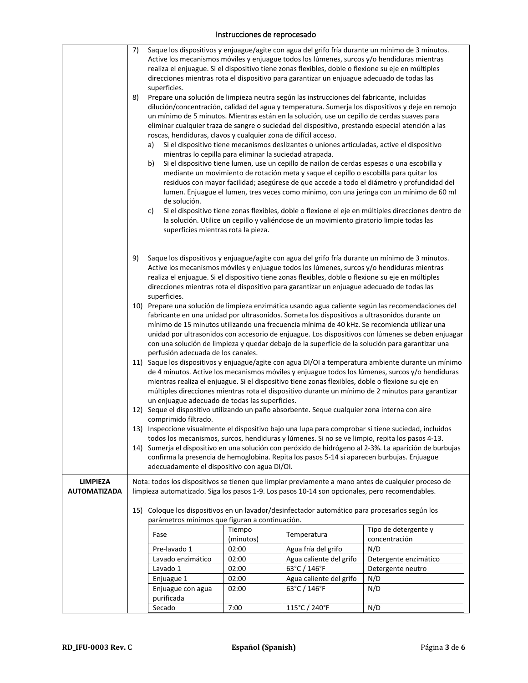|                     | 7) |                                                                                                                                                                                                        |           |                                                                                                                                                                                                  | Saque los dispositivos y enjuague/agite con agua del grifo fría durante un mínimo de 3 minutos.                                                                                                        |
|---------------------|----|--------------------------------------------------------------------------------------------------------------------------------------------------------------------------------------------------------|-----------|--------------------------------------------------------------------------------------------------------------------------------------------------------------------------------------------------|--------------------------------------------------------------------------------------------------------------------------------------------------------------------------------------------------------|
|                     |    |                                                                                                                                                                                                        |           | Active los mecanismos móviles y enjuague todos los lúmenes, surcos y/o hendiduras mientras<br>realiza el enjuague. Si el dispositivo tiene zonas flexibles, doble o flexione su eje en múltiples |                                                                                                                                                                                                        |
|                     |    |                                                                                                                                                                                                        |           | direcciones mientras rota el dispositivo para garantizar un enjuague adecuado de todas las                                                                                                       |                                                                                                                                                                                                        |
|                     |    | superficies.                                                                                                                                                                                           |           |                                                                                                                                                                                                  |                                                                                                                                                                                                        |
|                     | 8) |                                                                                                                                                                                                        |           | Prepare una solución de limpieza neutra según las instrucciones del fabricante, incluidas                                                                                                        |                                                                                                                                                                                                        |
|                     |    |                                                                                                                                                                                                        |           |                                                                                                                                                                                                  | dilución/concentración, calidad del agua y temperatura. Sumerja los dispositivos y deje en remojo                                                                                                      |
|                     |    |                                                                                                                                                                                                        |           | un mínimo de 5 minutos. Mientras están en la solución, use un cepillo de cerdas suaves para                                                                                                      |                                                                                                                                                                                                        |
|                     |    |                                                                                                                                                                                                        |           |                                                                                                                                                                                                  | eliminar cualquier traza de sangre o suciedad del dispositivo, prestando especial atención a las                                                                                                       |
|                     |    | roscas, hendiduras, clavos y cualquier zona de difícil acceso.                                                                                                                                         |           |                                                                                                                                                                                                  |                                                                                                                                                                                                        |
|                     |    | a)                                                                                                                                                                                                     |           | Si el dispositivo tiene mecanismos deslizantes o uniones articuladas, active el dispositivo                                                                                                      |                                                                                                                                                                                                        |
|                     |    | mientras lo cepilla para eliminar la suciedad atrapada.                                                                                                                                                |           |                                                                                                                                                                                                  |                                                                                                                                                                                                        |
|                     |    | b)                                                                                                                                                                                                     |           | Si el dispositivo tiene lumen, use un cepillo de nailon de cerdas espesas o una escobilla y                                                                                                      |                                                                                                                                                                                                        |
|                     |    |                                                                                                                                                                                                        |           | mediante un movimiento de rotación meta y saque el cepillo o escobilla para quitar los                                                                                                           |                                                                                                                                                                                                        |
|                     |    |                                                                                                                                                                                                        |           |                                                                                                                                                                                                  | residuos con mayor facilidad; asegúrese de que accede a todo el diámetro y profundidad del                                                                                                             |
|                     |    |                                                                                                                                                                                                        |           |                                                                                                                                                                                                  | lumen. Enjuague el lumen, tres veces como mínimo, con una jeringa con un mínimo de 60 ml                                                                                                               |
|                     |    | de solución.                                                                                                                                                                                           |           |                                                                                                                                                                                                  |                                                                                                                                                                                                        |
|                     |    | c)                                                                                                                                                                                                     |           |                                                                                                                                                                                                  | Si el dispositivo tiene zonas flexibles, doble o flexione el eje en múltiples direcciones dentro de                                                                                                    |
|                     |    |                                                                                                                                                                                                        |           | la solución. Utilice un cepillo y valiéndose de un movimiento giratorio limpie todas las                                                                                                         |                                                                                                                                                                                                        |
|                     |    | superficies mientras rota la pieza.                                                                                                                                                                    |           |                                                                                                                                                                                                  |                                                                                                                                                                                                        |
|                     |    |                                                                                                                                                                                                        |           |                                                                                                                                                                                                  |                                                                                                                                                                                                        |
|                     | 9) |                                                                                                                                                                                                        |           |                                                                                                                                                                                                  | Saque los dispositivos y enjuague/agite con agua del grifo fría durante un mínimo de 3 minutos.                                                                                                        |
|                     |    |                                                                                                                                                                                                        |           | Active los mecanismos móviles y enjuague todos los lúmenes, surcos y/o hendiduras mientras                                                                                                       |                                                                                                                                                                                                        |
|                     |    |                                                                                                                                                                                                        |           | realiza el enjuague. Si el dispositivo tiene zonas flexibles, doble o flexione su eje en múltiples                                                                                               |                                                                                                                                                                                                        |
|                     |    |                                                                                                                                                                                                        |           | direcciones mientras rota el dispositivo para garantizar un enjuague adecuado de todas las                                                                                                       |                                                                                                                                                                                                        |
|                     |    | superficies.                                                                                                                                                                                           |           |                                                                                                                                                                                                  |                                                                                                                                                                                                        |
|                     |    |                                                                                                                                                                                                        |           |                                                                                                                                                                                                  | 10) Prepare una solución de limpieza enzimática usando agua caliente según las recomendaciones del                                                                                                     |
|                     |    |                                                                                                                                                                                                        |           | fabricante en una unidad por ultrasonidos. Someta los dispositivos a ultrasonidos durante un                                                                                                     |                                                                                                                                                                                                        |
|                     |    |                                                                                                                                                                                                        |           |                                                                                                                                                                                                  | mínimo de 15 minutos utilizando una frecuencia mínima de 40 kHz. Se recomienda utilizar una                                                                                                            |
|                     |    |                                                                                                                                                                                                        |           |                                                                                                                                                                                                  | unidad por ultrasonidos con accesorio de enjuague. Los dispositivos con lúmenes se deben enjuagar                                                                                                      |
|                     |    |                                                                                                                                                                                                        |           |                                                                                                                                                                                                  | con una solución de limpieza y quedar debajo de la superficie de la solución para garantizar una                                                                                                       |
|                     |    | perfusión adecuada de los canales.                                                                                                                                                                     |           |                                                                                                                                                                                                  |                                                                                                                                                                                                        |
|                     |    |                                                                                                                                                                                                        |           |                                                                                                                                                                                                  | 11) Saque los dispositivos y enjuague/agite con agua DI/OI a temperatura ambiente durante un mínimo<br>de 4 minutos. Active los mecanismos móviles y enjuague todos los lúmenes, surcos y/o hendiduras |
|                     |    |                                                                                                                                                                                                        |           |                                                                                                                                                                                                  |                                                                                                                                                                                                        |
|                     |    | mientras realiza el enjuague. Si el dispositivo tiene zonas flexibles, doble o flexione su eje en<br>múltiples direcciones mientras rota el dispositivo durante un mínimo de 2 minutos para garantizar |           |                                                                                                                                                                                                  |                                                                                                                                                                                                        |
|                     |    |                                                                                                                                                                                                        |           |                                                                                                                                                                                                  |                                                                                                                                                                                                        |
|                     |    | un enjuague adecuado de todas las superficies.<br>12) Seque el dispositivo utilizando un paño absorbente. Seque cualquier zona interna con aire                                                        |           |                                                                                                                                                                                                  |                                                                                                                                                                                                        |
|                     |    | comprimido filtrado.                                                                                                                                                                                   |           |                                                                                                                                                                                                  |                                                                                                                                                                                                        |
|                     |    | 13) Inspeccione visualmente el dispositivo bajo una lupa para comprobar si tiene suciedad, incluidos                                                                                                   |           |                                                                                                                                                                                                  |                                                                                                                                                                                                        |
|                     |    | todos los mecanismos, surcos, hendiduras y lúmenes. Si no se ve limpio, repita los pasos 4-13.                                                                                                         |           |                                                                                                                                                                                                  |                                                                                                                                                                                                        |
|                     |    |                                                                                                                                                                                                        |           |                                                                                                                                                                                                  | 14) Sumerja el dispositivo en una solución con peróxido de hidrógeno al 2-3%. La aparición de burbujas                                                                                                 |
|                     |    |                                                                                                                                                                                                        |           | confirma la presencia de hemoglobina. Repita los pasos 5-14 si aparecen burbujas. Enjuague                                                                                                       |                                                                                                                                                                                                        |
|                     |    | adecuadamente el dispositivo con agua DI/OI.                                                                                                                                                           |           |                                                                                                                                                                                                  |                                                                                                                                                                                                        |
| <b>LIMPIEZA</b>     |    |                                                                                                                                                                                                        |           |                                                                                                                                                                                                  | Nota: todos los dispositivos se tienen que limpiar previamente a mano antes de cualquier proceso de                                                                                                    |
| <b>AUTOMATIZADA</b> |    |                                                                                                                                                                                                        |           | limpieza automatizado. Siga los pasos 1-9. Los pasos 10-14 son opcionales, pero recomendables.                                                                                                   |                                                                                                                                                                                                        |
|                     |    |                                                                                                                                                                                                        |           |                                                                                                                                                                                                  |                                                                                                                                                                                                        |
|                     |    | parámetros mínimos que figuran a continuación.                                                                                                                                                         |           | 15) Coloque los dispositivos en un lavador/desinfectador automático para procesarlos según los                                                                                                   |                                                                                                                                                                                                        |
|                     |    |                                                                                                                                                                                                        | Tiempo    |                                                                                                                                                                                                  | Tipo de detergente y                                                                                                                                                                                   |
|                     |    | Fase                                                                                                                                                                                                   | (minutos) | Temperatura                                                                                                                                                                                      | concentración                                                                                                                                                                                          |
|                     |    | Pre-lavado 1                                                                                                                                                                                           | 02:00     | Agua fría del grifo                                                                                                                                                                              | N/D                                                                                                                                                                                                    |
|                     |    | Lavado enzimático                                                                                                                                                                                      | 02:00     | Agua caliente del grifo                                                                                                                                                                          | Detergente enzimático                                                                                                                                                                                  |
|                     |    | Lavado 1                                                                                                                                                                                               | 02:00     | 63°C / 146°F                                                                                                                                                                                     | Detergente neutro                                                                                                                                                                                      |
|                     |    | Enjuague 1                                                                                                                                                                                             | 02:00     | Agua caliente del grifo                                                                                                                                                                          | N/D                                                                                                                                                                                                    |
|                     |    | Enjuague con agua                                                                                                                                                                                      | 02:00     | 63°C / 146°F                                                                                                                                                                                     | N/D                                                                                                                                                                                                    |
|                     |    | purificada                                                                                                                                                                                             |           |                                                                                                                                                                                                  |                                                                                                                                                                                                        |
|                     |    | Secado                                                                                                                                                                                                 | 7:00      | 115°C / 240°F                                                                                                                                                                                    | N/D                                                                                                                                                                                                    |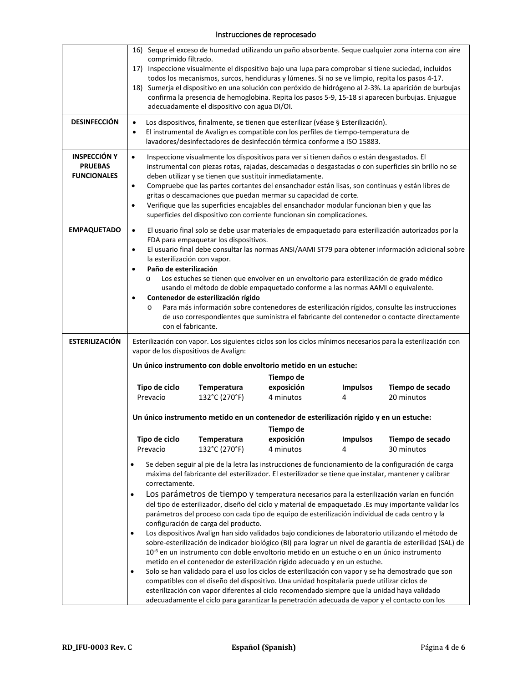|                                                             | 16) Seque el exceso de humedad utilizando un paño absorbente. Seque cualquier zona interna con aire<br>comprimido filtrado.<br>17) Inspeccione visualmente el dispositivo bajo una lupa para comprobar si tiene suciedad, incluidos<br>todos los mecanismos, surcos, hendiduras y lúmenes. Si no se ve limpio, repita los pasos 4-17.<br>18) Sumerja el dispositivo en una solución con peróxido de hidrógeno al 2-3%. La aparición de burbujas<br>confirma la presencia de hemoglobina. Repita los pasos 5-9, 15-18 si aparecen burbujas. Enjuague<br>adecuadamente el dispositivo con agua DI/OI.                                                                                                                                                                                                                   |  |  |  |  |
|-------------------------------------------------------------|-----------------------------------------------------------------------------------------------------------------------------------------------------------------------------------------------------------------------------------------------------------------------------------------------------------------------------------------------------------------------------------------------------------------------------------------------------------------------------------------------------------------------------------------------------------------------------------------------------------------------------------------------------------------------------------------------------------------------------------------------------------------------------------------------------------------------|--|--|--|--|
| <b>DESINFECCIÓN</b>                                         | Los dispositivos, finalmente, se tienen que esterilizar (véase § Esterilización).<br>$\bullet$<br>El instrumental de Avalign es compatible con los perfiles de tiempo-temperatura de<br>$\bullet$<br>lavadores/desinfectadores de desinfección térmica conforme a ISO 15883.                                                                                                                                                                                                                                                                                                                                                                                                                                                                                                                                          |  |  |  |  |
| <b>INSPECCIÓN Y</b><br><b>PRUEBAS</b><br><b>FUNCIONALES</b> | Inspeccione visualmente los dispositivos para ver si tienen daños o están desgastados. El<br>$\bullet$<br>instrumental con piezas rotas, rajadas, descamadas o desgastadas o con superficies sin brillo no se<br>deben utilizar y se tienen que sustituir inmediatamente.<br>Compruebe que las partes cortantes del ensanchador están lisas, son continuas y están libres de<br>$\bullet$<br>gritas o descamaciones que puedan mermar su capacidad de corte.<br>Verifique que las superficies encajables del ensanchador modular funcionan bien y que las<br>$\bullet$<br>superficies del dispositivo con corriente funcionan sin complicaciones.                                                                                                                                                                     |  |  |  |  |
| <b>EMPAQUETADO</b>                                          | El usuario final solo se debe usar materiales de empaquetado para esterilización autorizados por la<br>$\bullet$<br>FDA para empaquetar los dispositivos.<br>El usuario final debe consultar las normas ANSI/AAMI ST79 para obtener información adicional sobre<br>$\bullet$<br>la esterilización con vapor.<br>Paño de esterilización<br>$\bullet$<br>Los estuches se tienen que envolver en un envoltorio para esterilización de grado médico<br>$\circ$<br>usando el método de doble empaquetado conforme a las normas AAMI o equivalente.<br>Contenedor de esterilización rígido<br>Para más información sobre contenedores de esterilización rígidos, consulte las instrucciones<br>$\circ$<br>de uso correspondientes que suministra el fabricante del contenedor o contacte directamente<br>con el fabricante. |  |  |  |  |
| <b>ESTERILIZACIÓN</b>                                       | Esterilización con vapor. Los siguientes ciclos son los ciclos mínimos necesarios para la esterilización con                                                                                                                                                                                                                                                                                                                                                                                                                                                                                                                                                                                                                                                                                                          |  |  |  |  |
|                                                             | vapor de los dispositivos de Avalign:<br>Un único instrumento con doble envoltorio metido en un estuche:                                                                                                                                                                                                                                                                                                                                                                                                                                                                                                                                                                                                                                                                                                              |  |  |  |  |
|                                                             | Tiempo de                                                                                                                                                                                                                                                                                                                                                                                                                                                                                                                                                                                                                                                                                                                                                                                                             |  |  |  |  |
|                                                             | Tipo de ciclo<br>exposición<br>Temperatura<br><b>Impulsos</b><br>Tiempo de secado<br>132°C (270°F)<br>20 minutos<br>Prevacío<br>4 minutos<br>4                                                                                                                                                                                                                                                                                                                                                                                                                                                                                                                                                                                                                                                                        |  |  |  |  |
|                                                             | Un único instrumento metido en un contenedor de esterilización rígido y en un estuche:<br>Tiempo de                                                                                                                                                                                                                                                                                                                                                                                                                                                                                                                                                                                                                                                                                                                   |  |  |  |  |
|                                                             | Tipo de ciclo<br><b>Temperatura</b><br>exposición<br><b>Impulsos</b><br>Tiempo de secado                                                                                                                                                                                                                                                                                                                                                                                                                                                                                                                                                                                                                                                                                                                              |  |  |  |  |
|                                                             | Prevacío<br>132°C (270°F)<br>4 minutos<br>30 minutos<br>4                                                                                                                                                                                                                                                                                                                                                                                                                                                                                                                                                                                                                                                                                                                                                             |  |  |  |  |
|                                                             | Se deben seguir al pie de la letra las instrucciones de funcionamiento de la configuración de carga<br>máxima del fabricante del esterilizador. El esterilizador se tiene que instalar, mantener y calibrar<br>correctamente.                                                                                                                                                                                                                                                                                                                                                                                                                                                                                                                                                                                         |  |  |  |  |
|                                                             | Los parámetros de tiempo y temperatura necesarios para la esterilización varían en función<br>del tipo de esterilizador, diseño del ciclo y material de empaquetado .Es muy importante validar los<br>parámetros del proceso con cada tipo de equipo de esterilización individual de cada centro y la<br>configuración de carga del producto.                                                                                                                                                                                                                                                                                                                                                                                                                                                                         |  |  |  |  |
|                                                             | Los dispositivos Avalign han sido validados bajo condiciones de laboratorio utilizando el método de<br>$\bullet$<br>sobre-esterilización de indicador biológico (BI) para lograr un nivel de garantía de esterilidad (SAL) de<br>10 <sup>-6</sup> en un instrumento con doble envoltorio metido en un estuche o en un único instrumento<br>metido en el contenedor de esterilización rígido adecuado y en un estuche.                                                                                                                                                                                                                                                                                                                                                                                                 |  |  |  |  |
|                                                             | Solo se han validado para el uso los ciclos de esterilización con vapor y se ha demostrado que son<br>compatibles con el diseño del dispositivo. Una unidad hospitalaria puede utilizar ciclos de<br>esterilización con vapor diferentes al ciclo recomendado siempre que la unidad haya validado<br>adecuadamente el ciclo para garantizar la penetración adecuada de vapor y el contacto con los                                                                                                                                                                                                                                                                                                                                                                                                                    |  |  |  |  |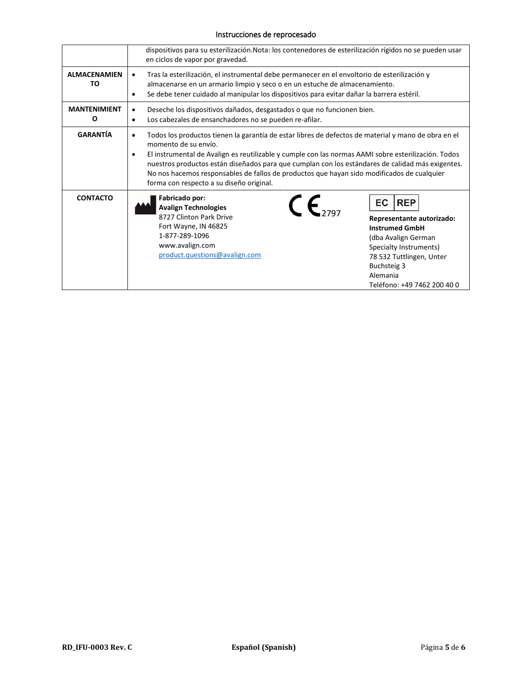|                           | dispositivos para su esterilización. Nota: los contenedores de esterilización rígidos no se pueden usar<br>en ciclos de vapor por gravedad.                                                                                                                                                                                                                                                                                                                                                        |                                                                                                                                                                                                                |  |  |
|---------------------------|----------------------------------------------------------------------------------------------------------------------------------------------------------------------------------------------------------------------------------------------------------------------------------------------------------------------------------------------------------------------------------------------------------------------------------------------------------------------------------------------------|----------------------------------------------------------------------------------------------------------------------------------------------------------------------------------------------------------------|--|--|
| <b>ALMACENAMIEN</b><br>TO | Tras la esterilización, el instrumental debe permanecer en el envoltorio de esterilización y<br>٠<br>almacenarse en un armario limpio y seco o en un estuche de almacenamiento.<br>Se debe tener cuidado al manipular los dispositivos para evitar dañar la barrera estéril.<br>$\bullet$                                                                                                                                                                                                          |                                                                                                                                                                                                                |  |  |
| <b>MANTENIMIENT</b><br>0  | Deseche los dispositivos dañados, desgastados o que no funcionen bien.<br>٠<br>Los cabezales de ensanchadores no se pueden re-afilar.<br>$\bullet$                                                                                                                                                                                                                                                                                                                                                 |                                                                                                                                                                                                                |  |  |
| <b>GARANTÍA</b>           | Todos los productos tienen la garantía de estar libres de defectos de material y mano de obra en el<br>$\bullet$<br>momento de su envío.<br>El instrumental de Avalign es reutilizable y cumple con las normas AAMI sobre esterilización. Todos<br>٠<br>nuestros productos están diseñados para que cumplan con los estándares de calidad más exigentes.<br>No nos hacemos responsables de fallos de productos que hayan sido modificados de cualquier<br>forma con respecto a su diseño original. |                                                                                                                                                                                                                |  |  |
| <b>CONTACTO</b>           | Fabricado por:<br>$c_{5797}$<br><b>Avalign Technologies</b><br>8727 Clinton Park Drive<br>Fort Wayne, IN 46825<br>1-877-289-1096<br>www.avalign.com<br>product.questions@avalign.com                                                                                                                                                                                                                                                                                                               | EC.<br><b>REP</b><br>Representante autorizado:<br><b>Instrumed GmbH</b><br>(dba Avalign German<br>Specialty Instruments)<br>78 532 Tuttlingen, Unter<br>Buchsteig 3<br>Alemania<br>Teléfono: +49 7462 200 40 0 |  |  |